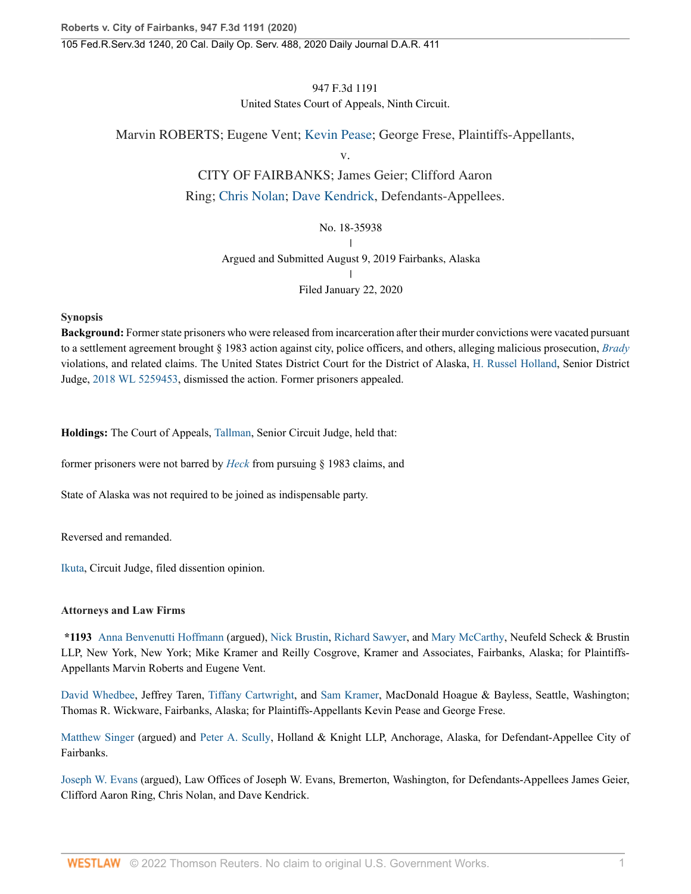# 947 F.3d 1191 United States Court of Appeals, Ninth Circuit.

Marvin ROBERTS; Eugene Vent; [Kevin Pease;](http://www.westlaw.com/Search/Results.html?query=advanced%3a+OAID(5048010983)&saveJuris=False&contentType=BUSINESS-INVESTIGATOR&startIndex=1&contextData=(sc.Default)&categoryPageUrl=Home%2fCompanyInvestigator&originationContext=document&vr=3.0&rs=cblt1.0&transitionType=DocumentItem) George Frese, Plaintiffs-Appellants,

v.

# CITY OF FAIRBANKS; James Geier; Clifford Aaron Ring; [Chris Nolan;](http://www.westlaw.com/Search/Results.html?query=advanced%3a+OAID(5012490328)&saveJuris=False&contentType=BUSINESS-INVESTIGATOR&startIndex=1&contextData=(sc.Default)&categoryPageUrl=Home%2fCompanyInvestigator&originationContext=document&vr=3.0&rs=cblt1.0&transitionType=DocumentItem) [Dave Kendrick,](http://www.westlaw.com/Search/Results.html?query=advanced%3a+OAID(5022258122)&saveJuris=False&contentType=BUSINESS-INVESTIGATOR&startIndex=1&contextData=(sc.Default)&categoryPageUrl=Home%2fCompanyInvestigator&originationContext=document&vr=3.0&rs=cblt1.0&transitionType=DocumentItem) Defendants-Appellees.

# No. 18-35938 |

# Argued and Submitted August 9, 2019 Fairbanks, Alaska

|

Filed January 22, 2020

# **Synopsis**

**Background:** Former state prisoners who were released from incarceration after their murder convictions were vacated pursuant to a settlement agreement brought § 1983 action against city, police officers, and others, alleging malicious prosecution, *[Brady](http://www.westlaw.com/Link/Document/FullText?findType=Y&serNum=1963125353&pubNum=0000708&originatingDoc=I85271cc03d5c11eaa49a848616f1a2d2&refType=RP&originationContext=document&vr=3.0&rs=cblt1.0&transitionType=DocumentItem&contextData=(sc.Search))* violations, and related claims. The United States District Court for the District of Alaska, [H. Russel Holland,](http://www.westlaw.com/Link/Document/FullText?findType=h&pubNum=176284&cite=0260931001&originatingDoc=I85271cc03d5c11eaa49a848616f1a2d2&refType=RQ&originationContext=document&vr=3.0&rs=cblt1.0&transitionType=DocumentItem&contextData=(sc.Search)) Senior District Judge, [2018 WL 5259453,](http://www.westlaw.com/Link/Document/FullText?findType=Y&serNum=2045827203&pubNum=0000999&originatingDoc=I85271cc03d5c11eaa49a848616f1a2d2&refType=RP&originationContext=document&vr=3.0&rs=cblt1.0&transitionType=DocumentItem&contextData=(sc.Search)) dismissed the action. Former prisoners appealed.

**Holdings:** The Court of Appeals, [Tallman,](http://www.westlaw.com/Link/Document/FullText?findType=h&pubNum=176284&cite=0220141401&originatingDoc=I85271cc03d5c11eaa49a848616f1a2d2&refType=RQ&originationContext=document&vr=3.0&rs=cblt1.0&transitionType=DocumentItem&contextData=(sc.Search)) Senior Circuit Judge, held that:

former prisoners were not barred by *[Heck](http://www.westlaw.com/Link/Document/FullText?findType=Y&serNum=1994135537&pubNum=0000708&originatingDoc=I85271cc03d5c11eaa49a848616f1a2d2&refType=RP&originationContext=document&vr=3.0&rs=cblt1.0&transitionType=DocumentItem&contextData=(sc.Search))* from pursuing § 1983 claims, and

State of Alaska was not required to be joined as indispensable party.

Reversed and remanded.

[Ikuta,](http://www.westlaw.com/Link/Document/FullText?findType=h&pubNum=176284&cite=0229586101&originatingDoc=I85271cc03d5c11eaa49a848616f1a2d2&refType=RQ&originationContext=document&vr=3.0&rs=cblt1.0&transitionType=DocumentItem&contextData=(sc.Search)) Circuit Judge, filed dissention opinion.

# **Attorneys and Law Firms**

**\*1193** [Anna Benvenutti Hoffmann](http://www.westlaw.com/Link/Document/FullText?findType=h&pubNum=176284&cite=0399944901&originatingDoc=I85271cc03d5c11eaa49a848616f1a2d2&refType=RQ&originationContext=document&vr=3.0&rs=cblt1.0&transitionType=DocumentItem&contextData=(sc.Search)) (argued), [Nick Brustin](http://www.westlaw.com/Link/Document/FullText?findType=h&pubNum=176284&cite=0128112801&originatingDoc=I85271cc03d5c11eaa49a848616f1a2d2&refType=RQ&originationContext=document&vr=3.0&rs=cblt1.0&transitionType=DocumentItem&contextData=(sc.Search)), [Richard Sawyer](http://www.westlaw.com/Link/Document/FullText?findType=h&pubNum=176284&cite=0503197999&originatingDoc=I85271cc03d5c11eaa49a848616f1a2d2&refType=RQ&originationContext=document&vr=3.0&rs=cblt1.0&transitionType=DocumentItem&contextData=(sc.Search)), and [Mary McCarthy](http://www.westlaw.com/Link/Document/FullText?findType=h&pubNum=176284&cite=0260247601&originatingDoc=I85271cc03d5c11eaa49a848616f1a2d2&refType=RQ&originationContext=document&vr=3.0&rs=cblt1.0&transitionType=DocumentItem&contextData=(sc.Search)), Neufeld Scheck & Brustin LLP, New York, New York; Mike Kramer and Reilly Cosgrove, Kramer and Associates, Fairbanks, Alaska; for Plaintiffs-Appellants Marvin Roberts and Eugene Vent.

[David Whedbee](http://www.westlaw.com/Link/Document/FullText?findType=h&pubNum=176284&cite=0399897701&originatingDoc=I85271cc03d5c11eaa49a848616f1a2d2&refType=RQ&originationContext=document&vr=3.0&rs=cblt1.0&transitionType=DocumentItem&contextData=(sc.Search)), Jeffrey Taren, [Tiffany Cartwright,](http://www.westlaw.com/Link/Document/FullText?findType=h&pubNum=176284&cite=0478461201&originatingDoc=I85271cc03d5c11eaa49a848616f1a2d2&refType=RQ&originationContext=document&vr=3.0&rs=cblt1.0&transitionType=DocumentItem&contextData=(sc.Search)) and [Sam Kramer,](http://www.westlaw.com/Link/Document/FullText?findType=h&pubNum=176284&cite=0499113799&originatingDoc=I85271cc03d5c11eaa49a848616f1a2d2&refType=RQ&originationContext=document&vr=3.0&rs=cblt1.0&transitionType=DocumentItem&contextData=(sc.Search)) MacDonald Hoague & Bayless, Seattle, Washington; Thomas R. Wickware, Fairbanks, Alaska; for Plaintiffs-Appellants Kevin Pease and George Frese.

[Matthew Singer](http://www.westlaw.com/Link/Document/FullText?findType=h&pubNum=176284&cite=0394013501&originatingDoc=I85271cc03d5c11eaa49a848616f1a2d2&refType=RQ&originationContext=document&vr=3.0&rs=cblt1.0&transitionType=DocumentItem&contextData=(sc.Search)) (argued) and [Peter A. Scully,](http://www.westlaw.com/Link/Document/FullText?findType=h&pubNum=176284&cite=0506793901&originatingDoc=I85271cc03d5c11eaa49a848616f1a2d2&refType=RQ&originationContext=document&vr=3.0&rs=cblt1.0&transitionType=DocumentItem&contextData=(sc.Search)) Holland & Knight LLP, Anchorage, Alaska, for Defendant-Appellee City of Fairbanks.

[Joseph W. Evans](http://www.westlaw.com/Link/Document/FullText?findType=h&pubNum=176284&cite=0319978001&originatingDoc=I85271cc03d5c11eaa49a848616f1a2d2&refType=RQ&originationContext=document&vr=3.0&rs=cblt1.0&transitionType=DocumentItem&contextData=(sc.Search)) (argued), Law Offices of Joseph W. Evans, Bremerton, Washington, for Defendants-Appellees James Geier, Clifford Aaron Ring, Chris Nolan, and Dave Kendrick.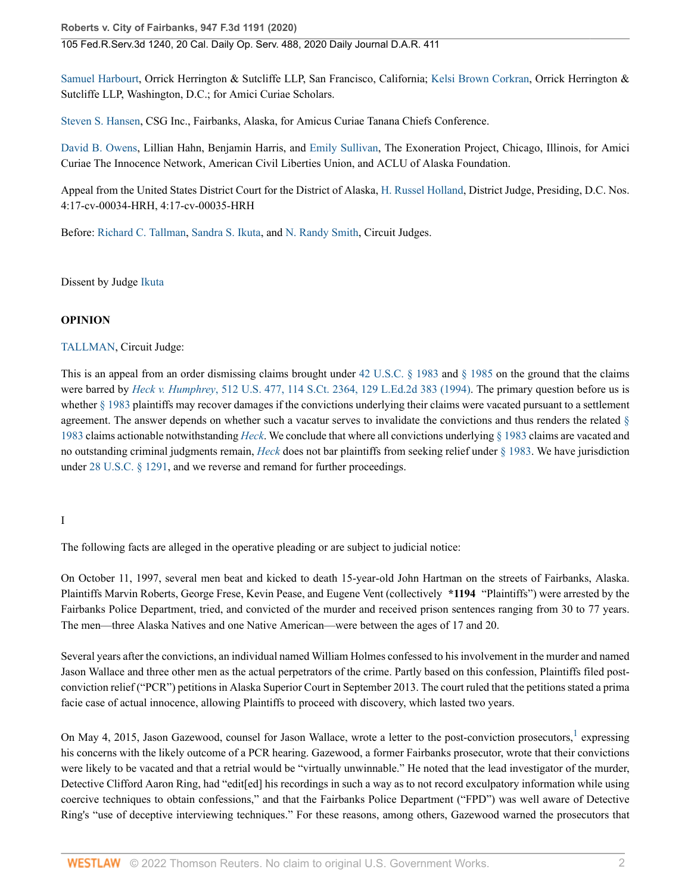105 Fed.R.Serv.3d 1240, 20 Cal. Daily Op. Serv. 488, 2020 Daily Journal D.A.R. 411

[Samuel Harbourt,](http://www.westlaw.com/Link/Document/FullText?findType=h&pubNum=176284&cite=0505315401&originatingDoc=I85271cc03d5c11eaa49a848616f1a2d2&refType=RQ&originationContext=document&vr=3.0&rs=cblt1.0&transitionType=DocumentItem&contextData=(sc.Search)) Orrick Herrington & Sutcliffe LLP, San Francisco, California; [Kelsi Brown Corkran](http://www.westlaw.com/Link/Document/FullText?findType=h&pubNum=176284&cite=0498961399&originatingDoc=I85271cc03d5c11eaa49a848616f1a2d2&refType=RQ&originationContext=document&vr=3.0&rs=cblt1.0&transitionType=DocumentItem&contextData=(sc.Search)), Orrick Herrington & Sutcliffe LLP, Washington, D.C.; for Amici Curiae Scholars.

[Steven S. Hansen](http://www.westlaw.com/Link/Document/FullText?findType=h&pubNum=176284&cite=0277498201&originatingDoc=I85271cc03d5c11eaa49a848616f1a2d2&refType=RQ&originationContext=document&vr=3.0&rs=cblt1.0&transitionType=DocumentItem&contextData=(sc.Search)), CSG Inc., Fairbanks, Alaska, for Amicus Curiae Tanana Chiefs Conference.

[David B. Owens,](http://www.westlaw.com/Link/Document/FullText?findType=h&pubNum=176284&cite=0463611501&originatingDoc=I85271cc03d5c11eaa49a848616f1a2d2&refType=RQ&originationContext=document&vr=3.0&rs=cblt1.0&transitionType=DocumentItem&contextData=(sc.Search)) Lillian Hahn, Benjamin Harris, and [Emily Sullivan](http://www.westlaw.com/Link/Document/FullText?findType=h&pubNum=176284&cite=0319263701&originatingDoc=I85271cc03d5c11eaa49a848616f1a2d2&refType=RQ&originationContext=document&vr=3.0&rs=cblt1.0&transitionType=DocumentItem&contextData=(sc.Search)), The Exoneration Project, Chicago, Illinois, for Amici Curiae The Innocence Network, American Civil Liberties Union, and ACLU of Alaska Foundation.

Appeal from the United States District Court for the District of Alaska, [H. Russel Holland,](http://www.westlaw.com/Link/Document/FullText?findType=h&pubNum=176284&cite=0260931001&originatingDoc=I85271cc03d5c11eaa49a848616f1a2d2&refType=RQ&originationContext=document&vr=3.0&rs=cblt1.0&transitionType=DocumentItem&contextData=(sc.Search)) District Judge, Presiding, D.C. Nos. 4:17-cv-00034-HRH, 4:17-cv-00035-HRH

Before: [Richard C. Tallman,](http://www.westlaw.com/Link/Document/FullText?findType=h&pubNum=176284&cite=0220141401&originatingDoc=I85271cc03d5c11eaa49a848616f1a2d2&refType=RQ&originationContext=document&vr=3.0&rs=cblt1.0&transitionType=DocumentItem&contextData=(sc.Search)) [Sandra S. Ikuta](http://www.westlaw.com/Link/Document/FullText?findType=h&pubNum=176284&cite=0229586101&originatingDoc=I85271cc03d5c11eaa49a848616f1a2d2&refType=RQ&originationContext=document&vr=3.0&rs=cblt1.0&transitionType=DocumentItem&contextData=(sc.Search)), and [N. Randy Smith,](http://www.westlaw.com/Link/Document/FullText?findType=h&pubNum=176284&cite=0155865401&originatingDoc=I85271cc03d5c11eaa49a848616f1a2d2&refType=RQ&originationContext=document&vr=3.0&rs=cblt1.0&transitionType=DocumentItem&contextData=(sc.Search)) Circuit Judges.

Dissent by Judge [Ikuta](http://www.westlaw.com/Link/Document/FullText?findType=h&pubNum=176284&cite=0229586101&originatingDoc=I85271cc03d5c11eaa49a848616f1a2d2&refType=RQ&originationContext=document&vr=3.0&rs=cblt1.0&transitionType=DocumentItem&contextData=(sc.Search))

#### **OPINION**

[TALLMAN](http://www.westlaw.com/Link/Document/FullText?findType=h&pubNum=176284&cite=0220141401&originatingDoc=I85271cc03d5c11eaa49a848616f1a2d2&refType=RQ&originationContext=document&vr=3.0&rs=cblt1.0&transitionType=DocumentItem&contextData=(sc.Search)), Circuit Judge:

This is an appeal from an order dismissing claims brought under 42 U.S.C.  $\S$  1983 and  $\S$  1985 on the ground that the claims were barred by *Heck v. Humphrey*[, 512 U.S. 477, 114 S.Ct. 2364, 129 L.Ed.2d 383 \(1994\)](http://www.westlaw.com/Link/Document/FullText?findType=Y&serNum=1994135537&pubNum=0000708&originatingDoc=I85271cc03d5c11eaa49a848616f1a2d2&refType=RP&originationContext=document&vr=3.0&rs=cblt1.0&transitionType=DocumentItem&contextData=(sc.Search)). The primary question before us is whether [§ 1983](http://www.westlaw.com/Link/Document/FullText?findType=L&pubNum=1000546&cite=42USCAS1983&originatingDoc=I85271cc03d5c11eaa49a848616f1a2d2&refType=LQ&originationContext=document&vr=3.0&rs=cblt1.0&transitionType=DocumentItem&contextData=(sc.Search)) plaintiffs may recover damages if the convictions underlying their claims were vacated pursuant to a settlement agreement. The answer depends on whether such a vacatur serves to invalidate the convictions and thus renders the related [§](http://www.westlaw.com/Link/Document/FullText?findType=L&pubNum=1000546&cite=42USCAS1983&originatingDoc=I85271cc03d5c11eaa49a848616f1a2d2&refType=LQ&originationContext=document&vr=3.0&rs=cblt1.0&transitionType=DocumentItem&contextData=(sc.Search)) [1983](http://www.westlaw.com/Link/Document/FullText?findType=L&pubNum=1000546&cite=42USCAS1983&originatingDoc=I85271cc03d5c11eaa49a848616f1a2d2&refType=LQ&originationContext=document&vr=3.0&rs=cblt1.0&transitionType=DocumentItem&contextData=(sc.Search)) claims actionable notwithstanding *[Heck](http://www.westlaw.com/Link/Document/FullText?findType=Y&serNum=1994135537&pubNum=0000780&originatingDoc=I85271cc03d5c11eaa49a848616f1a2d2&refType=RP&originationContext=document&vr=3.0&rs=cblt1.0&transitionType=DocumentItem&contextData=(sc.Search))*. We conclude that where all convictions underlying [§ 1983](http://www.westlaw.com/Link/Document/FullText?findType=L&pubNum=1000546&cite=42USCAS1983&originatingDoc=I85271cc03d5c11eaa49a848616f1a2d2&refType=LQ&originationContext=document&vr=3.0&rs=cblt1.0&transitionType=DocumentItem&contextData=(sc.Search)) claims are vacated and no outstanding criminal judgments remain, *[Heck](http://www.westlaw.com/Link/Document/FullText?findType=Y&serNum=1994135537&pubNum=0000780&originatingDoc=I85271cc03d5c11eaa49a848616f1a2d2&refType=RP&originationContext=document&vr=3.0&rs=cblt1.0&transitionType=DocumentItem&contextData=(sc.Search))* does not bar plaintiffs from seeking relief under [§ 1983.](http://www.westlaw.com/Link/Document/FullText?findType=L&pubNum=1000546&cite=42USCAS1983&originatingDoc=I85271cc03d5c11eaa49a848616f1a2d2&refType=LQ&originationContext=document&vr=3.0&rs=cblt1.0&transitionType=DocumentItem&contextData=(sc.Search)) We have jurisdiction under [28 U.S.C. § 1291,](http://www.westlaw.com/Link/Document/FullText?findType=L&pubNum=1000546&cite=28USCAS1291&originatingDoc=I85271cc03d5c11eaa49a848616f1a2d2&refType=LQ&originationContext=document&vr=3.0&rs=cblt1.0&transitionType=DocumentItem&contextData=(sc.Search)) and we reverse and remand for further proceedings.

#### I

The following facts are alleged in the operative pleading or are subject to judicial notice:

On October 11, 1997, several men beat and kicked to death 15-year-old John Hartman on the streets of Fairbanks, Alaska. Plaintiffs Marvin Roberts, George Frese, Kevin Pease, and Eugene Vent (collectively **\*1194** "Plaintiffs") were arrested by the Fairbanks Police Department, tried, and convicted of the murder and received prison sentences ranging from 30 to 77 years. The men—three Alaska Natives and one Native American—were between the ages of 17 and 20.

Several years after the convictions, an individual named William Holmes confessed to his involvement in the murder and named Jason Wallace and three other men as the actual perpetrators of the crime. Partly based on this confession, Plaintiffs filed postconviction relief ("PCR") petitions in Alaska Superior Court in September 2013. The court ruled that the petitions stated a prima facie case of actual innocence, allowing Plaintiffs to proceed with discovery, which lasted two years.

<span id="page-1-0"></span>On May 4, 20[1](#page-16-0)5, Jason Gazewood, counsel for Jason Wallace, wrote a letter to the post-conviction prosecutors,  $^1$  expressing his concerns with the likely outcome of a PCR hearing. Gazewood, a former Fairbanks prosecutor, wrote that their convictions were likely to be vacated and that a retrial would be "virtually unwinnable." He noted that the lead investigator of the murder, Detective Clifford Aaron Ring, had "edit[ed] his recordings in such a way as to not record exculpatory information while using coercive techniques to obtain confessions," and that the Fairbanks Police Department ("FPD") was well aware of Detective Ring's "use of deceptive interviewing techniques." For these reasons, among others, Gazewood warned the prosecutors that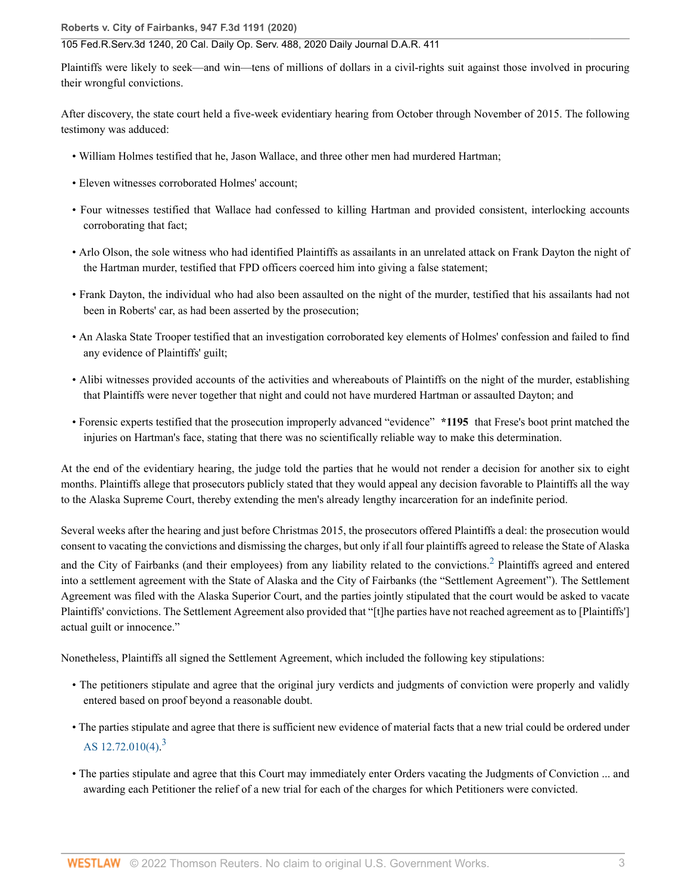Plaintiffs were likely to seek—and win—tens of millions of dollars in a civil-rights suit against those involved in procuring their wrongful convictions.

After discovery, the state court held a five-week evidentiary hearing from October through November of 2015. The following testimony was adduced:

- William Holmes testified that he, Jason Wallace, and three other men had murdered Hartman;
- Eleven witnesses corroborated Holmes' account;
- Four witnesses testified that Wallace had confessed to killing Hartman and provided consistent, interlocking accounts corroborating that fact;
- Arlo Olson, the sole witness who had identified Plaintiffs as assailants in an unrelated attack on Frank Dayton the night of the Hartman murder, testified that FPD officers coerced him into giving a false statement;
- Frank Dayton, the individual who had also been assaulted on the night of the murder, testified that his assailants had not been in Roberts' car, as had been asserted by the prosecution;
- An Alaska State Trooper testified that an investigation corroborated key elements of Holmes' confession and failed to find any evidence of Plaintiffs' guilt;
- Alibi witnesses provided accounts of the activities and whereabouts of Plaintiffs on the night of the murder, establishing that Plaintiffs were never together that night and could not have murdered Hartman or assaulted Dayton; and
- Forensic experts testified that the prosecution improperly advanced "evidence" **\*1195** that Frese's boot print matched the injuries on Hartman's face, stating that there was no scientifically reliable way to make this determination.

At the end of the evidentiary hearing, the judge told the parties that he would not render a decision for another six to eight months. Plaintiffs allege that prosecutors publicly stated that they would appeal any decision favorable to Plaintiffs all the way to the Alaska Supreme Court, thereby extending the men's already lengthy incarceration for an indefinite period.

<span id="page-2-0"></span>Several weeks after the hearing and just before Christmas 2015, the prosecutors offered Plaintiffs a deal: the prosecution would consent to vacating the convictions and dismissing the charges, but only if all four plaintiffs agreed to release the State of Alaska and the City of Fairbanks (and their employees) from any liability related to the convictions.<sup>[2](#page-16-1)</sup> Plaintiffs agreed and entered into a settlement agreement with the State of Alaska and the City of Fairbanks (the "Settlement Agreement"). The Settlement Agreement was filed with the Alaska Superior Court, and the parties jointly stipulated that the court would be asked to vacate Plaintiffs' convictions. The Settlement Agreement also provided that "[t]he parties have not reached agreement as to [Plaintiffs'] actual guilt or innocence."

Nonetheless, Plaintiffs all signed the Settlement Agreement, which included the following key stipulations:

- The petitioners stipulate and agree that the original jury verdicts and judgments of conviction were properly and validly entered based on proof beyond a reasonable doubt.
- <span id="page-2-1"></span>• The parties stipulate and agree that there is sufficient new evidence of material facts that a new trial could be ordered under AS  $12.72.010(4)$ .<sup>[3](#page-16-2)</sup>
- The parties stipulate and agree that this Court may immediately enter Orders vacating the Judgments of Conviction ... and awarding each Petitioner the relief of a new trial for each of the charges for which Petitioners were convicted.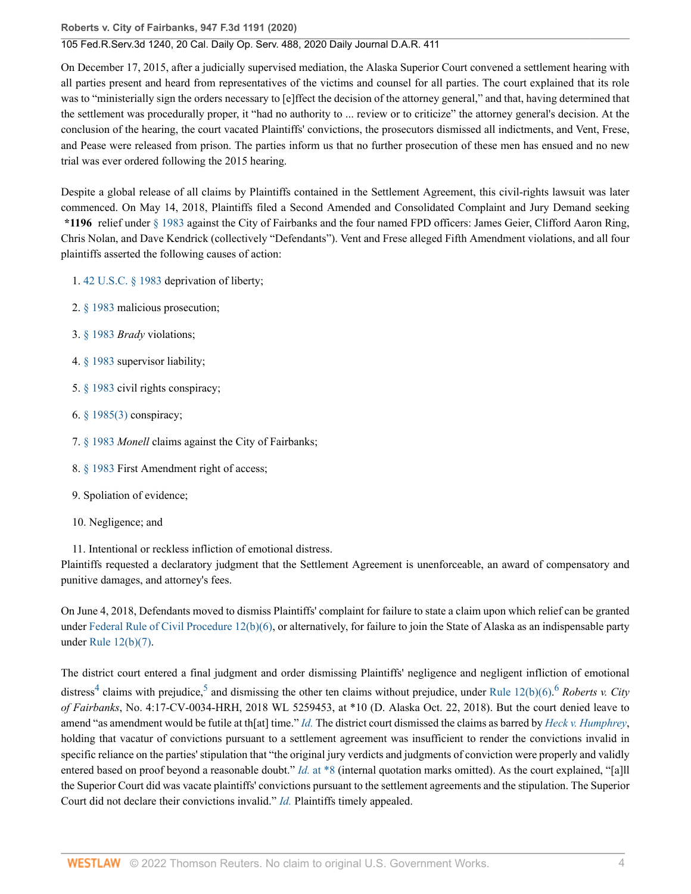### 105 Fed.R.Serv.3d 1240, 20 Cal. Daily Op. Serv. 488, 2020 Daily Journal D.A.R. 411

On December 17, 2015, after a judicially supervised mediation, the Alaska Superior Court convened a settlement hearing with all parties present and heard from representatives of the victims and counsel for all parties. The court explained that its role was to "ministerially sign the orders necessary to [e]ffect the decision of the attorney general," and that, having determined that the settlement was procedurally proper, it "had no authority to ... review or to criticize" the attorney general's decision. At the conclusion of the hearing, the court vacated Plaintiffs' convictions, the prosecutors dismissed all indictments, and Vent, Frese, and Pease were released from prison. The parties inform us that no further prosecution of these men has ensued and no new trial was ever ordered following the 2015 hearing.

Despite a global release of all claims by Plaintiffs contained in the Settlement Agreement, this civil-rights lawsuit was later commenced. On May 14, 2018, Plaintiffs filed a Second Amended and Consolidated Complaint and Jury Demand seeking **\*1196** relief under [§ 1983](http://www.westlaw.com/Link/Document/FullText?findType=L&pubNum=1000546&cite=42USCAS1983&originatingDoc=I85271cc03d5c11eaa49a848616f1a2d2&refType=LQ&originationContext=document&vr=3.0&rs=cblt1.0&transitionType=DocumentItem&contextData=(sc.Search)) against the City of Fairbanks and the four named FPD officers: James Geier, Clifford Aaron Ring, Chris Nolan, and Dave Kendrick (collectively "Defendants"). Vent and Frese alleged Fifth Amendment violations, and all four plaintiffs asserted the following causes of action:

1. [42 U.S.C. § 1983](http://www.westlaw.com/Link/Document/FullText?findType=L&pubNum=1000546&cite=42USCAS1983&originatingDoc=I85271cc03d5c11eaa49a848616f1a2d2&refType=LQ&originationContext=document&vr=3.0&rs=cblt1.0&transitionType=DocumentItem&contextData=(sc.Search)) deprivation of liberty;

- 2. [§ 1983](http://www.westlaw.com/Link/Document/FullText?findType=L&pubNum=1000546&cite=42USCAS1983&originatingDoc=I85271cc03d5c11eaa49a848616f1a2d2&refType=LQ&originationContext=document&vr=3.0&rs=cblt1.0&transitionType=DocumentItem&contextData=(sc.Search)) malicious prosecution;
- 3. [§ 1983](http://www.westlaw.com/Link/Document/FullText?findType=L&pubNum=1000546&cite=42USCAS1983&originatingDoc=I85271cc03d5c11eaa49a848616f1a2d2&refType=LQ&originationContext=document&vr=3.0&rs=cblt1.0&transitionType=DocumentItem&contextData=(sc.Search)) *Brady* violations;
- 4. [§ 1983](http://www.westlaw.com/Link/Document/FullText?findType=L&pubNum=1000546&cite=42USCAS1983&originatingDoc=I85271cc03d5c11eaa49a848616f1a2d2&refType=LQ&originationContext=document&vr=3.0&rs=cblt1.0&transitionType=DocumentItem&contextData=(sc.Search)) supervisor liability;
- 5. [§ 1983](http://www.westlaw.com/Link/Document/FullText?findType=L&pubNum=1000546&cite=42USCAS1983&originatingDoc=I85271cc03d5c11eaa49a848616f1a2d2&refType=LQ&originationContext=document&vr=3.0&rs=cblt1.0&transitionType=DocumentItem&contextData=(sc.Search)) civil rights conspiracy;
- 6. [§ 1985\(3\)](http://www.westlaw.com/Link/Document/FullText?findType=L&pubNum=1000546&cite=42USCAS1985&originatingDoc=I85271cc03d5c11eaa49a848616f1a2d2&refType=RB&originationContext=document&vr=3.0&rs=cblt1.0&transitionType=DocumentItem&contextData=(sc.Search)#co_pp_d08f0000f5f67) conspiracy;
- 7. [§ 1983](http://www.westlaw.com/Link/Document/FullText?findType=L&pubNum=1000546&cite=42USCAS1983&originatingDoc=I85271cc03d5c11eaa49a848616f1a2d2&refType=LQ&originationContext=document&vr=3.0&rs=cblt1.0&transitionType=DocumentItem&contextData=(sc.Search)) *Monell* claims against the City of Fairbanks;
- 8. [§ 1983](http://www.westlaw.com/Link/Document/FullText?findType=L&pubNum=1000546&cite=42USCAS1983&originatingDoc=I85271cc03d5c11eaa49a848616f1a2d2&refType=LQ&originationContext=document&vr=3.0&rs=cblt1.0&transitionType=DocumentItem&contextData=(sc.Search)) First Amendment right of access;
- 9. Spoliation of evidence;
- 10. Negligence; and

11. Intentional or reckless infliction of emotional distress.

Plaintiffs requested a declaratory judgment that the Settlement Agreement is unenforceable, an award of compensatory and punitive damages, and attorney's fees.

On June 4, 2018, Defendants moved to dismiss Plaintiffs' complaint for failure to state a claim upon which relief can be granted under [Federal Rule of Civil Procedure 12\(b\)\(6\)](http://www.westlaw.com/Link/Document/FullText?findType=L&pubNum=1000600&cite=USFRCPR12&originatingDoc=I85271cc03d5c11eaa49a848616f1a2d2&refType=LQ&originationContext=document&vr=3.0&rs=cblt1.0&transitionType=DocumentItem&contextData=(sc.Search)), or alternatively, for failure to join the State of Alaska as an indispensable party under [Rule 12\(b\)\(7\).](http://www.westlaw.com/Link/Document/FullText?findType=L&pubNum=1000600&cite=USFRCPR12&originatingDoc=I85271cc03d5c11eaa49a848616f1a2d2&refType=LQ&originationContext=document&vr=3.0&rs=cblt1.0&transitionType=DocumentItem&contextData=(sc.Search))

<span id="page-3-2"></span><span id="page-3-1"></span><span id="page-3-0"></span>The district court entered a final judgment and order dismissing Plaintiffs' negligence and negligent infliction of emotional distress<sup>[4](#page-16-3)</sup> claims with prejudice,<sup>[5](#page-16-4)</sup> and dismissing the other ten claims without prejudice, under [Rule 12\(b\)\(6\).](http://www.westlaw.com/Link/Document/FullText?findType=L&pubNum=1000600&cite=USFRCPR12&originatingDoc=I85271cc03d5c11eaa49a848616f1a2d2&refType=LQ&originationContext=document&vr=3.0&rs=cblt1.0&transitionType=DocumentItem&contextData=(sc.Search))<sup>[6](#page-16-5)</sup> *Roberts v. City of Fairbanks*, No. 4:17-CV-0034-HRH, 2018 WL 5259453, at \*10 (D. Alaska Oct. 22, 2018). But the court denied leave to amend "as amendment would be futile at th[at] time." *[Id.](http://www.westlaw.com/Link/Document/FullText?findType=Y&serNum=2045827203&pubNum=0000999&originatingDoc=I85271cc03d5c11eaa49a848616f1a2d2&refType=RP&originationContext=document&vr=3.0&rs=cblt1.0&transitionType=DocumentItem&contextData=(sc.Search))* The district court dismissed the claims as barred by *[Heck v. Humphrey](http://www.westlaw.com/Link/Document/FullText?findType=Y&serNum=1994135537&pubNum=0000780&originatingDoc=I85271cc03d5c11eaa49a848616f1a2d2&refType=RP&originationContext=document&vr=3.0&rs=cblt1.0&transitionType=DocumentItem&contextData=(sc.Search))*, holding that vacatur of convictions pursuant to a settlement agreement was insufficient to render the convictions invalid in specific reliance on the parties' stipulation that "the original jury verdicts and judgments of conviction were properly and validly entered based on proof beyond a reasonable doubt." *Id.* [at \\*8](http://www.westlaw.com/Link/Document/FullText?findType=Y&serNum=2045827203&originatingDoc=I85271cc03d5c11eaa49a848616f1a2d2&refType=RP&originationContext=document&vr=3.0&rs=cblt1.0&transitionType=DocumentItem&contextData=(sc.Search)) (internal quotation marks omitted). As the court explained, "[a]ll the Superior Court did was vacate plaintiffs' convictions pursuant to the settlement agreements and the stipulation. The Superior Court did not declare their convictions invalid." *[Id.](http://www.westlaw.com/Link/Document/FullText?findType=Y&serNum=2045827203&pubNum=0000999&originatingDoc=I85271cc03d5c11eaa49a848616f1a2d2&refType=RP&originationContext=document&vr=3.0&rs=cblt1.0&transitionType=DocumentItem&contextData=(sc.Search))* Plaintiffs timely appealed.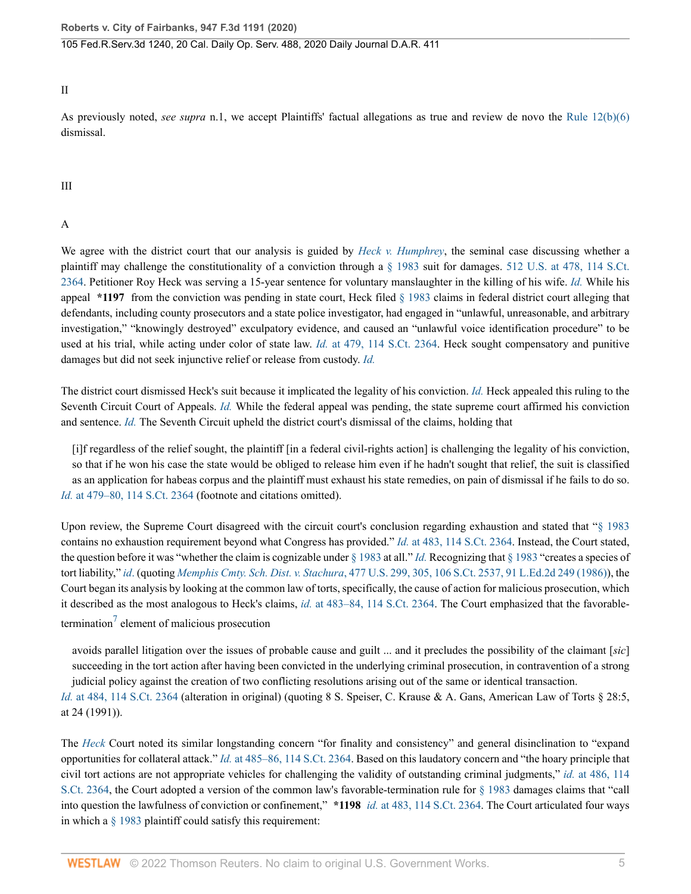II

As previously noted, *see supra* n.1, we accept Plaintiffs' factual allegations as true and review de novo the [Rule 12\(b\)\(6\)](http://www.westlaw.com/Link/Document/FullText?findType=L&pubNum=1000600&cite=USFRCPR12&originatingDoc=I85271cc03d5c11eaa49a848616f1a2d2&refType=LQ&originationContext=document&vr=3.0&rs=cblt1.0&transitionType=DocumentItem&contextData=(sc.Search)) dismissal.

III

A

We agree with the district court that our analysis is guided by *[Heck v. Humphrey](http://www.westlaw.com/Link/Document/FullText?findType=Y&serNum=1994135537&pubNum=0000780&originatingDoc=I85271cc03d5c11eaa49a848616f1a2d2&refType=RP&originationContext=document&vr=3.0&rs=cblt1.0&transitionType=DocumentItem&contextData=(sc.Search))*, the seminal case discussing whether a plaintiff may challenge the constitutionality of a conviction through a [§ 1983](http://www.westlaw.com/Link/Document/FullText?findType=L&pubNum=1000546&cite=42USCAS1983&originatingDoc=I85271cc03d5c11eaa49a848616f1a2d2&refType=LQ&originationContext=document&vr=3.0&rs=cblt1.0&transitionType=DocumentItem&contextData=(sc.Search)) suit for damages. [512 U.S. at 478, 114 S.Ct.](http://www.westlaw.com/Link/Document/FullText?findType=Y&serNum=1994135537&pubNum=0000780&originatingDoc=I85271cc03d5c11eaa49a848616f1a2d2&refType=RP&fi=co_pp_sp_780_478&originationContext=document&vr=3.0&rs=cblt1.0&transitionType=DocumentItem&contextData=(sc.Search)#co_pp_sp_780_478) [2364](http://www.westlaw.com/Link/Document/FullText?findType=Y&serNum=1994135537&pubNum=0000780&originatingDoc=I85271cc03d5c11eaa49a848616f1a2d2&refType=RP&fi=co_pp_sp_780_478&originationContext=document&vr=3.0&rs=cblt1.0&transitionType=DocumentItem&contextData=(sc.Search)#co_pp_sp_780_478). Petitioner Roy Heck was serving a 15-year sentence for voluntary manslaughter in the killing of his wife. *[Id.](http://www.westlaw.com/Link/Document/FullText?findType=Y&serNum=1994135537&pubNum=0000780&originatingDoc=I85271cc03d5c11eaa49a848616f1a2d2&refType=RP&originationContext=document&vr=3.0&rs=cblt1.0&transitionType=DocumentItem&contextData=(sc.Search))* While his appeal **\*1197** from the conviction was pending in state court, Heck filed [§ 1983](http://www.westlaw.com/Link/Document/FullText?findType=L&pubNum=1000546&cite=42USCAS1983&originatingDoc=I85271cc03d5c11eaa49a848616f1a2d2&refType=LQ&originationContext=document&vr=3.0&rs=cblt1.0&transitionType=DocumentItem&contextData=(sc.Search)) claims in federal district court alleging that defendants, including county prosecutors and a state police investigator, had engaged in "unlawful, unreasonable, and arbitrary investigation," "knowingly destroyed" exculpatory evidence, and caused an "unlawful voice identification procedure" to be used at his trial, while acting under color of state law. *Id.* [at 479, 114 S.Ct. 2364](http://www.westlaw.com/Link/Document/FullText?findType=Y&serNum=1994135537&pubNum=0000708&originatingDoc=I85271cc03d5c11eaa49a848616f1a2d2&refType=RP&originationContext=document&vr=3.0&rs=cblt1.0&transitionType=DocumentItem&contextData=(sc.Search)). Heck sought compensatory and punitive damages but did not seek injunctive relief or release from custody. *[Id.](http://www.westlaw.com/Link/Document/FullText?findType=Y&serNum=1994135537&pubNum=0000780&originatingDoc=I85271cc03d5c11eaa49a848616f1a2d2&refType=RP&originationContext=document&vr=3.0&rs=cblt1.0&transitionType=DocumentItem&contextData=(sc.Search))*

The district court dismissed Heck's suit because it implicated the legality of his conviction. *[Id.](http://www.westlaw.com/Link/Document/FullText?findType=Y&serNum=1994135537&pubNum=0000780&originatingDoc=I85271cc03d5c11eaa49a848616f1a2d2&refType=RP&originationContext=document&vr=3.0&rs=cblt1.0&transitionType=DocumentItem&contextData=(sc.Search))* Heck appealed this ruling to the Seventh Circuit Court of Appeals. *[Id.](http://www.westlaw.com/Link/Document/FullText?findType=Y&serNum=1994135537&pubNum=0000780&originatingDoc=I85271cc03d5c11eaa49a848616f1a2d2&refType=RP&originationContext=document&vr=3.0&rs=cblt1.0&transitionType=DocumentItem&contextData=(sc.Search))* While the federal appeal was pending, the state supreme court affirmed his conviction and sentence. *[Id.](http://www.westlaw.com/Link/Document/FullText?findType=Y&serNum=1994135537&pubNum=0000780&originatingDoc=I85271cc03d5c11eaa49a848616f1a2d2&refType=RP&originationContext=document&vr=3.0&rs=cblt1.0&transitionType=DocumentItem&contextData=(sc.Search))* The Seventh Circuit upheld the district court's dismissal of the claims, holding that

[i]f regardless of the relief sought, the plaintiff [in a federal civil-rights action] is challenging the legality of his conviction, so that if he won his case the state would be obliged to release him even if he hadn't sought that relief, the suit is classified as an application for habeas corpus and the plaintiff must exhaust his state remedies, on pain of dismissal if he fails to do so. *Id.* [at 479–80, 114 S.Ct. 2364](http://www.westlaw.com/Link/Document/FullText?findType=Y&serNum=1994135537&pubNum=0000708&originatingDoc=I85271cc03d5c11eaa49a848616f1a2d2&refType=RP&fi=co_pp_sp_708_479&originationContext=document&vr=3.0&rs=cblt1.0&transitionType=DocumentItem&contextData=(sc.Search)#co_pp_sp_708_479) (footnote and citations omitted).

Upon review, the Supreme Court disagreed with the circuit court's conclusion regarding exhaustion and stated that "[§ 1983](http://www.westlaw.com/Link/Document/FullText?findType=L&pubNum=1000546&cite=42USCAS1983&originatingDoc=I85271cc03d5c11eaa49a848616f1a2d2&refType=LQ&originationContext=document&vr=3.0&rs=cblt1.0&transitionType=DocumentItem&contextData=(sc.Search)) contains no exhaustion requirement beyond what Congress has provided." *Id.* [at 483, 114 S.Ct. 2364.](http://www.westlaw.com/Link/Document/FullText?findType=Y&serNum=1994135537&pubNum=0000708&originatingDoc=I85271cc03d5c11eaa49a848616f1a2d2&refType=RP&fi=co_pp_sp_708_483&originationContext=document&vr=3.0&rs=cblt1.0&transitionType=DocumentItem&contextData=(sc.Search)#co_pp_sp_708_483) Instead, the Court stated, the question before it was "whether the claim is cognizable under [§ 1983](http://www.westlaw.com/Link/Document/FullText?findType=L&pubNum=1000546&cite=42USCAS1983&originatingDoc=I85271cc03d5c11eaa49a848616f1a2d2&refType=LQ&originationContext=document&vr=3.0&rs=cblt1.0&transitionType=DocumentItem&contextData=(sc.Search)) at all." *[Id.](http://www.westlaw.com/Link/Document/FullText?findType=Y&serNum=1994135537&pubNum=0000780&originatingDoc=I85271cc03d5c11eaa49a848616f1a2d2&refType=RP&originationContext=document&vr=3.0&rs=cblt1.0&transitionType=DocumentItem&contextData=(sc.Search))* Recognizing that [§ 1983](http://www.westlaw.com/Link/Document/FullText?findType=L&pubNum=1000546&cite=42USCAS1983&originatingDoc=I85271cc03d5c11eaa49a848616f1a2d2&refType=LQ&originationContext=document&vr=3.0&rs=cblt1.0&transitionType=DocumentItem&contextData=(sc.Search)) "creates a species of tort liability," *[id](http://www.westlaw.com/Link/Document/FullText?findType=Y&serNum=1994135537&pubNum=0000780&originatingDoc=I85271cc03d5c11eaa49a848616f1a2d2&refType=RP&originationContext=document&vr=3.0&rs=cblt1.0&transitionType=DocumentItem&contextData=(sc.Search))*. (quoting *Memphis Cmty. Sch. Dist. v. Stachura*[, 477 U.S. 299, 305, 106 S.Ct. 2537, 91 L.Ed.2d 249 \(1986\)](http://www.westlaw.com/Link/Document/FullText?findType=Y&serNum=1986132676&pubNum=0000780&originatingDoc=I85271cc03d5c11eaa49a848616f1a2d2&refType=RP&fi=co_pp_sp_780_305&originationContext=document&vr=3.0&rs=cblt1.0&transitionType=DocumentItem&contextData=(sc.Search)#co_pp_sp_780_305)), the Court began its analysis by looking at the common law of torts, specifically, the cause of action for malicious prosecution, which it described as the most analogous to Heck's claims, *id.* [at 483–84, 114 S.Ct. 2364](http://www.westlaw.com/Link/Document/FullText?findType=Y&serNum=1994135537&pubNum=0000708&originatingDoc=I85271cc03d5c11eaa49a848616f1a2d2&refType=RP&fi=co_pp_sp_708_483&originationContext=document&vr=3.0&rs=cblt1.0&transitionType=DocumentItem&contextData=(sc.Search)#co_pp_sp_708_483). The Court emphasized that the favorable-termination<sup>[7](#page-16-6)</sup> element of malicious prosecution

<span id="page-4-0"></span>avoids parallel litigation over the issues of probable cause and guilt ... and it precludes the possibility of the claimant [*sic*] succeeding in the tort action after having been convicted in the underlying criminal prosecution, in contravention of a strong judicial policy against the creation of two conflicting resolutions arising out of the same or identical transaction.

*Id.* [at 484, 114 S.Ct. 2364](http://www.westlaw.com/Link/Document/FullText?findType=Y&serNum=1994135537&pubNum=0000708&originatingDoc=I85271cc03d5c11eaa49a848616f1a2d2&refType=RP&fi=co_pp_sp_708_484&originationContext=document&vr=3.0&rs=cblt1.0&transitionType=DocumentItem&contextData=(sc.Search)#co_pp_sp_708_484) (alteration in original) (quoting 8 S. Speiser, C. Krause & A. Gans, American Law of Torts § 28:5, at 24 (1991)).

The *[Heck](http://www.westlaw.com/Link/Document/FullText?findType=Y&serNum=1994135537&pubNum=0000780&originatingDoc=I85271cc03d5c11eaa49a848616f1a2d2&refType=RP&originationContext=document&vr=3.0&rs=cblt1.0&transitionType=DocumentItem&contextData=(sc.Search))* Court noted its similar longstanding concern "for finality and consistency" and general disinclination to "expand opportunities for collateral attack." *Id.* [at 485–86, 114 S.Ct. 2364](http://www.westlaw.com/Link/Document/FullText?findType=Y&serNum=1994135537&pubNum=0000708&originatingDoc=I85271cc03d5c11eaa49a848616f1a2d2&refType=RP&fi=co_pp_sp_708_485&originationContext=document&vr=3.0&rs=cblt1.0&transitionType=DocumentItem&contextData=(sc.Search)#co_pp_sp_708_485). Based on this laudatory concern and "the hoary principle that civil tort actions are not appropriate vehicles for challenging the validity of outstanding criminal judgments," *id.* [at 486, 114](http://www.westlaw.com/Link/Document/FullText?findType=Y&serNum=1994135537&pubNum=0000708&originatingDoc=I85271cc03d5c11eaa49a848616f1a2d2&refType=RP&fi=co_pp_sp_708_486&originationContext=document&vr=3.0&rs=cblt1.0&transitionType=DocumentItem&contextData=(sc.Search)#co_pp_sp_708_486) [S.Ct. 2364,](http://www.westlaw.com/Link/Document/FullText?findType=Y&serNum=1994135537&pubNum=0000708&originatingDoc=I85271cc03d5c11eaa49a848616f1a2d2&refType=RP&fi=co_pp_sp_708_486&originationContext=document&vr=3.0&rs=cblt1.0&transitionType=DocumentItem&contextData=(sc.Search)#co_pp_sp_708_486) the Court adopted a version of the common law's favorable-termination rule for [§ 1983](http://www.westlaw.com/Link/Document/FullText?findType=L&pubNum=1000546&cite=42USCAS1983&originatingDoc=I85271cc03d5c11eaa49a848616f1a2d2&refType=LQ&originationContext=document&vr=3.0&rs=cblt1.0&transitionType=DocumentItem&contextData=(sc.Search)) damages claims that "call into question the lawfulness of conviction or confinement," **\*1198** *id.* [at 483, 114 S.Ct. 2364](http://www.westlaw.com/Link/Document/FullText?findType=Y&serNum=1994135537&pubNum=0000708&originatingDoc=I85271cc03d5c11eaa49a848616f1a2d2&refType=RP&fi=co_pp_sp_708_483&originationContext=document&vr=3.0&rs=cblt1.0&transitionType=DocumentItem&contextData=(sc.Search)#co_pp_sp_708_483). The Court articulated four ways in which a [§ 1983](http://www.westlaw.com/Link/Document/FullText?findType=L&pubNum=1000546&cite=42USCAS1983&originatingDoc=I85271cc03d5c11eaa49a848616f1a2d2&refType=LQ&originationContext=document&vr=3.0&rs=cblt1.0&transitionType=DocumentItem&contextData=(sc.Search)) plaintiff could satisfy this requirement: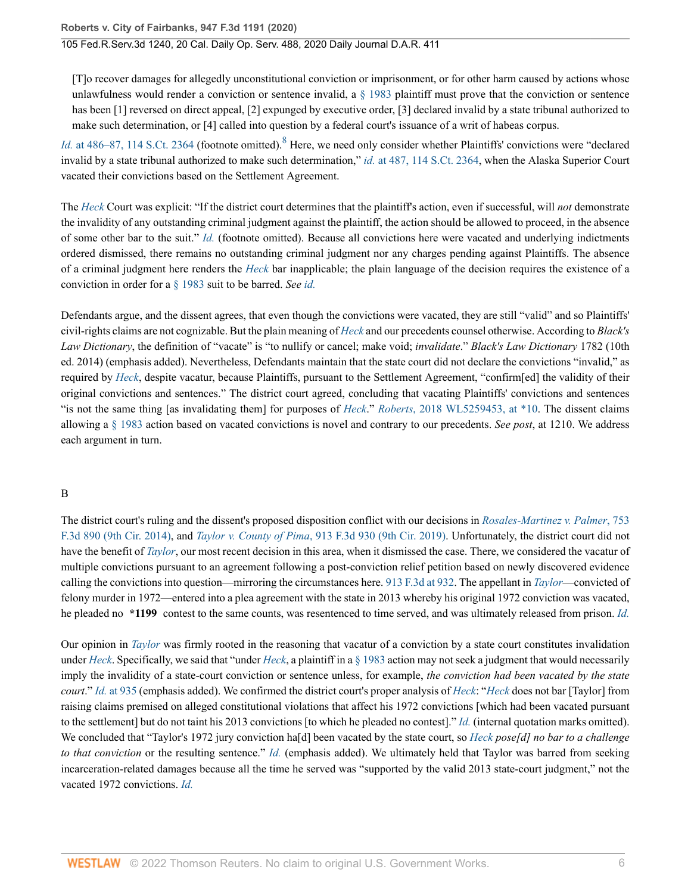<span id="page-5-0"></span>[T]o recover damages for allegedly unconstitutional conviction or imprisonment, or for other harm caused by actions whose unlawfulness would render a conviction or sentence invalid, a  $\S$  1983 plaintiff must prove that the conviction or sentence has been [1] reversed on direct appeal, [2] expunged by executive order, [3] declared invalid by a state tribunal authorized to make such determination, or [4] called into question by a federal court's issuance of a writ of habeas corpus.

Id. [at 486–87, 114 S.Ct. 2364](http://www.westlaw.com/Link/Document/FullText?findType=Y&serNum=1994135537&pubNum=0000708&originatingDoc=I85271cc03d5c11eaa49a848616f1a2d2&refType=RP&fi=co_pp_sp_708_486&originationContext=document&vr=3.0&rs=cblt1.0&transitionType=DocumentItem&contextData=(sc.Search)#co_pp_sp_708_486) (footnote omitted). <sup>[8](#page-16-7)</sup> Here, we need only consider whether Plaintiffs' convictions were "declared invalid by a state tribunal authorized to make such determination," *id.* [at 487, 114 S.Ct. 2364](http://www.westlaw.com/Link/Document/FullText?findType=Y&serNum=1994135537&pubNum=0000708&originatingDoc=I85271cc03d5c11eaa49a848616f1a2d2&refType=RP&fi=co_pp_sp_708_487&originationContext=document&vr=3.0&rs=cblt1.0&transitionType=DocumentItem&contextData=(sc.Search)#co_pp_sp_708_487), when the Alaska Superior Court vacated their convictions based on the Settlement Agreement.

The *[Heck](http://www.westlaw.com/Link/Document/FullText?findType=Y&serNum=1994135537&pubNum=0000780&originatingDoc=I85271cc03d5c11eaa49a848616f1a2d2&refType=RP&originationContext=document&vr=3.0&rs=cblt1.0&transitionType=DocumentItem&contextData=(sc.Search))* Court was explicit: "If the district court determines that the plaintiff's action, even if successful, will *not* demonstrate the invalidity of any outstanding criminal judgment against the plaintiff, the action should be allowed to proceed, in the absence of some other bar to the suit." *[Id.](http://www.westlaw.com/Link/Document/FullText?findType=Y&serNum=1994135537&pubNum=0000780&originatingDoc=I85271cc03d5c11eaa49a848616f1a2d2&refType=RP&originationContext=document&vr=3.0&rs=cblt1.0&transitionType=DocumentItem&contextData=(sc.Search))* (footnote omitted). Because all convictions here were vacated and underlying indictments ordered dismissed, there remains no outstanding criminal judgment nor any charges pending against Plaintiffs. The absence of a criminal judgment here renders the *[Heck](http://www.westlaw.com/Link/Document/FullText?findType=Y&serNum=1994135537&pubNum=0000780&originatingDoc=I85271cc03d5c11eaa49a848616f1a2d2&refType=RP&originationContext=document&vr=3.0&rs=cblt1.0&transitionType=DocumentItem&contextData=(sc.Search))* bar inapplicable; the plain language of the decision requires the existence of a conviction in order for a [§ 1983](http://www.westlaw.com/Link/Document/FullText?findType=L&pubNum=1000546&cite=42USCAS1983&originatingDoc=I85271cc03d5c11eaa49a848616f1a2d2&refType=LQ&originationContext=document&vr=3.0&rs=cblt1.0&transitionType=DocumentItem&contextData=(sc.Search)) suit to be barred. *See [id.](http://www.westlaw.com/Link/Document/FullText?findType=Y&serNum=1994135537&pubNum=0000780&originatingDoc=I85271cc03d5c11eaa49a848616f1a2d2&refType=RP&originationContext=document&vr=3.0&rs=cblt1.0&transitionType=DocumentItem&contextData=(sc.Search))*

Defendants argue, and the dissent agrees, that even though the convictions were vacated, they are still "valid" and so Plaintiffs' civil-rights claims are not cognizable. But the plain meaning of *[Heck](http://www.westlaw.com/Link/Document/FullText?findType=Y&serNum=1994135537&pubNum=0000780&originatingDoc=I85271cc03d5c11eaa49a848616f1a2d2&refType=RP&originationContext=document&vr=3.0&rs=cblt1.0&transitionType=DocumentItem&contextData=(sc.Search))* and our precedents counsel otherwise. According to *Black's Law Dictionary*, the definition of "vacate" is "to nullify or cancel; make void; *invalidate*." *Black's Law Dictionary* 1782 (10th ed. 2014) (emphasis added). Nevertheless, Defendants maintain that the state court did not declare the convictions "invalid," as required by *[Heck](http://www.westlaw.com/Link/Document/FullText?findType=Y&serNum=1994135537&pubNum=0000780&originatingDoc=I85271cc03d5c11eaa49a848616f1a2d2&refType=RP&originationContext=document&vr=3.0&rs=cblt1.0&transitionType=DocumentItem&contextData=(sc.Search))*, despite vacatur, because Plaintiffs, pursuant to the Settlement Agreement, "confirm[ed] the validity of their original convictions and sentences." The district court agreed, concluding that vacating Plaintiffs' convictions and sentences "is not the same thing [as invalidating them] for purposes of *[Heck](http://www.westlaw.com/Link/Document/FullText?findType=Y&serNum=1994135537&pubNum=0000780&originatingDoc=I85271cc03d5c11eaa49a848616f1a2d2&refType=RP&originationContext=document&vr=3.0&rs=cblt1.0&transitionType=DocumentItem&contextData=(sc.Search))*." *Roberts*[, 2018 WL5259453, at \\*10.](http://www.westlaw.com/Link/Document/FullText?findType=Y&serNum=2045827203&pubNum=0000999&originatingDoc=I85271cc03d5c11eaa49a848616f1a2d2&refType=RP&originationContext=document&vr=3.0&rs=cblt1.0&transitionType=DocumentItem&contextData=(sc.Search)) The dissent claims allowing a [§ 1983](http://www.westlaw.com/Link/Document/FullText?findType=L&pubNum=1000546&cite=42USCAS1983&originatingDoc=I85271cc03d5c11eaa49a848616f1a2d2&refType=LQ&originationContext=document&vr=3.0&rs=cblt1.0&transitionType=DocumentItem&contextData=(sc.Search)) action based on vacated convictions is novel and contrary to our precedents. *See post*, at 1210. We address each argument in turn.

#### B

The district court's ruling and the dissent's proposed disposition conflict with our decisions in *[Rosales-Martinez v. Palmer](http://www.westlaw.com/Link/Document/FullText?findType=Y&serNum=2033506915&pubNum=0000506&originatingDoc=I85271cc03d5c11eaa49a848616f1a2d2&refType=RP&originationContext=document&vr=3.0&rs=cblt1.0&transitionType=DocumentItem&contextData=(sc.Search))*, 753 [F.3d 890 \(9th Cir. 2014\)](http://www.westlaw.com/Link/Document/FullText?findType=Y&serNum=2033506915&pubNum=0000506&originatingDoc=I85271cc03d5c11eaa49a848616f1a2d2&refType=RP&originationContext=document&vr=3.0&rs=cblt1.0&transitionType=DocumentItem&contextData=(sc.Search)), and *Taylor v. County of Pima*[, 913 F.3d 930 \(9th Cir. 2019\)](http://www.westlaw.com/Link/Document/FullText?findType=Y&serNum=2047347514&pubNum=0000506&originatingDoc=I85271cc03d5c11eaa49a848616f1a2d2&refType=RP&originationContext=document&vr=3.0&rs=cblt1.0&transitionType=DocumentItem&contextData=(sc.Search)). Unfortunately, the district court did not have the benefit of *[Taylor](http://www.westlaw.com/Link/Document/FullText?findType=Y&serNum=2047347514&pubNum=0000506&originatingDoc=I85271cc03d5c11eaa49a848616f1a2d2&refType=RP&originationContext=document&vr=3.0&rs=cblt1.0&transitionType=DocumentItem&contextData=(sc.Search))*, our most recent decision in this area, when it dismissed the case. There, we considered the vacatur of multiple convictions pursuant to an agreement following a post-conviction relief petition based on newly discovered evidence calling the convictions into question—mirroring the circumstances here. [913 F.3d at 932](http://www.westlaw.com/Link/Document/FullText?findType=Y&serNum=2047347514&pubNum=0000506&originatingDoc=I85271cc03d5c11eaa49a848616f1a2d2&refType=RP&fi=co_pp_sp_506_932&originationContext=document&vr=3.0&rs=cblt1.0&transitionType=DocumentItem&contextData=(sc.Search)#co_pp_sp_506_932). The appellant in *[Taylor](http://www.westlaw.com/Link/Document/FullText?findType=Y&serNum=2047347514&originatingDoc=I85271cc03d5c11eaa49a848616f1a2d2&refType=RP&originationContext=document&vr=3.0&rs=cblt1.0&transitionType=DocumentItem&contextData=(sc.Search))*—convicted of felony murder in 1972—entered into a plea agreement with the state in 2013 whereby his original 1972 conviction was vacated, he pleaded no **\*1199** contest to the same counts, was resentenced to time served, and was ultimately released from prison. *[Id.](http://www.westlaw.com/Link/Document/FullText?findType=Y&serNum=2047347514&pubNum=0000506&originatingDoc=I85271cc03d5c11eaa49a848616f1a2d2&refType=RP&originationContext=document&vr=3.0&rs=cblt1.0&transitionType=DocumentItem&contextData=(sc.Search))*

Our opinion in *[Taylor](http://www.westlaw.com/Link/Document/FullText?findType=Y&serNum=2047347514&pubNum=0000506&originatingDoc=I85271cc03d5c11eaa49a848616f1a2d2&refType=RP&originationContext=document&vr=3.0&rs=cblt1.0&transitionType=DocumentItem&contextData=(sc.Search))* was firmly rooted in the reasoning that vacatur of a conviction by a state court constitutes invalidation under *[Heck](http://www.westlaw.com/Link/Document/FullText?findType=Y&serNum=1994135537&pubNum=0000780&originatingDoc=I85271cc03d5c11eaa49a848616f1a2d2&refType=RP&originationContext=document&vr=3.0&rs=cblt1.0&transitionType=DocumentItem&contextData=(sc.Search))*. Specifically, we said that "under *[Heck](http://www.westlaw.com/Link/Document/FullText?findType=Y&serNum=1994135537&pubNum=0000780&originatingDoc=I85271cc03d5c11eaa49a848616f1a2d2&refType=RP&originationContext=document&vr=3.0&rs=cblt1.0&transitionType=DocumentItem&contextData=(sc.Search))*, a plaintiff in a [§ 1983](http://www.westlaw.com/Link/Document/FullText?findType=L&pubNum=1000546&cite=42USCAS1983&originatingDoc=I85271cc03d5c11eaa49a848616f1a2d2&refType=LQ&originationContext=document&vr=3.0&rs=cblt1.0&transitionType=DocumentItem&contextData=(sc.Search)) action may not seek a judgment that would necessarily imply the invalidity of a state-court conviction or sentence unless, for example, *the conviction had been vacated by the state court*." *Id.* [at 935](http://www.westlaw.com/Link/Document/FullText?findType=Y&serNum=2047347514&pubNum=0000506&originatingDoc=I85271cc03d5c11eaa49a848616f1a2d2&refType=RP&fi=co_pp_sp_506_935&originationContext=document&vr=3.0&rs=cblt1.0&transitionType=DocumentItem&contextData=(sc.Search)#co_pp_sp_506_935) (emphasis added). We confirmed the district court's proper analysis of *[Heck](http://www.westlaw.com/Link/Document/FullText?findType=Y&serNum=1994135537&pubNum=0000780&originatingDoc=I85271cc03d5c11eaa49a848616f1a2d2&refType=RP&originationContext=document&vr=3.0&rs=cblt1.0&transitionType=DocumentItem&contextData=(sc.Search))*: "*[Heck](http://www.westlaw.com/Link/Document/FullText?findType=Y&serNum=1994135537&pubNum=0000780&originatingDoc=I85271cc03d5c11eaa49a848616f1a2d2&refType=RP&originationContext=document&vr=3.0&rs=cblt1.0&transitionType=DocumentItem&contextData=(sc.Search))* does not bar [Taylor] from raising claims premised on alleged constitutional violations that affect his 1972 convictions [which had been vacated pursuant to the settlement] but do not taint his 2013 convictions [to which he pleaded no contest]." *[Id.](http://www.westlaw.com/Link/Document/FullText?findType=Y&serNum=2047347514&pubNum=0000506&originatingDoc=I85271cc03d5c11eaa49a848616f1a2d2&refType=RP&originationContext=document&vr=3.0&rs=cblt1.0&transitionType=DocumentItem&contextData=(sc.Search))* (internal quotation marks omitted). We concluded that "Taylor's 1972 jury conviction ha[d] been vacated by the state court, so *[Heck](http://www.westlaw.com/Link/Document/FullText?findType=Y&serNum=1994135537&originatingDoc=I85271cc03d5c11eaa49a848616f1a2d2&refType=RP&originationContext=document&vr=3.0&rs=cblt1.0&transitionType=DocumentItem&contextData=(sc.Search)) pose[d] no bar to a challenge to that conviction* or the resulting sentence." *[Id.](http://www.westlaw.com/Link/Document/FullText?findType=Y&serNum=2047347514&pubNum=0000506&originatingDoc=I85271cc03d5c11eaa49a848616f1a2d2&refType=RP&originationContext=document&vr=3.0&rs=cblt1.0&transitionType=DocumentItem&contextData=(sc.Search))* (emphasis added). We ultimately held that Taylor was barred from seeking incarceration-related damages because all the time he served was "supported by the valid 2013 state-court judgment," not the vacated 1972 convictions. *[Id.](http://www.westlaw.com/Link/Document/FullText?findType=Y&serNum=2047347514&pubNum=0000506&originatingDoc=I85271cc03d5c11eaa49a848616f1a2d2&refType=RP&originationContext=document&vr=3.0&rs=cblt1.0&transitionType=DocumentItem&contextData=(sc.Search))*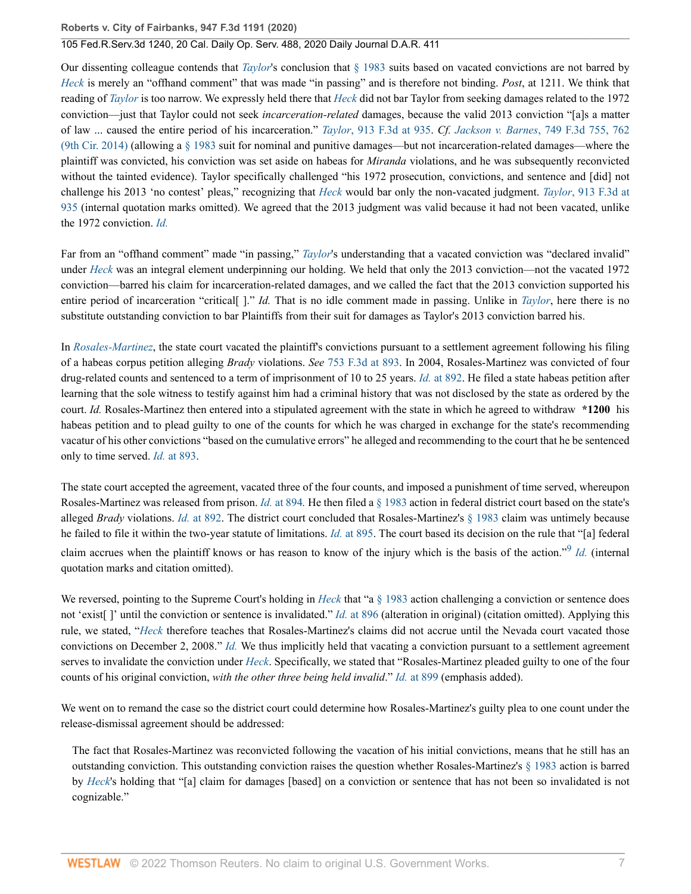Our dissenting colleague contends that *[Taylor](http://www.westlaw.com/Link/Document/FullText?findType=Y&serNum=2047347514&pubNum=0000506&originatingDoc=I85271cc03d5c11eaa49a848616f1a2d2&refType=RP&originationContext=document&vr=3.0&rs=cblt1.0&transitionType=DocumentItem&contextData=(sc.Search))*'s conclusion that [§ 1983](http://www.westlaw.com/Link/Document/FullText?findType=L&pubNum=1000546&cite=42USCAS1983&originatingDoc=I85271cc03d5c11eaa49a848616f1a2d2&refType=LQ&originationContext=document&vr=3.0&rs=cblt1.0&transitionType=DocumentItem&contextData=(sc.Search)) suits based on vacated convictions are not barred by *[Heck](http://www.westlaw.com/Link/Document/FullText?findType=Y&serNum=1994135537&pubNum=0000780&originatingDoc=I85271cc03d5c11eaa49a848616f1a2d2&refType=RP&originationContext=document&vr=3.0&rs=cblt1.0&transitionType=DocumentItem&contextData=(sc.Search))* is merely an "offhand comment" that was made "in passing" and is therefore not binding. *Post*, at 1211. We think that reading of *[Taylor](http://www.westlaw.com/Link/Document/FullText?findType=Y&serNum=2047347514&pubNum=0000506&originatingDoc=I85271cc03d5c11eaa49a848616f1a2d2&refType=RP&originationContext=document&vr=3.0&rs=cblt1.0&transitionType=DocumentItem&contextData=(sc.Search))* is too narrow. We expressly held there that *[Heck](http://www.westlaw.com/Link/Document/FullText?findType=Y&serNum=1994135537&pubNum=0000780&originatingDoc=I85271cc03d5c11eaa49a848616f1a2d2&refType=RP&originationContext=document&vr=3.0&rs=cblt1.0&transitionType=DocumentItem&contextData=(sc.Search))* did not bar Taylor from seeking damages related to the 1972 conviction—just that Taylor could not seek *incarceration-related* damages, because the valid 2013 conviction "[a]s a matter of law ... caused the entire period of his incarceration." *Taylor*[, 913 F.3d at 935.](http://www.westlaw.com/Link/Document/FullText?findType=Y&serNum=2047347514&pubNum=0000506&originatingDoc=I85271cc03d5c11eaa49a848616f1a2d2&refType=RP&fi=co_pp_sp_506_935&originationContext=document&vr=3.0&rs=cblt1.0&transitionType=DocumentItem&contextData=(sc.Search)#co_pp_sp_506_935) *Cf. Jackson v. Barnes*[, 749 F.3d 755, 762](http://www.westlaw.com/Link/Document/FullText?findType=Y&serNum=2033161835&pubNum=0000506&originatingDoc=I85271cc03d5c11eaa49a848616f1a2d2&refType=RP&fi=co_pp_sp_506_762&originationContext=document&vr=3.0&rs=cblt1.0&transitionType=DocumentItem&contextData=(sc.Search)#co_pp_sp_506_762) [\(9th Cir. 2014\)](http://www.westlaw.com/Link/Document/FullText?findType=Y&serNum=2033161835&pubNum=0000506&originatingDoc=I85271cc03d5c11eaa49a848616f1a2d2&refType=RP&fi=co_pp_sp_506_762&originationContext=document&vr=3.0&rs=cblt1.0&transitionType=DocumentItem&contextData=(sc.Search)#co_pp_sp_506_762) (allowing a  $\S$  1983 suit for nominal and punitive damages—but not incarceration-related damages—where the plaintiff was convicted, his conviction was set aside on habeas for *Miranda* violations, and he was subsequently reconvicted without the tainted evidence). Taylor specifically challenged "his 1972 prosecution, convictions, and sentence and [did] not challenge his 2013 'no contest' pleas," recognizing that *[Heck](http://www.westlaw.com/Link/Document/FullText?findType=Y&serNum=1994135537&pubNum=0000780&originatingDoc=I85271cc03d5c11eaa49a848616f1a2d2&refType=RP&originationContext=document&vr=3.0&rs=cblt1.0&transitionType=DocumentItem&contextData=(sc.Search))* would bar only the non-vacated judgment. *Taylor*[, 913 F.3d at](http://www.westlaw.com/Link/Document/FullText?findType=Y&serNum=2047347514&pubNum=0000506&originatingDoc=I85271cc03d5c11eaa49a848616f1a2d2&refType=RP&fi=co_pp_sp_506_935&originationContext=document&vr=3.0&rs=cblt1.0&transitionType=DocumentItem&contextData=(sc.Search)#co_pp_sp_506_935) [935](http://www.westlaw.com/Link/Document/FullText?findType=Y&serNum=2047347514&pubNum=0000506&originatingDoc=I85271cc03d5c11eaa49a848616f1a2d2&refType=RP&fi=co_pp_sp_506_935&originationContext=document&vr=3.0&rs=cblt1.0&transitionType=DocumentItem&contextData=(sc.Search)#co_pp_sp_506_935) (internal quotation marks omitted). We agreed that the 2013 judgment was valid because it had not been vacated, unlike the 1972 conviction. *[Id.](http://www.westlaw.com/Link/Document/FullText?findType=Y&serNum=2047347514&pubNum=0000506&originatingDoc=I85271cc03d5c11eaa49a848616f1a2d2&refType=RP&originationContext=document&vr=3.0&rs=cblt1.0&transitionType=DocumentItem&contextData=(sc.Search))*

Far from an "offhand comment" made "in passing," *[Taylor](http://www.westlaw.com/Link/Document/FullText?findType=Y&serNum=2047347514&pubNum=0000506&originatingDoc=I85271cc03d5c11eaa49a848616f1a2d2&refType=RP&originationContext=document&vr=3.0&rs=cblt1.0&transitionType=DocumentItem&contextData=(sc.Search))*'s understanding that a vacated conviction was "declared invalid" under *[Heck](http://www.westlaw.com/Link/Document/FullText?findType=Y&serNum=1994135537&pubNum=0000780&originatingDoc=I85271cc03d5c11eaa49a848616f1a2d2&refType=RP&originationContext=document&vr=3.0&rs=cblt1.0&transitionType=DocumentItem&contextData=(sc.Search))* was an integral element underpinning our holding. We held that only the 2013 conviction—not the vacated 1972 conviction—barred his claim for incarceration-related damages, and we called the fact that the 2013 conviction supported his entire period of incarceration "critical[ ]." *Id.* That is no idle comment made in passing. Unlike in *[Taylor](http://www.westlaw.com/Link/Document/FullText?findType=Y&serNum=2047347514&pubNum=0000506&originatingDoc=I85271cc03d5c11eaa49a848616f1a2d2&refType=RP&originationContext=document&vr=3.0&rs=cblt1.0&transitionType=DocumentItem&contextData=(sc.Search))*, here there is no substitute outstanding conviction to bar Plaintiffs from their suit for damages as Taylor's 2013 conviction barred his.

In *[Rosales-Martinez](http://www.westlaw.com/Link/Document/FullText?findType=Y&serNum=2033506915&pubNum=0000506&originatingDoc=I85271cc03d5c11eaa49a848616f1a2d2&refType=RP&originationContext=document&vr=3.0&rs=cblt1.0&transitionType=DocumentItem&contextData=(sc.Search))*, the state court vacated the plaintiff's convictions pursuant to a settlement agreement following his filing of a habeas corpus petition alleging *Brady* violations. *See* [753 F.3d at 893.](http://www.westlaw.com/Link/Document/FullText?findType=Y&serNum=2033506915&pubNum=0000506&originatingDoc=I85271cc03d5c11eaa49a848616f1a2d2&refType=RP&fi=co_pp_sp_506_893&originationContext=document&vr=3.0&rs=cblt1.0&transitionType=DocumentItem&contextData=(sc.Search)#co_pp_sp_506_893) In 2004, Rosales-Martinez was convicted of four drug-related counts and sentenced to a term of imprisonment of 10 to 25 years. *Id.* [at 892](http://www.westlaw.com/Link/Document/FullText?findType=Y&serNum=2033506915&pubNum=0000506&originatingDoc=I85271cc03d5c11eaa49a848616f1a2d2&refType=RP&fi=co_pp_sp_506_892&originationContext=document&vr=3.0&rs=cblt1.0&transitionType=DocumentItem&contextData=(sc.Search)#co_pp_sp_506_892). He filed a state habeas petition after learning that the sole witness to testify against him had a criminal history that was not disclosed by the state as ordered by the court. *Id.* Rosales-Martinez then entered into a stipulated agreement with the state in which he agreed to withdraw **\*1200** his habeas petition and to plead guilty to one of the counts for which he was charged in exchange for the state's recommending vacatur of his other convictions "based on the cumulative errors" he alleged and recommending to the court that he be sentenced only to time served. *Id.* [at 893.](http://www.westlaw.com/Link/Document/FullText?findType=Y&serNum=2033506915&pubNum=0000506&originatingDoc=I85271cc03d5c11eaa49a848616f1a2d2&refType=RP&fi=co_pp_sp_506_893&originationContext=document&vr=3.0&rs=cblt1.0&transitionType=DocumentItem&contextData=(sc.Search)#co_pp_sp_506_893)

The state court accepted the agreement, vacated three of the four counts, and imposed a punishment of time served, whereupon Rosales-Martinez was released from prison. *Id.* [at 894](http://www.westlaw.com/Link/Document/FullText?findType=Y&serNum=2033506915&pubNum=0000506&originatingDoc=I85271cc03d5c11eaa49a848616f1a2d2&refType=RP&fi=co_pp_sp_506_894&originationContext=document&vr=3.0&rs=cblt1.0&transitionType=DocumentItem&contextData=(sc.Search)#co_pp_sp_506_894)*.* He then filed a [§ 1983](http://www.westlaw.com/Link/Document/FullText?findType=L&pubNum=1000546&cite=42USCAS1983&originatingDoc=I85271cc03d5c11eaa49a848616f1a2d2&refType=LQ&originationContext=document&vr=3.0&rs=cblt1.0&transitionType=DocumentItem&contextData=(sc.Search)) action in federal district court based on the state's alleged *Brady* violations. *Id.* [at 892](http://www.westlaw.com/Link/Document/FullText?findType=Y&serNum=2033506915&pubNum=0000506&originatingDoc=I85271cc03d5c11eaa49a848616f1a2d2&refType=RP&fi=co_pp_sp_506_892&originationContext=document&vr=3.0&rs=cblt1.0&transitionType=DocumentItem&contextData=(sc.Search)#co_pp_sp_506_892). The district court concluded that Rosales-Martinez's [§ 1983](http://www.westlaw.com/Link/Document/FullText?findType=L&pubNum=1000546&cite=42USCAS1983&originatingDoc=I85271cc03d5c11eaa49a848616f1a2d2&refType=LQ&originationContext=document&vr=3.0&rs=cblt1.0&transitionType=DocumentItem&contextData=(sc.Search)) claim was untimely because he failed to file it within the two-year statute of limitations. *Id.* [at 895.](http://www.westlaw.com/Link/Document/FullText?findType=Y&serNum=2033506915&pubNum=0000506&originatingDoc=I85271cc03d5c11eaa49a848616f1a2d2&refType=RP&fi=co_pp_sp_506_895&originationContext=document&vr=3.0&rs=cblt1.0&transitionType=DocumentItem&contextData=(sc.Search)#co_pp_sp_506_895) The court based its decision on the rule that "[a] federal claim accrues when the plaintiff knows or has reason to know of the injury which is the basis of the action."[9](#page-17-0) *[Id.](http://www.westlaw.com/Link/Document/FullText?findType=Y&serNum=2033506915&pubNum=0000506&originatingDoc=I85271cc03d5c11eaa49a848616f1a2d2&refType=RP&originationContext=document&vr=3.0&rs=cblt1.0&transitionType=DocumentItem&contextData=(sc.Search))* (internal quotation marks and citation omitted).

<span id="page-6-0"></span>We reversed, pointing to the Supreme Court's holding in *[Heck](http://www.westlaw.com/Link/Document/FullText?findType=Y&serNum=1994135537&pubNum=0000780&originatingDoc=I85271cc03d5c11eaa49a848616f1a2d2&refType=RP&originationContext=document&vr=3.0&rs=cblt1.0&transitionType=DocumentItem&contextData=(sc.Search))* that "a [§ 1983](http://www.westlaw.com/Link/Document/FullText?findType=L&pubNum=1000546&cite=42USCAS1983&originatingDoc=I85271cc03d5c11eaa49a848616f1a2d2&refType=LQ&originationContext=document&vr=3.0&rs=cblt1.0&transitionType=DocumentItem&contextData=(sc.Search)) action challenging a conviction or sentence does not 'exist[ ]' until the conviction or sentence is invalidated." *Id.* [at 896](http://www.westlaw.com/Link/Document/FullText?findType=Y&serNum=2033506915&pubNum=0000506&originatingDoc=I85271cc03d5c11eaa49a848616f1a2d2&refType=RP&fi=co_pp_sp_506_896&originationContext=document&vr=3.0&rs=cblt1.0&transitionType=DocumentItem&contextData=(sc.Search)#co_pp_sp_506_896) (alteration in original) (citation omitted). Applying this rule, we stated, "*[Heck](http://www.westlaw.com/Link/Document/FullText?findType=Y&serNum=1994135537&pubNum=0000780&originatingDoc=I85271cc03d5c11eaa49a848616f1a2d2&refType=RP&originationContext=document&vr=3.0&rs=cblt1.0&transitionType=DocumentItem&contextData=(sc.Search))* therefore teaches that Rosales-Martinez's claims did not accrue until the Nevada court vacated those convictions on December 2, 2008." *[Id.](http://www.westlaw.com/Link/Document/FullText?findType=Y&serNum=2033506915&pubNum=0000506&originatingDoc=I85271cc03d5c11eaa49a848616f1a2d2&refType=RP&originationContext=document&vr=3.0&rs=cblt1.0&transitionType=DocumentItem&contextData=(sc.Search))* We thus implicitly held that vacating a conviction pursuant to a settlement agreement serves to invalidate the conviction under *[Heck](http://www.westlaw.com/Link/Document/FullText?findType=Y&serNum=1994135537&pubNum=0000780&originatingDoc=I85271cc03d5c11eaa49a848616f1a2d2&refType=RP&originationContext=document&vr=3.0&rs=cblt1.0&transitionType=DocumentItem&contextData=(sc.Search))*. Specifically, we stated that "Rosales-Martinez pleaded guilty to one of the four counts of his original conviction, *with the other three being held invalid*." *Id.* [at 899](http://www.westlaw.com/Link/Document/FullText?findType=Y&serNum=2033506915&pubNum=0000506&originatingDoc=I85271cc03d5c11eaa49a848616f1a2d2&refType=RP&fi=co_pp_sp_506_899&originationContext=document&vr=3.0&rs=cblt1.0&transitionType=DocumentItem&contextData=(sc.Search)#co_pp_sp_506_899) (emphasis added).

We went on to remand the case so the district court could determine how Rosales-Martinez's guilty plea to one count under the release-dismissal agreement should be addressed:

The fact that Rosales-Martinez was reconvicted following the vacation of his initial convictions, means that he still has an outstanding conviction. This outstanding conviction raises the question whether Rosales-Martinez's [§ 1983](http://www.westlaw.com/Link/Document/FullText?findType=L&pubNum=1000546&cite=42USCAS1983&originatingDoc=I85271cc03d5c11eaa49a848616f1a2d2&refType=LQ&originationContext=document&vr=3.0&rs=cblt1.0&transitionType=DocumentItem&contextData=(sc.Search)) action is barred by *[Heck](http://www.westlaw.com/Link/Document/FullText?findType=Y&serNum=1994135537&pubNum=0000780&originatingDoc=I85271cc03d5c11eaa49a848616f1a2d2&refType=RP&originationContext=document&vr=3.0&rs=cblt1.0&transitionType=DocumentItem&contextData=(sc.Search))*'s holding that "[a] claim for damages [based] on a conviction or sentence that has not been so invalidated is not cognizable."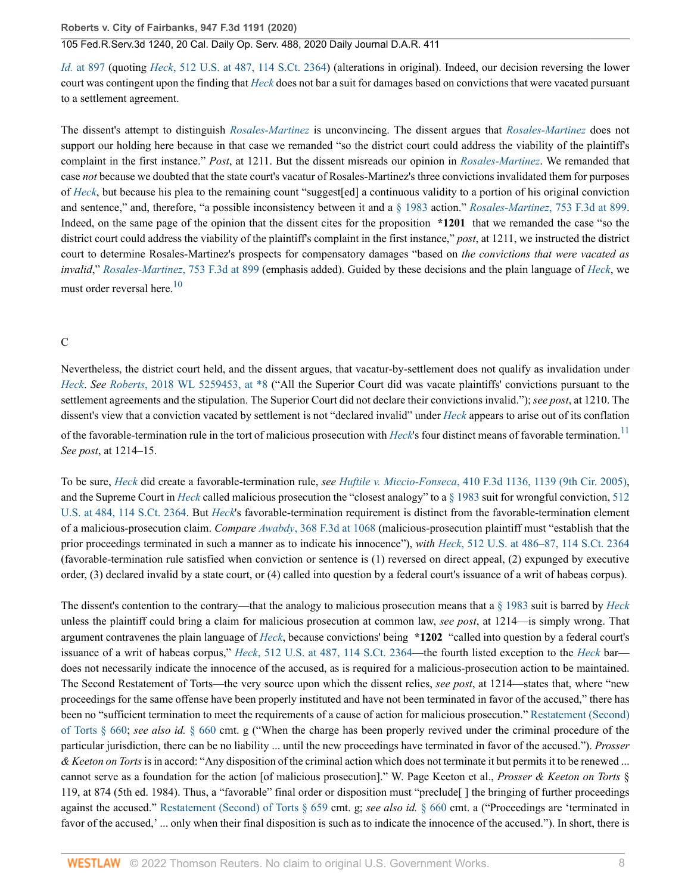### 105 Fed.R.Serv.3d 1240, 20 Cal. Daily Op. Serv. 488, 2020 Daily Journal D.A.R. 411

*Id.* [at 897](http://www.westlaw.com/Link/Document/FullText?findType=Y&serNum=2033506915&pubNum=0000506&originatingDoc=I85271cc03d5c11eaa49a848616f1a2d2&refType=RP&fi=co_pp_sp_506_897&originationContext=document&vr=3.0&rs=cblt1.0&transitionType=DocumentItem&contextData=(sc.Search)#co_pp_sp_506_897) (quoting *Heck*[, 512 U.S. at 487, 114 S.Ct. 2364](http://www.westlaw.com/Link/Document/FullText?findType=Y&serNum=1994135537&pubNum=0000780&originatingDoc=I85271cc03d5c11eaa49a848616f1a2d2&refType=RP&fi=co_pp_sp_780_487&originationContext=document&vr=3.0&rs=cblt1.0&transitionType=DocumentItem&contextData=(sc.Search)#co_pp_sp_780_487)) (alterations in original). Indeed, our decision reversing the lower court was contingent upon the finding that *[Heck](http://www.westlaw.com/Link/Document/FullText?findType=Y&serNum=1994135537&pubNum=0000780&originatingDoc=I85271cc03d5c11eaa49a848616f1a2d2&refType=RP&originationContext=document&vr=3.0&rs=cblt1.0&transitionType=DocumentItem&contextData=(sc.Search))* does not bar a suit for damages based on convictions that were vacated pursuant to a settlement agreement.

The dissent's attempt to distinguish *[Rosales-Martinez](http://www.westlaw.com/Link/Document/FullText?findType=Y&serNum=2033506915&pubNum=0000506&originatingDoc=I85271cc03d5c11eaa49a848616f1a2d2&refType=RP&originationContext=document&vr=3.0&rs=cblt1.0&transitionType=DocumentItem&contextData=(sc.Search))* is unconvincing. The dissent argues that *[Rosales-Martinez](http://www.westlaw.com/Link/Document/FullText?findType=Y&serNum=2033506915&pubNum=0000506&originatingDoc=I85271cc03d5c11eaa49a848616f1a2d2&refType=RP&originationContext=document&vr=3.0&rs=cblt1.0&transitionType=DocumentItem&contextData=(sc.Search))* does not support our holding here because in that case we remanded "so the district court could address the viability of the plaintiff's complaint in the first instance." *Post*, at 1211. But the dissent misreads our opinion in *[Rosales-Martinez](http://www.westlaw.com/Link/Document/FullText?findType=Y&serNum=2033506915&pubNum=0000506&originatingDoc=I85271cc03d5c11eaa49a848616f1a2d2&refType=RP&originationContext=document&vr=3.0&rs=cblt1.0&transitionType=DocumentItem&contextData=(sc.Search))*. We remanded that case *not* because we doubted that the state court's vacatur of Rosales-Martinez's three convictions invalidated them for purposes of *[Heck](http://www.westlaw.com/Link/Document/FullText?findType=Y&serNum=1994135537&pubNum=0000780&originatingDoc=I85271cc03d5c11eaa49a848616f1a2d2&refType=RP&originationContext=document&vr=3.0&rs=cblt1.0&transitionType=DocumentItem&contextData=(sc.Search))*, but because his plea to the remaining count "suggest[ed] a continuous validity to a portion of his original conviction and sentence," and, therefore, "a possible inconsistency between it and a [§ 1983](http://www.westlaw.com/Link/Document/FullText?findType=L&pubNum=1000546&cite=42USCAS1983&originatingDoc=I85271cc03d5c11eaa49a848616f1a2d2&refType=LQ&originationContext=document&vr=3.0&rs=cblt1.0&transitionType=DocumentItem&contextData=(sc.Search)) action." *[Rosales-Martinez](http://www.westlaw.com/Link/Document/FullText?findType=Y&serNum=2033506915&pubNum=0000506&originatingDoc=I85271cc03d5c11eaa49a848616f1a2d2&refType=RP&fi=co_pp_sp_506_899&originationContext=document&vr=3.0&rs=cblt1.0&transitionType=DocumentItem&contextData=(sc.Search)#co_pp_sp_506_899)*, 753 F.3d at 899. Indeed, on the same page of the opinion that the dissent cites for the proposition **\*1201** that we remanded the case "so the district court could address the viability of the plaintiff's complaint in the first instance," *post*, at 1211, we instructed the district court to determine Rosales-Martinez's prospects for compensatory damages "based on *the convictions that were vacated as invalid*," *[Rosales-Martinez](http://www.westlaw.com/Link/Document/FullText?findType=Y&serNum=2033506915&pubNum=0000506&originatingDoc=I85271cc03d5c11eaa49a848616f1a2d2&refType=RP&fi=co_pp_sp_506_899&originationContext=document&vr=3.0&rs=cblt1.0&transitionType=DocumentItem&contextData=(sc.Search)#co_pp_sp_506_899)*, 753 F.3d at 899 (emphasis added). Guided by these decisions and the plain language of *[Heck](http://www.westlaw.com/Link/Document/FullText?findType=Y&serNum=1994135537&pubNum=0000780&originatingDoc=I85271cc03d5c11eaa49a848616f1a2d2&refType=RP&originationContext=document&vr=3.0&rs=cblt1.0&transitionType=DocumentItem&contextData=(sc.Search))*, we must order reversal here. $10$ 

#### <span id="page-7-0"></span>C

Nevertheless, the district court held, and the dissent argues, that vacatur-by-settlement does not qualify as invalidation under *[Heck](http://www.westlaw.com/Link/Document/FullText?findType=Y&serNum=1994135537&pubNum=0000780&originatingDoc=I85271cc03d5c11eaa49a848616f1a2d2&refType=RP&originationContext=document&vr=3.0&rs=cblt1.0&transitionType=DocumentItem&contextData=(sc.Search))*. *See Roberts*[, 2018 WL 5259453, at \\*8](http://www.westlaw.com/Link/Document/FullText?findType=Y&serNum=2045827203&pubNum=0000999&originatingDoc=I85271cc03d5c11eaa49a848616f1a2d2&refType=RP&originationContext=document&vr=3.0&rs=cblt1.0&transitionType=DocumentItem&contextData=(sc.Search)) ("All the Superior Court did was vacate plaintiffs' convictions pursuant to the settlement agreements and the stipulation. The Superior Court did not declare their convictions invalid."); *see post*, at 1210. The dissent's view that a conviction vacated by settlement is not "declared invalid" under *[Heck](http://www.westlaw.com/Link/Document/FullText?findType=Y&serNum=1994135537&pubNum=0000780&originatingDoc=I85271cc03d5c11eaa49a848616f1a2d2&refType=RP&originationContext=document&vr=3.0&rs=cblt1.0&transitionType=DocumentItem&contextData=(sc.Search))* appears to arise out of its conflation of the favorable-termination rule in the tort of malicious prosecution with *[Heck](http://www.westlaw.com/Link/Document/FullText?findType=Y&serNum=1994135537&originatingDoc=I85271cc03d5c11eaa49a848616f1a2d2&refType=RP&originationContext=document&vr=3.0&rs=cblt1.0&transitionType=DocumentItem&contextData=(sc.Search))*'s four distinct means of favorable termination.<sup>[11](#page-17-2)</sup> *See post*, at 1214–15.

<span id="page-7-1"></span>To be sure, *[Heck](http://www.westlaw.com/Link/Document/FullText?findType=Y&serNum=1994135537&pubNum=0000780&originatingDoc=I85271cc03d5c11eaa49a848616f1a2d2&refType=RP&originationContext=document&vr=3.0&rs=cblt1.0&transitionType=DocumentItem&contextData=(sc.Search))* did create a favorable-termination rule, *see Huftile v. Miccio-Fonseca*[, 410 F.3d 1136, 1139 \(9th Cir. 2005\)](http://www.westlaw.com/Link/Document/FullText?findType=Y&serNum=2006777196&pubNum=0000506&originatingDoc=I85271cc03d5c11eaa49a848616f1a2d2&refType=RP&fi=co_pp_sp_506_1139&originationContext=document&vr=3.0&rs=cblt1.0&transitionType=DocumentItem&contextData=(sc.Search)#co_pp_sp_506_1139), and the Supreme Court in *[Heck](http://www.westlaw.com/Link/Document/FullText?findType=Y&serNum=1994135537&pubNum=0000780&originatingDoc=I85271cc03d5c11eaa49a848616f1a2d2&refType=RP&originationContext=document&vr=3.0&rs=cblt1.0&transitionType=DocumentItem&contextData=(sc.Search))* called malicious prosecution the "closest analogy" to a [§ 1983](http://www.westlaw.com/Link/Document/FullText?findType=L&pubNum=1000546&cite=42USCAS1983&originatingDoc=I85271cc03d5c11eaa49a848616f1a2d2&refType=LQ&originationContext=document&vr=3.0&rs=cblt1.0&transitionType=DocumentItem&contextData=(sc.Search)) suit for wrongful conviction, [512](http://www.westlaw.com/Link/Document/FullText?findType=Y&serNum=1994135537&pubNum=0000780&originatingDoc=I85271cc03d5c11eaa49a848616f1a2d2&refType=RP&fi=co_pp_sp_780_484&originationContext=document&vr=3.0&rs=cblt1.0&transitionType=DocumentItem&contextData=(sc.Search)#co_pp_sp_780_484) [U.S. at 484, 114 S.Ct. 2364](http://www.westlaw.com/Link/Document/FullText?findType=Y&serNum=1994135537&pubNum=0000780&originatingDoc=I85271cc03d5c11eaa49a848616f1a2d2&refType=RP&fi=co_pp_sp_780_484&originationContext=document&vr=3.0&rs=cblt1.0&transitionType=DocumentItem&contextData=(sc.Search)#co_pp_sp_780_484). But *[Heck](http://www.westlaw.com/Link/Document/FullText?findType=Y&serNum=1994135537&pubNum=0000780&originatingDoc=I85271cc03d5c11eaa49a848616f1a2d2&refType=RP&originationContext=document&vr=3.0&rs=cblt1.0&transitionType=DocumentItem&contextData=(sc.Search))*'s favorable-termination requirement is distinct from the favorable-termination element of a malicious-prosecution claim. *Compare Awabdy*[, 368 F.3d at 1068](http://www.westlaw.com/Link/Document/FullText?findType=Y&serNum=2004493586&pubNum=0000506&originatingDoc=I85271cc03d5c11eaa49a848616f1a2d2&refType=RP&fi=co_pp_sp_506_1068&originationContext=document&vr=3.0&rs=cblt1.0&transitionType=DocumentItem&contextData=(sc.Search)#co_pp_sp_506_1068) (malicious-prosecution plaintiff must "establish that the prior proceedings terminated in such a manner as to indicate his innocence"), *with Heck*[, 512 U.S. at 486–87, 114 S.Ct. 2364](http://www.westlaw.com/Link/Document/FullText?findType=Y&serNum=1994135537&pubNum=0000780&originatingDoc=I85271cc03d5c11eaa49a848616f1a2d2&refType=RP&fi=co_pp_sp_780_486&originationContext=document&vr=3.0&rs=cblt1.0&transitionType=DocumentItem&contextData=(sc.Search)#co_pp_sp_780_486) (favorable-termination rule satisfied when conviction or sentence is (1) reversed on direct appeal, (2) expunged by executive order, (3) declared invalid by a state court, or (4) called into question by a federal court's issuance of a writ of habeas corpus).

The dissent's contention to the contrary—that the analogy to malicious prosecution means that a [§ 1983](http://www.westlaw.com/Link/Document/FullText?findType=L&pubNum=1000546&cite=42USCAS1983&originatingDoc=I85271cc03d5c11eaa49a848616f1a2d2&refType=LQ&originationContext=document&vr=3.0&rs=cblt1.0&transitionType=DocumentItem&contextData=(sc.Search)) suit is barred by *[Heck](http://www.westlaw.com/Link/Document/FullText?findType=Y&serNum=1994135537&pubNum=0000780&originatingDoc=I85271cc03d5c11eaa49a848616f1a2d2&refType=RP&originationContext=document&vr=3.0&rs=cblt1.0&transitionType=DocumentItem&contextData=(sc.Search))* unless the plaintiff could bring a claim for malicious prosecution at common law, *see post*, at 1214—is simply wrong. That argument contravenes the plain language of *[Heck](http://www.westlaw.com/Link/Document/FullText?findType=Y&serNum=1994135537&pubNum=0000780&originatingDoc=I85271cc03d5c11eaa49a848616f1a2d2&refType=RP&originationContext=document&vr=3.0&rs=cblt1.0&transitionType=DocumentItem&contextData=(sc.Search))*, because convictions' being **\*1202** "called into question by a federal court's issuance of a writ of habeas corpus," *Heck*[, 512 U.S. at 487, 114 S.Ct. 2364](http://www.westlaw.com/Link/Document/FullText?findType=Y&serNum=1994135537&pubNum=0000780&originatingDoc=I85271cc03d5c11eaa49a848616f1a2d2&refType=RP&fi=co_pp_sp_780_487&originationContext=document&vr=3.0&rs=cblt1.0&transitionType=DocumentItem&contextData=(sc.Search)#co_pp_sp_780_487)—the fourth listed exception to the *[Heck](http://www.westlaw.com/Link/Document/FullText?findType=Y&serNum=1994135537&pubNum=0000780&originatingDoc=I85271cc03d5c11eaa49a848616f1a2d2&refType=RP&originationContext=document&vr=3.0&rs=cblt1.0&transitionType=DocumentItem&contextData=(sc.Search))* bar does not necessarily indicate the innocence of the accused, as is required for a malicious-prosecution action to be maintained. The Second Restatement of Torts—the very source upon which the dissent relies, *see post*, at 1214—states that, where "new proceedings for the same offense have been properly instituted and have not been terminated in favor of the accused," there has been no "sufficient termination to meet the requirements of a cause of action for malicious prosecution." [Restatement \(Second\)](http://www.westlaw.com/Link/Document/FullText?findType=Y&serNum=0290694588&pubNum=0101577&originatingDoc=I85271cc03d5c11eaa49a848616f1a2d2&refType=TS&originationContext=document&vr=3.0&rs=cblt1.0&transitionType=DocumentItem&contextData=(sc.Search)) [of Torts § 660;](http://www.westlaw.com/Link/Document/FullText?findType=Y&serNum=0290694588&pubNum=0101577&originatingDoc=I85271cc03d5c11eaa49a848616f1a2d2&refType=TS&originationContext=document&vr=3.0&rs=cblt1.0&transitionType=DocumentItem&contextData=(sc.Search)) *see also id.* [§ 660](http://www.westlaw.com/Link/Document/FullText?findType=Y&serNum=0290694588&pubNum=0101577&originatingDoc=I85271cc03d5c11eaa49a848616f1a2d2&refType=TS&originationContext=document&vr=3.0&rs=cblt1.0&transitionType=DocumentItem&contextData=(sc.Search)) cmt. g ("When the charge has been properly revived under the criminal procedure of the particular jurisdiction, there can be no liability ... until the new proceedings have terminated in favor of the accused."). *Prosser & Keeton on Torts* is in accord: "Any disposition of the criminal action which does not terminate it but permits it to be renewed ... cannot serve as a foundation for the action [of malicious prosecution]." W. Page Keeton et al., *Prosser & Keeton on Torts* § 119, at 874 (5th ed. 1984). Thus, a "favorable" final order or disposition must "preclude[ ] the bringing of further proceedings against the accused." [Restatement \(Second\) of Torts § 659](http://www.westlaw.com/Link/Document/FullText?findType=Y&serNum=0290694587&pubNum=0101577&originatingDoc=I85271cc03d5c11eaa49a848616f1a2d2&refType=TS&originationContext=document&vr=3.0&rs=cblt1.0&transitionType=DocumentItem&contextData=(sc.Search)) cmt. g; *see also id.* [§ 660](http://www.westlaw.com/Link/Document/FullText?findType=Y&serNum=0290694588&pubNum=0101577&originatingDoc=I85271cc03d5c11eaa49a848616f1a2d2&refType=TS&originationContext=document&vr=3.0&rs=cblt1.0&transitionType=DocumentItem&contextData=(sc.Search)) cmt. a ("Proceedings are 'terminated in favor of the accused,' ... only when their final disposition is such as to indicate the innocence of the accused."). In short, there is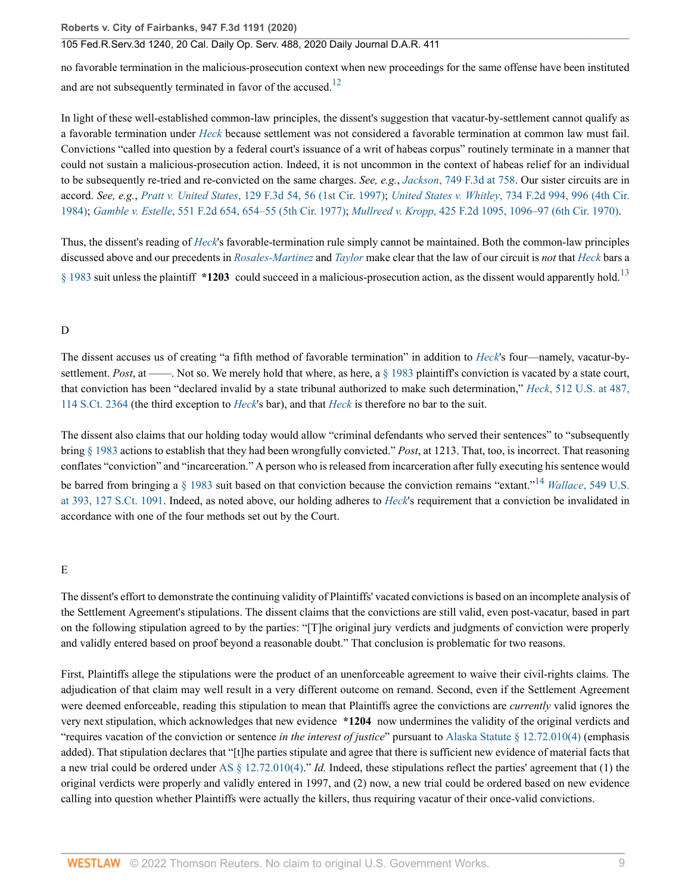<span id="page-8-0"></span>no favorable termination in the malicious-prosecution context when new proceedings for the same offense have been instituted and are not subsequently terminated in favor of the accused.<sup>[12](#page-17-3)</sup>

In light of these well-established common-law principles, the dissent's suggestion that vacatur-by-settlement cannot qualify as a favorable termination under *[Heck](http://www.westlaw.com/Link/Document/FullText?findType=Y&serNum=1994135537&pubNum=0000780&originatingDoc=I85271cc03d5c11eaa49a848616f1a2d2&refType=RP&originationContext=document&vr=3.0&rs=cblt1.0&transitionType=DocumentItem&contextData=(sc.Search))* because settlement was not considered a favorable termination at common law must fail. Convictions "called into question by a federal court's issuance of a writ of habeas corpus" routinely terminate in a manner that could not sustain a malicious-prosecution action. Indeed, it is not uncommon in the context of habeas relief for an individual to be subsequently re-tried and re-convicted on the same charges. *See, e.g.*, *Jackson*[, 749 F.3d at 758.](http://www.westlaw.com/Link/Document/FullText?findType=Y&serNum=2033161835&pubNum=0000506&originatingDoc=I85271cc03d5c11eaa49a848616f1a2d2&refType=RP&fi=co_pp_sp_506_758&originationContext=document&vr=3.0&rs=cblt1.0&transitionType=DocumentItem&contextData=(sc.Search)#co_pp_sp_506_758) Our sister circuits are in accord. *See, e.g.*, *Pratt v. United States*[, 129 F.3d 54, 56 \(1st Cir. 1997\)](http://www.westlaw.com/Link/Document/FullText?findType=Y&serNum=1997220001&pubNum=0000506&originatingDoc=I85271cc03d5c11eaa49a848616f1a2d2&refType=RP&fi=co_pp_sp_506_56&originationContext=document&vr=3.0&rs=cblt1.0&transitionType=DocumentItem&contextData=(sc.Search)#co_pp_sp_506_56); *United States v. Whitley*[, 734 F.2d 994, 996 \(4th Cir.](http://www.westlaw.com/Link/Document/FullText?findType=Y&serNum=1984124601&pubNum=0000350&originatingDoc=I85271cc03d5c11eaa49a848616f1a2d2&refType=RP&fi=co_pp_sp_350_996&originationContext=document&vr=3.0&rs=cblt1.0&transitionType=DocumentItem&contextData=(sc.Search)#co_pp_sp_350_996) [1984\)](http://www.westlaw.com/Link/Document/FullText?findType=Y&serNum=1984124601&pubNum=0000350&originatingDoc=I85271cc03d5c11eaa49a848616f1a2d2&refType=RP&fi=co_pp_sp_350_996&originationContext=document&vr=3.0&rs=cblt1.0&transitionType=DocumentItem&contextData=(sc.Search)#co_pp_sp_350_996); *Gamble v. Estelle*[, 551 F.2d 654, 654–55 \(5th Cir. 1977\)](http://www.westlaw.com/Link/Document/FullText?findType=Y&serNum=1977104444&pubNum=0000350&originatingDoc=I85271cc03d5c11eaa49a848616f1a2d2&refType=RP&originationContext=document&vr=3.0&rs=cblt1.0&transitionType=DocumentItem&contextData=(sc.Search)); *Mullreed v. Kropp*[, 425 F.2d 1095, 1096–97 \(6th Cir. 1970\)](http://www.westlaw.com/Link/Document/FullText?findType=Y&serNum=1970118057&pubNum=0000350&originatingDoc=I85271cc03d5c11eaa49a848616f1a2d2&refType=RP&fi=co_pp_sp_350_1096&originationContext=document&vr=3.0&rs=cblt1.0&transitionType=DocumentItem&contextData=(sc.Search)#co_pp_sp_350_1096).

<span id="page-8-1"></span>Thus, the dissent's reading of *[Heck](http://www.westlaw.com/Link/Document/FullText?findType=Y&serNum=1994135537&originatingDoc=I85271cc03d5c11eaa49a848616f1a2d2&refType=RP&originationContext=document&vr=3.0&rs=cblt1.0&transitionType=DocumentItem&contextData=(sc.Search))*'s favorable-termination rule simply cannot be maintained. Both the common-law principles discussed above and our precedents in *[Rosales-Martinez](http://www.westlaw.com/Link/Document/FullText?findType=Y&serNum=2033506915&pubNum=0000506&originatingDoc=I85271cc03d5c11eaa49a848616f1a2d2&refType=RP&originationContext=document&vr=3.0&rs=cblt1.0&transitionType=DocumentItem&contextData=(sc.Search))* and *[Taylor](http://www.westlaw.com/Link/Document/FullText?findType=Y&serNum=2047347514&pubNum=0000506&originatingDoc=I85271cc03d5c11eaa49a848616f1a2d2&refType=RP&originationContext=document&vr=3.0&rs=cblt1.0&transitionType=DocumentItem&contextData=(sc.Search))* make clear that the law of our circuit is *not* that *[Heck](http://www.westlaw.com/Link/Document/FullText?findType=Y&serNum=1994135537&pubNum=0000780&originatingDoc=I85271cc03d5c11eaa49a848616f1a2d2&refType=RP&originationContext=document&vr=3.0&rs=cblt1.0&transitionType=DocumentItem&contextData=(sc.Search))* bars a [§ 1983](http://www.westlaw.com/Link/Document/FullText?findType=L&pubNum=1000546&cite=42USCAS1983&originatingDoc=I85271cc03d5c11eaa49a848616f1a2d2&refType=LQ&originationContext=document&vr=3.0&rs=cblt1.0&transitionType=DocumentItem&contextData=(sc.Search)) suit unless the plaintiff **\*1203** could succeed in a malicious-prosecution action, as the dissent would apparently hold.[13](#page-17-4)

### D

The dissent accuses us of creating "a fifth method of favorable termination" in addition to *[Heck](http://www.westlaw.com/Link/Document/FullText?findType=Y&serNum=1994135537&pubNum=0000780&originatingDoc=I85271cc03d5c11eaa49a848616f1a2d2&refType=RP&originationContext=document&vr=3.0&rs=cblt1.0&transitionType=DocumentItem&contextData=(sc.Search))*'s four—namely, vacatur-bysettlement. *Post*, at ——. Not so. We merely hold that where, as here, a [§ 1983](http://www.westlaw.com/Link/Document/FullText?findType=L&pubNum=1000546&cite=42USCAS1983&originatingDoc=I85271cc03d5c11eaa49a848616f1a2d2&refType=LQ&originationContext=document&vr=3.0&rs=cblt1.0&transitionType=DocumentItem&contextData=(sc.Search)) plaintiff's conviction is vacated by a state court, that conviction has been "declared invalid by a state tribunal authorized to make such determination," *Heck*[, 512 U.S. at 487,](http://www.westlaw.com/Link/Document/FullText?findType=Y&serNum=1994135537&pubNum=0000780&originatingDoc=I85271cc03d5c11eaa49a848616f1a2d2&refType=RP&fi=co_pp_sp_780_487&originationContext=document&vr=3.0&rs=cblt1.0&transitionType=DocumentItem&contextData=(sc.Search)#co_pp_sp_780_487) [114 S.Ct. 2364](http://www.westlaw.com/Link/Document/FullText?findType=Y&serNum=1994135537&pubNum=0000780&originatingDoc=I85271cc03d5c11eaa49a848616f1a2d2&refType=RP&fi=co_pp_sp_780_487&originationContext=document&vr=3.0&rs=cblt1.0&transitionType=DocumentItem&contextData=(sc.Search)#co_pp_sp_780_487) (the third exception to *[Heck](http://www.westlaw.com/Link/Document/FullText?findType=Y&serNum=1994135537&pubNum=0000780&originatingDoc=I85271cc03d5c11eaa49a848616f1a2d2&refType=RP&originationContext=document&vr=3.0&rs=cblt1.0&transitionType=DocumentItem&contextData=(sc.Search))*'s bar), and that *[Heck](http://www.westlaw.com/Link/Document/FullText?findType=Y&serNum=1994135537&pubNum=0000780&originatingDoc=I85271cc03d5c11eaa49a848616f1a2d2&refType=RP&originationContext=document&vr=3.0&rs=cblt1.0&transitionType=DocumentItem&contextData=(sc.Search))* is therefore no bar to the suit.

<span id="page-8-2"></span>The dissent also claims that our holding today would allow "criminal defendants who served their sentences" to "subsequently bring [§ 1983](http://www.westlaw.com/Link/Document/FullText?findType=L&pubNum=1000546&cite=42USCAS1983&originatingDoc=I85271cc03d5c11eaa49a848616f1a2d2&refType=LQ&originationContext=document&vr=3.0&rs=cblt1.0&transitionType=DocumentItem&contextData=(sc.Search)) actions to establish that they had been wrongfully convicted." *Post*, at 1213. That, too, is incorrect. That reasoning conflates "conviction" and "incarceration." A person who is released from incarceration after fully executing his sentence would be barred from bringing a [§ 1983](http://www.westlaw.com/Link/Document/FullText?findType=L&pubNum=1000546&cite=42USCAS1983&originatingDoc=I85271cc03d5c11eaa49a848616f1a2d2&refType=LQ&originationContext=document&vr=3.0&rs=cblt1.0&transitionType=DocumentItem&contextData=(sc.Search)) suit based on that conviction because the conviction remains "extant."[14](#page-17-5) *Wallace*[, 549 U.S.](http://www.westlaw.com/Link/Document/FullText?findType=Y&serNum=2011495384&pubNum=0000780&originatingDoc=I85271cc03d5c11eaa49a848616f1a2d2&refType=RP&fi=co_pp_sp_780_393&originationContext=document&vr=3.0&rs=cblt1.0&transitionType=DocumentItem&contextData=(sc.Search)#co_pp_sp_780_393) [at 393, 127 S.Ct. 1091.](http://www.westlaw.com/Link/Document/FullText?findType=Y&serNum=2011495384&pubNum=0000780&originatingDoc=I85271cc03d5c11eaa49a848616f1a2d2&refType=RP&fi=co_pp_sp_780_393&originationContext=document&vr=3.0&rs=cblt1.0&transitionType=DocumentItem&contextData=(sc.Search)#co_pp_sp_780_393) Indeed, as noted above, our holding adheres to *[Heck](http://www.westlaw.com/Link/Document/FullText?findType=Y&serNum=1994135537&pubNum=0000780&originatingDoc=I85271cc03d5c11eaa49a848616f1a2d2&refType=RP&originationContext=document&vr=3.0&rs=cblt1.0&transitionType=DocumentItem&contextData=(sc.Search))*'s requirement that a conviction be invalidated in accordance with one of the four methods set out by the Court.

#### E

The dissent's effort to demonstrate the continuing validity of Plaintiffs' vacated convictions is based on an incomplete analysis of the Settlement Agreement's stipulations. The dissent claims that the convictions are still valid, even post-vacatur, based in part on the following stipulation agreed to by the parties: "[T]he original jury verdicts and judgments of conviction were properly and validly entered based on proof beyond a reasonable doubt." That conclusion is problematic for two reasons.

First, Plaintiffs allege the stipulations were the product of an unenforceable agreement to waive their civil-rights claims. The adjudication of that claim may well result in a very different outcome on remand. Second, even if the Settlement Agreement were deemed enforceable, reading this stipulation to mean that Plaintiffs agree the convictions are *currently* valid ignores the very next stipulation, which acknowledges that new evidence **\*1204** now undermines the validity of the original verdicts and "requires vacation of the conviction or sentence *in the interest of justice*" pursuant to [Alaska Statute § 12.72.010\(4\)](http://www.westlaw.com/Link/Document/FullText?findType=L&pubNum=1000003&cite=AKSTS12.72.010&originatingDoc=I85271cc03d5c11eaa49a848616f1a2d2&refType=SP&originationContext=document&vr=3.0&rs=cblt1.0&transitionType=DocumentItem&contextData=(sc.Search)#co_pp_0bd500007a412) (emphasis added). That stipulation declares that "[t]he parties stipulate and agree that there is sufficient new evidence of material facts that a new trial could be ordered under [AS § 12.72.010\(4\).](http://www.westlaw.com/Link/Document/FullText?findType=L&pubNum=1000003&cite=AKSTS12.72.010&originatingDoc=I85271cc03d5c11eaa49a848616f1a2d2&refType=SP&originationContext=document&vr=3.0&rs=cblt1.0&transitionType=DocumentItem&contextData=(sc.Search)#co_pp_0bd500007a412)" *Id.* Indeed, these stipulations reflect the parties' agreement that (1) the original verdicts were properly and validly entered in 1997, and (2) now, a new trial could be ordered based on new evidence calling into question whether Plaintiffs were actually the killers, thus requiring vacatur of their once-valid convictions.

**Roberts v. City of Fairbanks, 947 F.3d 1191 (2020)**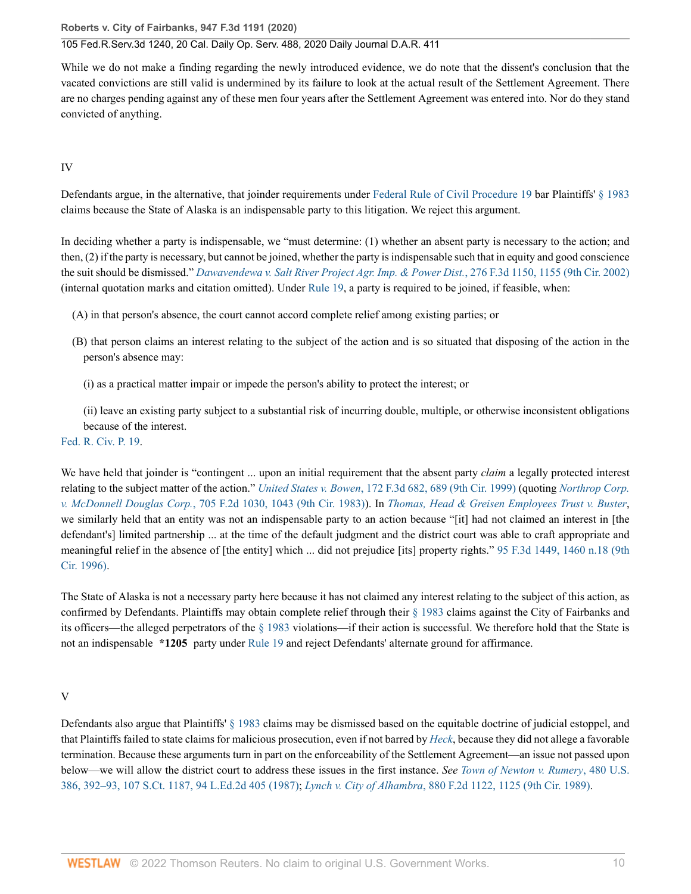### 105 Fed.R.Serv.3d 1240, 20 Cal. Daily Op. Serv. 488, 2020 Daily Journal D.A.R. 411

While we do not make a finding regarding the newly introduced evidence, we do note that the dissent's conclusion that the vacated convictions are still valid is undermined by its failure to look at the actual result of the Settlement Agreement. There are no charges pending against any of these men four years after the Settlement Agreement was entered into. Nor do they stand convicted of anything.

## IV

Defendants argue, in the alternative, that joinder requirements under [Federal Rule of Civil Procedure 19](http://www.westlaw.com/Link/Document/FullText?findType=L&pubNum=1000600&cite=USFRCPR19&originatingDoc=I85271cc03d5c11eaa49a848616f1a2d2&refType=LQ&originationContext=document&vr=3.0&rs=cblt1.0&transitionType=DocumentItem&contextData=(sc.Search)) bar Plaintiffs' [§ 1983](http://www.westlaw.com/Link/Document/FullText?findType=L&pubNum=1000546&cite=42USCAS1983&originatingDoc=I85271cc03d5c11eaa49a848616f1a2d2&refType=LQ&originationContext=document&vr=3.0&rs=cblt1.0&transitionType=DocumentItem&contextData=(sc.Search)) claims because the State of Alaska is an indispensable party to this litigation. We reject this argument.

In deciding whether a party is indispensable, we "must determine: (1) whether an absent party is necessary to the action; and then, (2) if the party is necessary, but cannot be joined, whether the party is indispensable such that in equity and good conscience the suit should be dismissed." *[Dawavendewa v. Salt River Project Agr. Imp. & Power Dist.](http://www.westlaw.com/Link/Document/FullText?findType=Y&serNum=2002051910&pubNum=0000506&originatingDoc=I85271cc03d5c11eaa49a848616f1a2d2&refType=RP&fi=co_pp_sp_506_1155&originationContext=document&vr=3.0&rs=cblt1.0&transitionType=DocumentItem&contextData=(sc.Search)#co_pp_sp_506_1155)*, 276 F.3d 1150, 1155 (9th Cir. 2002) (internal quotation marks and citation omitted). Under [Rule 19,](http://www.westlaw.com/Link/Document/FullText?findType=L&pubNum=1000600&cite=USFRCPR19&originatingDoc=I85271cc03d5c11eaa49a848616f1a2d2&refType=LQ&originationContext=document&vr=3.0&rs=cblt1.0&transitionType=DocumentItem&contextData=(sc.Search)) a party is required to be joined, if feasible, when:

(A) in that person's absence, the court cannot accord complete relief among existing parties; or

- (B) that person claims an interest relating to the subject of the action and is so situated that disposing of the action in the person's absence may:
	- (i) as a practical matter impair or impede the person's ability to protect the interest; or

(ii) leave an existing party subject to a substantial risk of incurring double, multiple, or otherwise inconsistent obligations because of the interest.

# [Fed. R. Civ. P. 19.](http://www.westlaw.com/Link/Document/FullText?findType=L&pubNum=1000600&cite=USFRCPR19&originatingDoc=I85271cc03d5c11eaa49a848616f1a2d2&refType=LQ&originationContext=document&vr=3.0&rs=cblt1.0&transitionType=DocumentItem&contextData=(sc.Search))

We have held that joinder is "contingent ... upon an initial requirement that the absent party *claim* a legally protected interest relating to the subject matter of the action." *United States v. Bowen*[, 172 F.3d 682, 689 \(9th Cir. 1999\)](http://www.westlaw.com/Link/Document/FullText?findType=Y&serNum=1999092842&pubNum=0000506&originatingDoc=I85271cc03d5c11eaa49a848616f1a2d2&refType=RP&fi=co_pp_sp_506_689&originationContext=document&vr=3.0&rs=cblt1.0&transitionType=DocumentItem&contextData=(sc.Search)#co_pp_sp_506_689) (quoting *[Northrop Corp.](http://www.westlaw.com/Link/Document/FullText?findType=Y&serNum=1983110709&pubNum=0000350&originatingDoc=I85271cc03d5c11eaa49a848616f1a2d2&refType=RP&fi=co_pp_sp_350_1043&originationContext=document&vr=3.0&rs=cblt1.0&transitionType=DocumentItem&contextData=(sc.Search)#co_pp_sp_350_1043) v. McDonnell Douglas Corp.*[, 705 F.2d 1030, 1043 \(9th Cir. 1983\)](http://www.westlaw.com/Link/Document/FullText?findType=Y&serNum=1983110709&pubNum=0000350&originatingDoc=I85271cc03d5c11eaa49a848616f1a2d2&refType=RP&fi=co_pp_sp_350_1043&originationContext=document&vr=3.0&rs=cblt1.0&transitionType=DocumentItem&contextData=(sc.Search)#co_pp_sp_350_1043)). In *[Thomas, Head & Greisen Employees Trust v. Buster](http://www.westlaw.com/Link/Document/FullText?findType=Y&serNum=1996213017&pubNum=0000506&originatingDoc=I85271cc03d5c11eaa49a848616f1a2d2&refType=RP&originationContext=document&vr=3.0&rs=cblt1.0&transitionType=DocumentItem&contextData=(sc.Search))*, we similarly held that an entity was not an indispensable party to an action because "[it] had not claimed an interest in [the defendant's] limited partnership ... at the time of the default judgment and the district court was able to craft appropriate and meaningful relief in the absence of [the entity] which ... did not prejudice [its] property rights." [95 F.3d 1449, 1460 n.18 \(9th](http://www.westlaw.com/Link/Document/FullText?findType=Y&serNum=1996213017&pubNum=0000506&originatingDoc=I85271cc03d5c11eaa49a848616f1a2d2&refType=RP&fi=co_pp_sp_506_1460&originationContext=document&vr=3.0&rs=cblt1.0&transitionType=DocumentItem&contextData=(sc.Search)#co_pp_sp_506_1460) [Cir. 1996\).](http://www.westlaw.com/Link/Document/FullText?findType=Y&serNum=1996213017&pubNum=0000506&originatingDoc=I85271cc03d5c11eaa49a848616f1a2d2&refType=RP&fi=co_pp_sp_506_1460&originationContext=document&vr=3.0&rs=cblt1.0&transitionType=DocumentItem&contextData=(sc.Search)#co_pp_sp_506_1460)

The State of Alaska is not a necessary party here because it has not claimed any interest relating to the subject of this action, as confirmed by Defendants. Plaintiffs may obtain complete relief through their [§ 1983](http://www.westlaw.com/Link/Document/FullText?findType=L&pubNum=1000546&cite=42USCAS1983&originatingDoc=I85271cc03d5c11eaa49a848616f1a2d2&refType=LQ&originationContext=document&vr=3.0&rs=cblt1.0&transitionType=DocumentItem&contextData=(sc.Search)) claims against the City of Fairbanks and its officers—the alleged perpetrators of the [§ 1983](http://www.westlaw.com/Link/Document/FullText?findType=L&pubNum=1000546&cite=42USCAS1983&originatingDoc=I85271cc03d5c11eaa49a848616f1a2d2&refType=LQ&originationContext=document&vr=3.0&rs=cblt1.0&transitionType=DocumentItem&contextData=(sc.Search)) violations—if their action is successful. We therefore hold that the State is not an indispensable **\*1205** party under [Rule 19](http://www.westlaw.com/Link/Document/FullText?findType=L&pubNum=1000600&cite=USFRCPR19&originatingDoc=I85271cc03d5c11eaa49a848616f1a2d2&refType=LQ&originationContext=document&vr=3.0&rs=cblt1.0&transitionType=DocumentItem&contextData=(sc.Search)) and reject Defendants' alternate ground for affirmance.

### V

Defendants also argue that Plaintiffs' [§ 1983](http://www.westlaw.com/Link/Document/FullText?findType=L&pubNum=1000546&cite=42USCAS1983&originatingDoc=I85271cc03d5c11eaa49a848616f1a2d2&refType=LQ&originationContext=document&vr=3.0&rs=cblt1.0&transitionType=DocumentItem&contextData=(sc.Search)) claims may be dismissed based on the equitable doctrine of judicial estoppel, and that Plaintiffs failed to state claims for malicious prosecution, even if not barred by *[Heck](http://www.westlaw.com/Link/Document/FullText?findType=Y&serNum=1994135537&pubNum=0000780&originatingDoc=I85271cc03d5c11eaa49a848616f1a2d2&refType=RP&originationContext=document&vr=3.0&rs=cblt1.0&transitionType=DocumentItem&contextData=(sc.Search))*, because they did not allege a favorable termination. Because these arguments turn in part on the enforceability of the Settlement Agreement—an issue not passed upon below—we will allow the district court to address these issues in the first instance. *See [Town of Newton v. Rumery](http://www.westlaw.com/Link/Document/FullText?findType=Y&serNum=1987029485&pubNum=0000780&originatingDoc=I85271cc03d5c11eaa49a848616f1a2d2&refType=RP&fi=co_pp_sp_780_392&originationContext=document&vr=3.0&rs=cblt1.0&transitionType=DocumentItem&contextData=(sc.Search)#co_pp_sp_780_392)*, 480 U.S. [386, 392–93, 107 S.Ct. 1187, 94 L.Ed.2d 405 \(1987\);](http://www.westlaw.com/Link/Document/FullText?findType=Y&serNum=1987029485&pubNum=0000780&originatingDoc=I85271cc03d5c11eaa49a848616f1a2d2&refType=RP&fi=co_pp_sp_780_392&originationContext=document&vr=3.0&rs=cblt1.0&transitionType=DocumentItem&contextData=(sc.Search)#co_pp_sp_780_392) *Lynch v. City of Alhambra*[, 880 F.2d 1122, 1125 \(9th Cir. 1989\)](http://www.westlaw.com/Link/Document/FullText?findType=Y&serNum=1989111861&pubNum=0000350&originatingDoc=I85271cc03d5c11eaa49a848616f1a2d2&refType=RP&fi=co_pp_sp_350_1125&originationContext=document&vr=3.0&rs=cblt1.0&transitionType=DocumentItem&contextData=(sc.Search)#co_pp_sp_350_1125).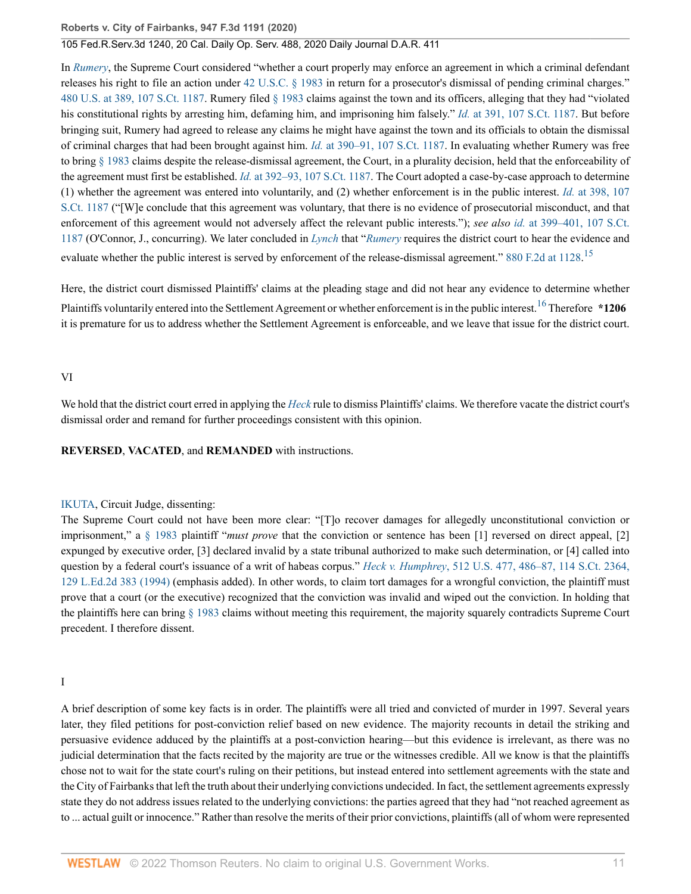In *[Rumery](http://www.westlaw.com/Link/Document/FullText?findType=Y&serNum=1987029485&pubNum=0000780&originatingDoc=I85271cc03d5c11eaa49a848616f1a2d2&refType=RP&originationContext=document&vr=3.0&rs=cblt1.0&transitionType=DocumentItem&contextData=(sc.Search))*, the Supreme Court considered "whether a court properly may enforce an agreement in which a criminal defendant releases his right to file an action under [42 U.S.C. § 1983](http://www.westlaw.com/Link/Document/FullText?findType=L&pubNum=1000546&cite=42USCAS1983&originatingDoc=I85271cc03d5c11eaa49a848616f1a2d2&refType=LQ&originationContext=document&vr=3.0&rs=cblt1.0&transitionType=DocumentItem&contextData=(sc.Search)) in return for a prosecutor's dismissal of pending criminal charges." [480 U.S. at 389, 107 S.Ct. 1187](http://www.westlaw.com/Link/Document/FullText?findType=Y&serNum=1987029485&pubNum=0000780&originatingDoc=I85271cc03d5c11eaa49a848616f1a2d2&refType=RP&fi=co_pp_sp_780_389&originationContext=document&vr=3.0&rs=cblt1.0&transitionType=DocumentItem&contextData=(sc.Search)#co_pp_sp_780_389). Rumery filed [§ 1983](http://www.westlaw.com/Link/Document/FullText?findType=L&pubNum=1000546&cite=42USCAS1983&originatingDoc=I85271cc03d5c11eaa49a848616f1a2d2&refType=LQ&originationContext=document&vr=3.0&rs=cblt1.0&transitionType=DocumentItem&contextData=(sc.Search)) claims against the town and its officers, alleging that they had "violated his constitutional rights by arresting him, defaming him, and imprisoning him falsely." *Id.* [at 391, 107 S.Ct. 1187](http://www.westlaw.com/Link/Document/FullText?findType=Y&serNum=1987029485&pubNum=0000708&originatingDoc=I85271cc03d5c11eaa49a848616f1a2d2&refType=RP&originationContext=document&vr=3.0&rs=cblt1.0&transitionType=DocumentItem&contextData=(sc.Search)). But before bringing suit, Rumery had agreed to release any claims he might have against the town and its officials to obtain the dismissal of criminal charges that had been brought against him. *Id.* [at 390–91, 107 S.Ct. 1187](http://www.westlaw.com/Link/Document/FullText?findType=Y&serNum=1987029485&pubNum=0000708&originatingDoc=I85271cc03d5c11eaa49a848616f1a2d2&refType=RP&originationContext=document&vr=3.0&rs=cblt1.0&transitionType=DocumentItem&contextData=(sc.Search)). In evaluating whether Rumery was free to bring [§ 1983](http://www.westlaw.com/Link/Document/FullText?findType=L&pubNum=1000546&cite=42USCAS1983&originatingDoc=I85271cc03d5c11eaa49a848616f1a2d2&refType=LQ&originationContext=document&vr=3.0&rs=cblt1.0&transitionType=DocumentItem&contextData=(sc.Search)) claims despite the release-dismissal agreement, the Court, in a plurality decision, held that the enforceability of the agreement must first be established. *Id.* [at 392–93, 107 S.Ct. 1187.](http://www.westlaw.com/Link/Document/FullText?findType=Y&serNum=1987029485&pubNum=0000708&originatingDoc=I85271cc03d5c11eaa49a848616f1a2d2&refType=RP&originationContext=document&vr=3.0&rs=cblt1.0&transitionType=DocumentItem&contextData=(sc.Search)) The Court adopted a case-by-case approach to determine (1) whether the agreement was entered into voluntarily, and (2) whether enforcement is in the public interest. *Id.* [at 398, 107](http://www.westlaw.com/Link/Document/FullText?findType=Y&serNum=1987029485&pubNum=0000708&originatingDoc=I85271cc03d5c11eaa49a848616f1a2d2&refType=RP&originationContext=document&vr=3.0&rs=cblt1.0&transitionType=DocumentItem&contextData=(sc.Search)) [S.Ct. 1187](http://www.westlaw.com/Link/Document/FullText?findType=Y&serNum=1987029485&pubNum=0000708&originatingDoc=I85271cc03d5c11eaa49a848616f1a2d2&refType=RP&originationContext=document&vr=3.0&rs=cblt1.0&transitionType=DocumentItem&contextData=(sc.Search)) ("[W]e conclude that this agreement was voluntary, that there is no evidence of prosecutorial misconduct, and that enforcement of this agreement would not adversely affect the relevant public interests."); *see also id.* [at 399–401, 107 S.Ct.](http://www.westlaw.com/Link/Document/FullText?findType=Y&serNum=1987029485&pubNum=0000708&originatingDoc=I85271cc03d5c11eaa49a848616f1a2d2&refType=RP&originationContext=document&vr=3.0&rs=cblt1.0&transitionType=DocumentItem&contextData=(sc.Search)) [1187](http://www.westlaw.com/Link/Document/FullText?findType=Y&serNum=1987029485&pubNum=0000708&originatingDoc=I85271cc03d5c11eaa49a848616f1a2d2&refType=RP&originationContext=document&vr=3.0&rs=cblt1.0&transitionType=DocumentItem&contextData=(sc.Search)) (O'Connor, J., concurring). We later concluded in *[Lynch](http://www.westlaw.com/Link/Document/FullText?findType=Y&serNum=1989111861&pubNum=0000350&originatingDoc=I85271cc03d5c11eaa49a848616f1a2d2&refType=RP&originationContext=document&vr=3.0&rs=cblt1.0&transitionType=DocumentItem&contextData=(sc.Search))* that "*[Rumery](http://www.westlaw.com/Link/Document/FullText?findType=Y&serNum=1987029485&pubNum=0000780&originatingDoc=I85271cc03d5c11eaa49a848616f1a2d2&refType=RP&originationContext=document&vr=3.0&rs=cblt1.0&transitionType=DocumentItem&contextData=(sc.Search))* requires the district court to hear the evidence and evaluate whether the public interest is served by enforcement of the release-dismissal agreement." [880 F.2d at 1128](http://www.westlaw.com/Link/Document/FullText?findType=Y&serNum=1989111861&pubNum=0000350&originatingDoc=I85271cc03d5c11eaa49a848616f1a2d2&refType=RP&fi=co_pp_sp_350_1128&originationContext=document&vr=3.0&rs=cblt1.0&transitionType=DocumentItem&contextData=(sc.Search)#co_pp_sp_350_1128).<sup>[15](#page-17-6)</sup>

<span id="page-10-1"></span><span id="page-10-0"></span>Here, the district court dismissed Plaintiffs' claims at the pleading stage and did not hear any evidence to determine whether Plaintiffs voluntarily entered into the Settlement Agreement or whether enforcement is in the public interest.[16](#page-17-7) Therefore **\*1206** it is premature for us to address whether the Settlement Agreement is enforceable, and we leave that issue for the district court.

#### VI

We hold that the district court erred in applying the *[Heck](http://www.westlaw.com/Link/Document/FullText?findType=Y&serNum=1994135537&pubNum=0000780&originatingDoc=I85271cc03d5c11eaa49a848616f1a2d2&refType=RP&originationContext=document&vr=3.0&rs=cblt1.0&transitionType=DocumentItem&contextData=(sc.Search))* rule to dismiss Plaintiffs' claims. We therefore vacate the district court's dismissal order and remand for further proceedings consistent with this opinion.

**REVERSED**, **VACATED**, and **REMANDED** with instructions.

### [IKUTA](http://www.westlaw.com/Link/Document/FullText?findType=h&pubNum=176284&cite=0229586101&originatingDoc=I85271cc03d5c11eaa49a848616f1a2d2&refType=RQ&originationContext=document&vr=3.0&rs=cblt1.0&transitionType=DocumentItem&contextData=(sc.Search)), Circuit Judge, dissenting:

The Supreme Court could not have been more clear: "[T]o recover damages for allegedly unconstitutional conviction or imprisonment," a [§ 1983](http://www.westlaw.com/Link/Document/FullText?findType=L&pubNum=1000546&cite=42USCAS1983&originatingDoc=I85271cc03d5c11eaa49a848616f1a2d2&refType=LQ&originationContext=document&vr=3.0&rs=cblt1.0&transitionType=DocumentItem&contextData=(sc.Search)) plaintiff "*must prove* that the conviction or sentence has been [1] reversed on direct appeal, [2] expunged by executive order, [3] declared invalid by a state tribunal authorized to make such determination, or [4] called into question by a federal court's issuance of a writ of habeas corpus." *Heck v. Humphrey*[, 512 U.S. 477, 486–87, 114 S.Ct. 2364,](http://www.westlaw.com/Link/Document/FullText?findType=Y&serNum=1994135537&pubNum=0000780&originatingDoc=I85271cc03d5c11eaa49a848616f1a2d2&refType=RP&fi=co_pp_sp_780_486&originationContext=document&vr=3.0&rs=cblt1.0&transitionType=DocumentItem&contextData=(sc.Search)#co_pp_sp_780_486) [129 L.Ed.2d 383 \(1994\)](http://www.westlaw.com/Link/Document/FullText?findType=Y&serNum=1994135537&pubNum=0000780&originatingDoc=I85271cc03d5c11eaa49a848616f1a2d2&refType=RP&fi=co_pp_sp_780_486&originationContext=document&vr=3.0&rs=cblt1.0&transitionType=DocumentItem&contextData=(sc.Search)#co_pp_sp_780_486) (emphasis added). In other words, to claim tort damages for a wrongful conviction, the plaintiff must prove that a court (or the executive) recognized that the conviction was invalid and wiped out the conviction. In holding that the plaintiffs here can bring [§ 1983](http://www.westlaw.com/Link/Document/FullText?findType=L&pubNum=1000546&cite=42USCAS1983&originatingDoc=I85271cc03d5c11eaa49a848616f1a2d2&refType=LQ&originationContext=document&vr=3.0&rs=cblt1.0&transitionType=DocumentItem&contextData=(sc.Search)) claims without meeting this requirement, the majority squarely contradicts Supreme Court precedent. I therefore dissent.

#### I

A brief description of some key facts is in order. The plaintiffs were all tried and convicted of murder in 1997. Several years later, they filed petitions for post-conviction relief based on new evidence. The majority recounts in detail the striking and persuasive evidence adduced by the plaintiffs at a post-conviction hearing—but this evidence is irrelevant, as there was no judicial determination that the facts recited by the majority are true or the witnesses credible. All we know is that the plaintiffs chose not to wait for the state court's ruling on their petitions, but instead entered into settlement agreements with the state and the City of Fairbanks that left the truth about their underlying convictions undecided. In fact, the settlement agreements expressly state they do not address issues related to the underlying convictions: the parties agreed that they had "not reached agreement as to ... actual guilt or innocence." Rather than resolve the merits of their prior convictions, plaintiffs (all of whom were represented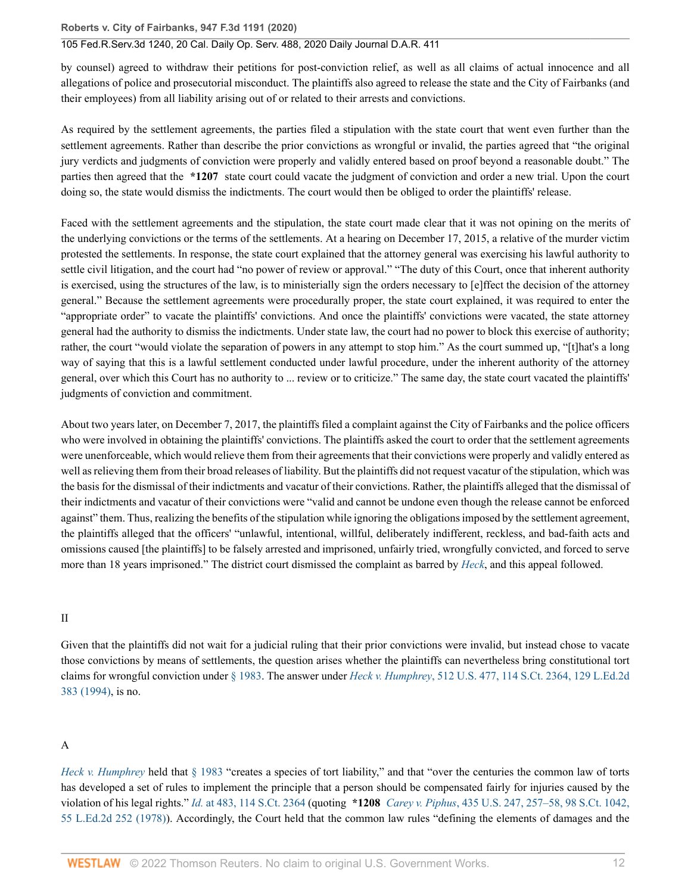### 105 Fed.R.Serv.3d 1240, 20 Cal. Daily Op. Serv. 488, 2020 Daily Journal D.A.R. 411

by counsel) agreed to withdraw their petitions for post-conviction relief, as well as all claims of actual innocence and all allegations of police and prosecutorial misconduct. The plaintiffs also agreed to release the state and the City of Fairbanks (and their employees) from all liability arising out of or related to their arrests and convictions.

As required by the settlement agreements, the parties filed a stipulation with the state court that went even further than the settlement agreements. Rather than describe the prior convictions as wrongful or invalid, the parties agreed that "the original jury verdicts and judgments of conviction were properly and validly entered based on proof beyond a reasonable doubt." The parties then agreed that the **\*1207** state court could vacate the judgment of conviction and order a new trial. Upon the court doing so, the state would dismiss the indictments. The court would then be obliged to order the plaintiffs' release.

Faced with the settlement agreements and the stipulation, the state court made clear that it was not opining on the merits of the underlying convictions or the terms of the settlements. At a hearing on December 17, 2015, a relative of the murder victim protested the settlements. In response, the state court explained that the attorney general was exercising his lawful authority to settle civil litigation, and the court had "no power of review or approval." "The duty of this Court, once that inherent authority is exercised, using the structures of the law, is to ministerially sign the orders necessary to [e]ffect the decision of the attorney general." Because the settlement agreements were procedurally proper, the state court explained, it was required to enter the "appropriate order" to vacate the plaintiffs' convictions. And once the plaintiffs' convictions were vacated, the state attorney general had the authority to dismiss the indictments. Under state law, the court had no power to block this exercise of authority; rather, the court "would violate the separation of powers in any attempt to stop him." As the court summed up, "[t]hat's a long way of saying that this is a lawful settlement conducted under lawful procedure, under the inherent authority of the attorney general, over which this Court has no authority to ... review or to criticize." The same day, the state court vacated the plaintiffs' judgments of conviction and commitment.

About two years later, on December 7, 2017, the plaintiffs filed a complaint against the City of Fairbanks and the police officers who were involved in obtaining the plaintiffs' convictions. The plaintiffs asked the court to order that the settlement agreements were unenforceable, which would relieve them from their agreements that their convictions were properly and validly entered as well as relieving them from their broad releases of liability. But the plaintiffs did not request vacatur of the stipulation, which was the basis for the dismissal of their indictments and vacatur of their convictions. Rather, the plaintiffs alleged that the dismissal of their indictments and vacatur of their convictions were "valid and cannot be undone even though the release cannot be enforced against" them. Thus, realizing the benefits of the stipulation while ignoring the obligations imposed by the settlement agreement, the plaintiffs alleged that the officers' "unlawful, intentional, willful, deliberately indifferent, reckless, and bad-faith acts and omissions caused [the plaintiffs] to be falsely arrested and imprisoned, unfairly tried, wrongfully convicted, and forced to serve more than 18 years imprisoned." The district court dismissed the complaint as barred by *[Heck](http://www.westlaw.com/Link/Document/FullText?findType=Y&serNum=1994135537&pubNum=0000780&originatingDoc=I85271cc03d5c11eaa49a848616f1a2d2&refType=RP&originationContext=document&vr=3.0&rs=cblt1.0&transitionType=DocumentItem&contextData=(sc.Search))*, and this appeal followed.

#### II

Given that the plaintiffs did not wait for a judicial ruling that their prior convictions were invalid, but instead chose to vacate those convictions by means of settlements, the question arises whether the plaintiffs can nevertheless bring constitutional tort claims for wrongful conviction under [§ 1983.](http://www.westlaw.com/Link/Document/FullText?findType=L&pubNum=1000546&cite=42USCAS1983&originatingDoc=I85271cc03d5c11eaa49a848616f1a2d2&refType=LQ&originationContext=document&vr=3.0&rs=cblt1.0&transitionType=DocumentItem&contextData=(sc.Search)) The answer under *Heck v. Humphrey*[, 512 U.S. 477, 114 S.Ct. 2364, 129 L.Ed.2d](http://www.westlaw.com/Link/Document/FullText?findType=Y&serNum=1994135537&pubNum=0000708&originatingDoc=I85271cc03d5c11eaa49a848616f1a2d2&refType=RP&originationContext=document&vr=3.0&rs=cblt1.0&transitionType=DocumentItem&contextData=(sc.Search)) [383 \(1994\)](http://www.westlaw.com/Link/Document/FullText?findType=Y&serNum=1994135537&pubNum=0000708&originatingDoc=I85271cc03d5c11eaa49a848616f1a2d2&refType=RP&originationContext=document&vr=3.0&rs=cblt1.0&transitionType=DocumentItem&contextData=(sc.Search)), is no.

### A

*[Heck v. Humphrey](http://www.westlaw.com/Link/Document/FullText?findType=Y&serNum=1994135537&pubNum=0000780&originatingDoc=I85271cc03d5c11eaa49a848616f1a2d2&refType=RP&originationContext=document&vr=3.0&rs=cblt1.0&transitionType=DocumentItem&contextData=(sc.Search))* held that [§ 1983](http://www.westlaw.com/Link/Document/FullText?findType=L&pubNum=1000546&cite=42USCAS1983&originatingDoc=I85271cc03d5c11eaa49a848616f1a2d2&refType=LQ&originationContext=document&vr=3.0&rs=cblt1.0&transitionType=DocumentItem&contextData=(sc.Search)) "creates a species of tort liability," and that "over the centuries the common law of torts has developed a set of rules to implement the principle that a person should be compensated fairly for injuries caused by the violation of his legal rights." *Id.* [at 483, 114 S.Ct. 2364](http://www.westlaw.com/Link/Document/FullText?findType=Y&serNum=1994135537&pubNum=0000708&originatingDoc=I85271cc03d5c11eaa49a848616f1a2d2&refType=RP&fi=co_pp_sp_708_483&originationContext=document&vr=3.0&rs=cblt1.0&transitionType=DocumentItem&contextData=(sc.Search)#co_pp_sp_708_483) (quoting **\*1208** *Carey v. Piphus*[, 435 U.S. 247, 257–58, 98 S.Ct. 1042,](http://www.westlaw.com/Link/Document/FullText?findType=Y&serNum=1978114201&pubNum=0000780&originatingDoc=I85271cc03d5c11eaa49a848616f1a2d2&refType=RP&fi=co_pp_sp_780_257&originationContext=document&vr=3.0&rs=cblt1.0&transitionType=DocumentItem&contextData=(sc.Search)#co_pp_sp_780_257) [55 L.Ed.2d 252 \(1978\)](http://www.westlaw.com/Link/Document/FullText?findType=Y&serNum=1978114201&pubNum=0000780&originatingDoc=I85271cc03d5c11eaa49a848616f1a2d2&refType=RP&fi=co_pp_sp_780_257&originationContext=document&vr=3.0&rs=cblt1.0&transitionType=DocumentItem&contextData=(sc.Search)#co_pp_sp_780_257)). Accordingly, the Court held that the common law rules "defining the elements of damages and the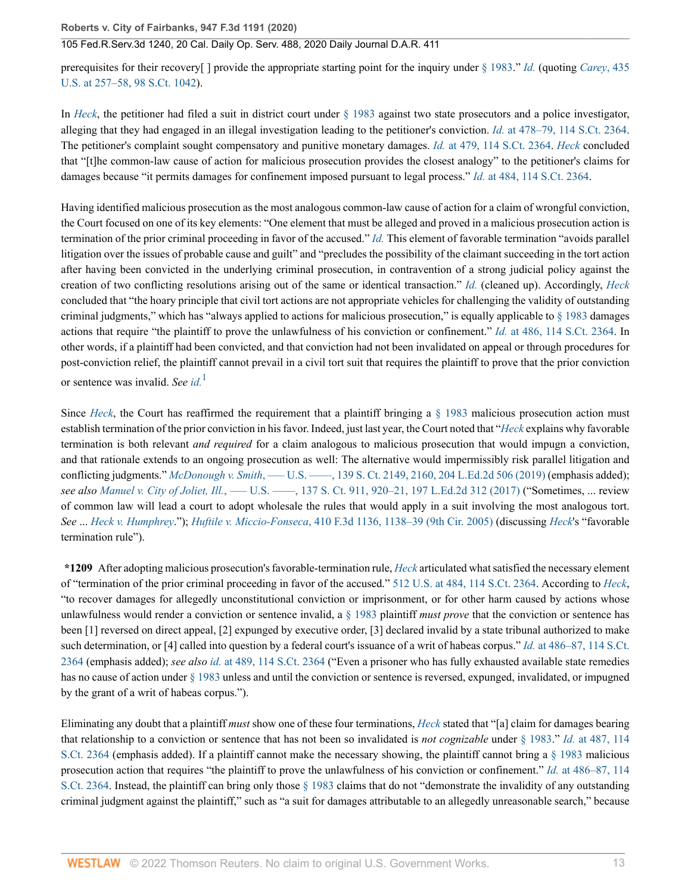prerequisites for their recovery[ ] provide the appropriate starting point for the inquiry under [§ 1983.](http://www.westlaw.com/Link/Document/FullText?findType=L&pubNum=1000546&cite=42USCAS1983&originatingDoc=I85271cc03d5c11eaa49a848616f1a2d2&refType=LQ&originationContext=document&vr=3.0&rs=cblt1.0&transitionType=DocumentItem&contextData=(sc.Search))" *[Id.](http://www.westlaw.com/Link/Document/FullText?findType=Y&serNum=1994135537&pubNum=0000780&originatingDoc=I85271cc03d5c11eaa49a848616f1a2d2&refType=RP&originationContext=document&vr=3.0&rs=cblt1.0&transitionType=DocumentItem&contextData=(sc.Search))* (quoting *[Carey](http://www.westlaw.com/Link/Document/FullText?findType=Y&serNum=1978114201&pubNum=0000780&originatingDoc=I85271cc03d5c11eaa49a848616f1a2d2&refType=RP&fi=co_pp_sp_780_257&originationContext=document&vr=3.0&rs=cblt1.0&transitionType=DocumentItem&contextData=(sc.Search)#co_pp_sp_780_257)*, 435 [U.S. at 257–58, 98 S.Ct. 1042\)](http://www.westlaw.com/Link/Document/FullText?findType=Y&serNum=1978114201&pubNum=0000780&originatingDoc=I85271cc03d5c11eaa49a848616f1a2d2&refType=RP&fi=co_pp_sp_780_257&originationContext=document&vr=3.0&rs=cblt1.0&transitionType=DocumentItem&contextData=(sc.Search)#co_pp_sp_780_257).

In *[Heck](http://www.westlaw.com/Link/Document/FullText?findType=Y&serNum=1994135537&pubNum=0000780&originatingDoc=I85271cc03d5c11eaa49a848616f1a2d2&refType=RP&originationContext=document&vr=3.0&rs=cblt1.0&transitionType=DocumentItem&contextData=(sc.Search))*, the petitioner had filed a suit in district court under [§ 1983](http://www.westlaw.com/Link/Document/FullText?findType=L&pubNum=1000546&cite=42USCAS1983&originatingDoc=I85271cc03d5c11eaa49a848616f1a2d2&refType=LQ&originationContext=document&vr=3.0&rs=cblt1.0&transitionType=DocumentItem&contextData=(sc.Search)) against two state prosecutors and a police investigator, alleging that they had engaged in an illegal investigation leading to the petitioner's conviction. *Id.* [at 478–79, 114 S.Ct. 2364](http://www.westlaw.com/Link/Document/FullText?findType=Y&serNum=1994135537&pubNum=0000708&originatingDoc=I85271cc03d5c11eaa49a848616f1a2d2&refType=RP&fi=co_pp_sp_708_478&originationContext=document&vr=3.0&rs=cblt1.0&transitionType=DocumentItem&contextData=(sc.Search)#co_pp_sp_708_478). The petitioner's complaint sought compensatory and punitive monetary damages. *Id.* [at 479, 114 S.Ct. 2364](http://www.westlaw.com/Link/Document/FullText?findType=Y&serNum=1994135537&pubNum=0000708&originatingDoc=I85271cc03d5c11eaa49a848616f1a2d2&refType=RP&fi=co_pp_sp_708_479&originationContext=document&vr=3.0&rs=cblt1.0&transitionType=DocumentItem&contextData=(sc.Search)#co_pp_sp_708_479). *[Heck](http://www.westlaw.com/Link/Document/FullText?findType=Y&serNum=1994135537&originatingDoc=I85271cc03d5c11eaa49a848616f1a2d2&refType=RP&originationContext=document&vr=3.0&rs=cblt1.0&transitionType=DocumentItem&contextData=(sc.Search))* concluded that "[t]he common-law cause of action for malicious prosecution provides the closest analogy" to the petitioner's claims for damages because "it permits damages for confinement imposed pursuant to legal process." *Id.* [at 484, 114 S.Ct. 2364](http://www.westlaw.com/Link/Document/FullText?findType=Y&serNum=1994135537&pubNum=0000708&originatingDoc=I85271cc03d5c11eaa49a848616f1a2d2&refType=RP&fi=co_pp_sp_708_484&originationContext=document&vr=3.0&rs=cblt1.0&transitionType=DocumentItem&contextData=(sc.Search)#co_pp_sp_708_484).

Having identified malicious prosecution as the most analogous common-law cause of action for a claim of wrongful conviction, the Court focused on one of its key elements: "One element that must be alleged and proved in a malicious prosecution action is termination of the prior criminal proceeding in favor of the accused." *[Id.](http://www.westlaw.com/Link/Document/FullText?findType=Y&serNum=1994135537&pubNum=0000780&originatingDoc=I85271cc03d5c11eaa49a848616f1a2d2&refType=RP&originationContext=document&vr=3.0&rs=cblt1.0&transitionType=DocumentItem&contextData=(sc.Search))* This element of favorable termination "avoids parallel litigation over the issues of probable cause and guilt" and "precludes the possibility of the claimant succeeding in the tort action after having been convicted in the underlying criminal prosecution, in contravention of a strong judicial policy against the creation of two conflicting resolutions arising out of the same or identical transaction." *[Id.](http://www.westlaw.com/Link/Document/FullText?findType=Y&serNum=1994135537&pubNum=0000780&originatingDoc=I85271cc03d5c11eaa49a848616f1a2d2&refType=RP&originationContext=document&vr=3.0&rs=cblt1.0&transitionType=DocumentItem&contextData=(sc.Search))* (cleaned up). Accordingly, *[Heck](http://www.westlaw.com/Link/Document/FullText?findType=Y&serNum=1994135537&pubNum=0000780&originatingDoc=I85271cc03d5c11eaa49a848616f1a2d2&refType=RP&originationContext=document&vr=3.0&rs=cblt1.0&transitionType=DocumentItem&contextData=(sc.Search))* concluded that "the hoary principle that civil tort actions are not appropriate vehicles for challenging the validity of outstanding criminal judgments," which has "always applied to actions for malicious prosecution," is equally applicable to [§ 1983](http://www.westlaw.com/Link/Document/FullText?findType=L&pubNum=1000546&cite=42USCAS1983&originatingDoc=I85271cc03d5c11eaa49a848616f1a2d2&refType=LQ&originationContext=document&vr=3.0&rs=cblt1.0&transitionType=DocumentItem&contextData=(sc.Search)) damages actions that require "the plaintiff to prove the unlawfulness of his conviction or confinement." *Id.* [at 486, 114 S.Ct. 2364](http://www.westlaw.com/Link/Document/FullText?findType=Y&serNum=1994135537&pubNum=0000708&originatingDoc=I85271cc03d5c11eaa49a848616f1a2d2&refType=RP&fi=co_pp_sp_708_486&originationContext=document&vr=3.0&rs=cblt1.0&transitionType=DocumentItem&contextData=(sc.Search)#co_pp_sp_708_486). In other words, if a plaintiff had been convicted, and that conviction had not been invalidated on appeal or through procedures for post-conviction relief, the plaintiff cannot prevail in a civil tort suit that requires the plaintiff to prove that the prior conviction or sentence was invalid. *See [id.](http://www.westlaw.com/Link/Document/FullText?findType=Y&serNum=1994135537&pubNum=0000780&originatingDoc=I85271cc03d5c11eaa49a848616f1a2d2&refType=RP&originationContext=document&vr=3.0&rs=cblt1.0&transitionType=DocumentItem&contextData=(sc.Search))*[1](#page-18-0)

<span id="page-12-0"></span>Since *[Heck](http://www.westlaw.com/Link/Document/FullText?findType=Y&serNum=1994135537&pubNum=0000780&originatingDoc=I85271cc03d5c11eaa49a848616f1a2d2&refType=RP&originationContext=document&vr=3.0&rs=cblt1.0&transitionType=DocumentItem&contextData=(sc.Search))*, the Court has reaffirmed the requirement that a plaintiff bringing a [§ 1983](http://www.westlaw.com/Link/Document/FullText?findType=L&pubNum=1000546&cite=42USCAS1983&originatingDoc=I85271cc03d5c11eaa49a848616f1a2d2&refType=LQ&originationContext=document&vr=3.0&rs=cblt1.0&transitionType=DocumentItem&contextData=(sc.Search)) malicious prosecution action must establish termination of the prior conviction in his favor. Indeed, just last year, the Court noted that "*[Heck](http://www.westlaw.com/Link/Document/FullText?findType=Y&serNum=1994135537&pubNum=0000780&originatingDoc=I85271cc03d5c11eaa49a848616f1a2d2&refType=RP&originationContext=document&vr=3.0&rs=cblt1.0&transitionType=DocumentItem&contextData=(sc.Search))* explains why favorable termination is both relevant *and required* for a claim analogous to malicious prosecution that would impugn a conviction, and that rationale extends to an ongoing prosecution as well: The alternative would impermissibly risk parallel litigation and conflicting judgments." *McDonough v. Smith*, ——U.S. ——, 139 S. Ct. 2149, 2160, 204 L.Ed.2d 506 (2019) (emphasis added); *see also Manuel v. City of Joliet, Ill.*[, ––– U.S. ––––, 137 S. Ct. 911, 920–21, 197 L.Ed.2d 312 \(2017\)](http://www.westlaw.com/Link/Document/FullText?findType=Y&serNum=2041261862&pubNum=0000708&originatingDoc=I85271cc03d5c11eaa49a848616f1a2d2&refType=RP&fi=co_pp_sp_708_920&originationContext=document&vr=3.0&rs=cblt1.0&transitionType=DocumentItem&contextData=(sc.Search)#co_pp_sp_708_920) ("Sometimes, ... review of common law will lead a court to adopt wholesale the rules that would apply in a suit involving the most analogous tort. *See* ... *[Heck v. Humphrey](http://www.westlaw.com/Link/Document/FullText?findType=Y&serNum=1994135537&pubNum=0000708&originatingDoc=I85271cc03d5c11eaa49a848616f1a2d2&refType=RP&originationContext=document&vr=3.0&rs=cblt1.0&transitionType=DocumentItem&contextData=(sc.Search))*."); *Huftile v. Miccio-Fonseca*[, 410 F.3d 1136, 1138–39 \(9th Cir. 2005\)](http://www.westlaw.com/Link/Document/FullText?findType=Y&serNum=2006777196&pubNum=0000506&originatingDoc=I85271cc03d5c11eaa49a848616f1a2d2&refType=RP&fi=co_pp_sp_506_1138&originationContext=document&vr=3.0&rs=cblt1.0&transitionType=DocumentItem&contextData=(sc.Search)#co_pp_sp_506_1138) (discussing *[Heck](http://www.westlaw.com/Link/Document/FullText?findType=Y&serNum=1994135537&pubNum=0000780&originatingDoc=I85271cc03d5c11eaa49a848616f1a2d2&refType=RP&originationContext=document&vr=3.0&rs=cblt1.0&transitionType=DocumentItem&contextData=(sc.Search))*'s "favorable termination rule").

**\*1209** After adopting malicious prosecution's favorable-termination rule, *[Heck](http://www.westlaw.com/Link/Document/FullText?findType=Y&serNum=1994135537&pubNum=0000780&originatingDoc=I85271cc03d5c11eaa49a848616f1a2d2&refType=RP&originationContext=document&vr=3.0&rs=cblt1.0&transitionType=DocumentItem&contextData=(sc.Search))* articulated what satisfied the necessary element of "termination of the prior criminal proceeding in favor of the accused." [512 U.S. at 484, 114 S.Ct. 2364](http://www.westlaw.com/Link/Document/FullText?findType=Y&serNum=1994135537&pubNum=0000780&originatingDoc=I85271cc03d5c11eaa49a848616f1a2d2&refType=RP&fi=co_pp_sp_780_484&originationContext=document&vr=3.0&rs=cblt1.0&transitionType=DocumentItem&contextData=(sc.Search)#co_pp_sp_780_484). According to *[Heck](http://www.westlaw.com/Link/Document/FullText?findType=Y&serNum=1994135537&pubNum=0000780&originatingDoc=I85271cc03d5c11eaa49a848616f1a2d2&refType=RP&originationContext=document&vr=3.0&rs=cblt1.0&transitionType=DocumentItem&contextData=(sc.Search))*, "to recover damages for allegedly unconstitutional conviction or imprisonment, or for other harm caused by actions whose unlawfulness would render a conviction or sentence invalid, a [§ 1983](http://www.westlaw.com/Link/Document/FullText?findType=L&pubNum=1000546&cite=42USCAS1983&originatingDoc=I85271cc03d5c11eaa49a848616f1a2d2&refType=LQ&originationContext=document&vr=3.0&rs=cblt1.0&transitionType=DocumentItem&contextData=(sc.Search)) plaintiff *must prove* that the conviction or sentence has been [1] reversed on direct appeal, [2] expunged by executive order, [3] declared invalid by a state tribunal authorized to make such determination, or [4] called into question by a federal court's issuance of a writ of habeas corpus." *Id.* [at 486–87, 114 S.Ct.](http://www.westlaw.com/Link/Document/FullText?findType=Y&serNum=1994135537&pubNum=0000708&originatingDoc=I85271cc03d5c11eaa49a848616f1a2d2&refType=RP&originationContext=document&vr=3.0&rs=cblt1.0&transitionType=DocumentItem&contextData=(sc.Search)) [2364](http://www.westlaw.com/Link/Document/FullText?findType=Y&serNum=1994135537&pubNum=0000708&originatingDoc=I85271cc03d5c11eaa49a848616f1a2d2&refType=RP&originationContext=document&vr=3.0&rs=cblt1.0&transitionType=DocumentItem&contextData=(sc.Search)) (emphasis added); *see also id.* [at 489, 114 S.Ct. 2364](http://www.westlaw.com/Link/Document/FullText?findType=Y&serNum=1994135537&pubNum=0000708&originatingDoc=I85271cc03d5c11eaa49a848616f1a2d2&refType=RP&originationContext=document&vr=3.0&rs=cblt1.0&transitionType=DocumentItem&contextData=(sc.Search)) ("Even a prisoner who has fully exhausted available state remedies has no cause of action under [§ 1983](http://www.westlaw.com/Link/Document/FullText?findType=L&pubNum=1000546&cite=42USCAS1983&originatingDoc=I85271cc03d5c11eaa49a848616f1a2d2&refType=LQ&originationContext=document&vr=3.0&rs=cblt1.0&transitionType=DocumentItem&contextData=(sc.Search)) unless and until the conviction or sentence is reversed, expunged, invalidated, or impugned by the grant of a writ of habeas corpus.").

Eliminating any doubt that a plaintiff *must* show one of these four terminations, *[Heck](http://www.westlaw.com/Link/Document/FullText?findType=Y&serNum=1994135537&pubNum=0000780&originatingDoc=I85271cc03d5c11eaa49a848616f1a2d2&refType=RP&originationContext=document&vr=3.0&rs=cblt1.0&transitionType=DocumentItem&contextData=(sc.Search))* stated that "[a] claim for damages bearing that relationship to a conviction or sentence that has not been so invalidated is *not cognizable* under [§ 1983](http://www.westlaw.com/Link/Document/FullText?findType=L&pubNum=1000546&cite=42USCAS1983&originatingDoc=I85271cc03d5c11eaa49a848616f1a2d2&refType=LQ&originationContext=document&vr=3.0&rs=cblt1.0&transitionType=DocumentItem&contextData=(sc.Search))." *Id.* [at 487, 114](http://www.westlaw.com/Link/Document/FullText?findType=Y&serNum=1994135537&pubNum=0000708&originatingDoc=I85271cc03d5c11eaa49a848616f1a2d2&refType=RP&originationContext=document&vr=3.0&rs=cblt1.0&transitionType=DocumentItem&contextData=(sc.Search)) [S.Ct. 2364](http://www.westlaw.com/Link/Document/FullText?findType=Y&serNum=1994135537&pubNum=0000708&originatingDoc=I85271cc03d5c11eaa49a848616f1a2d2&refType=RP&originationContext=document&vr=3.0&rs=cblt1.0&transitionType=DocumentItem&contextData=(sc.Search)) (emphasis added). If a plaintiff cannot make the necessary showing, the plaintiff cannot bring a [§ 1983](http://www.westlaw.com/Link/Document/FullText?findType=L&pubNum=1000546&cite=42USCAS1983&originatingDoc=I85271cc03d5c11eaa49a848616f1a2d2&refType=LQ&originationContext=document&vr=3.0&rs=cblt1.0&transitionType=DocumentItem&contextData=(sc.Search)) malicious prosecution action that requires "the plaintiff to prove the unlawfulness of his conviction or confinement." *Id.* [at 486–87, 114](http://www.westlaw.com/Link/Document/FullText?findType=Y&serNum=1994135537&pubNum=0000708&originatingDoc=I85271cc03d5c11eaa49a848616f1a2d2&refType=RP&originationContext=document&vr=3.0&rs=cblt1.0&transitionType=DocumentItem&contextData=(sc.Search)) [S.Ct. 2364.](http://www.westlaw.com/Link/Document/FullText?findType=Y&serNum=1994135537&pubNum=0000708&originatingDoc=I85271cc03d5c11eaa49a848616f1a2d2&refType=RP&originationContext=document&vr=3.0&rs=cblt1.0&transitionType=DocumentItem&contextData=(sc.Search)) Instead, the plaintiff can bring only those [§ 1983](http://www.westlaw.com/Link/Document/FullText?findType=L&pubNum=1000546&cite=42USCAS1983&originatingDoc=I85271cc03d5c11eaa49a848616f1a2d2&refType=LQ&originationContext=document&vr=3.0&rs=cblt1.0&transitionType=DocumentItem&contextData=(sc.Search)) claims that do not "demonstrate the invalidity of any outstanding criminal judgment against the plaintiff," such as "a suit for damages attributable to an allegedly unreasonable search," because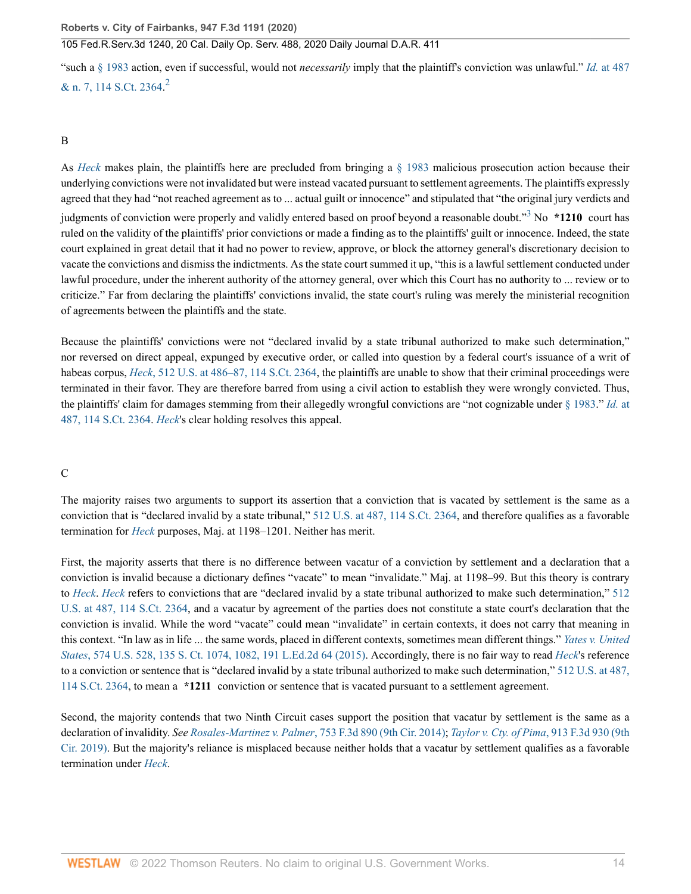<span id="page-13-0"></span>"such a [§ 1983](http://www.westlaw.com/Link/Document/FullText?findType=L&pubNum=1000546&cite=42USCAS1983&originatingDoc=I85271cc03d5c11eaa49a848616f1a2d2&refType=LQ&originationContext=document&vr=3.0&rs=cblt1.0&transitionType=DocumentItem&contextData=(sc.Search)) action, even if successful, would not *necessarily* imply that the plaintiff's conviction was unlawful." *Id.* [at 487](http://www.westlaw.com/Link/Document/FullText?findType=Y&serNum=1994135537&pubNum=0000708&originatingDoc=I85271cc03d5c11eaa49a848616f1a2d2&refType=RP&originationContext=document&vr=3.0&rs=cblt1.0&transitionType=DocumentItem&contextData=(sc.Search)) [& n. 7, 114 S.Ct. 2364.](http://www.westlaw.com/Link/Document/FullText?findType=Y&serNum=1994135537&pubNum=0000708&originatingDoc=I85271cc03d5c11eaa49a848616f1a2d2&refType=RP&originationContext=document&vr=3.0&rs=cblt1.0&transitionType=DocumentItem&contextData=(sc.Search))<sup>[2](#page-18-1)</sup>

### B

<span id="page-13-1"></span>As *[Heck](http://www.westlaw.com/Link/Document/FullText?findType=Y&serNum=1994135537&pubNum=0000780&originatingDoc=I85271cc03d5c11eaa49a848616f1a2d2&refType=RP&originationContext=document&vr=3.0&rs=cblt1.0&transitionType=DocumentItem&contextData=(sc.Search))* makes plain, the plaintiffs here are precluded from bringing a [§ 1983](http://www.westlaw.com/Link/Document/FullText?findType=L&pubNum=1000546&cite=42USCAS1983&originatingDoc=I85271cc03d5c11eaa49a848616f1a2d2&refType=LQ&originationContext=document&vr=3.0&rs=cblt1.0&transitionType=DocumentItem&contextData=(sc.Search)) malicious prosecution action because their underlying convictions were not invalidated but were instead vacated pursuant to settlement agreements. The plaintiffs expressly agreed that they had "not reached agreement as to ... actual guilt or innocence" and stipulated that "the original jury verdicts and judgments of conviction were properly and validly entered based on proof beyond a reasonable doubt."<sup>[3](#page-18-2)</sup> No \*1210 court has ruled on the validity of the plaintiffs' prior convictions or made a finding as to the plaintiffs' guilt or innocence. Indeed, the state court explained in great detail that it had no power to review, approve, or block the attorney general's discretionary decision to vacate the convictions and dismiss the indictments. As the state court summed it up, "this is a lawful settlement conducted under lawful procedure, under the inherent authority of the attorney general, over which this Court has no authority to ... review or to criticize." Far from declaring the plaintiffs' convictions invalid, the state court's ruling was merely the ministerial recognition of agreements between the plaintiffs and the state.

Because the plaintiffs' convictions were not "declared invalid by a state tribunal authorized to make such determination," nor reversed on direct appeal, expunged by executive order, or called into question by a federal court's issuance of a writ of habeas corpus, *Heck*[, 512 U.S. at 486–87, 114 S.Ct. 2364,](http://www.westlaw.com/Link/Document/FullText?findType=Y&serNum=1994135537&pubNum=0000780&originatingDoc=I85271cc03d5c11eaa49a848616f1a2d2&refType=RP&fi=co_pp_sp_780_486&originationContext=document&vr=3.0&rs=cblt1.0&transitionType=DocumentItem&contextData=(sc.Search)#co_pp_sp_780_486) the plaintiffs are unable to show that their criminal proceedings were terminated in their favor. They are therefore barred from using a civil action to establish they were wrongly convicted. Thus, the plaintiffs' claim for damages stemming from their allegedly wrongful convictions are "not cognizable under [§ 1983](http://www.westlaw.com/Link/Document/FullText?findType=L&pubNum=1000546&cite=42USCAS1983&originatingDoc=I85271cc03d5c11eaa49a848616f1a2d2&refType=LQ&originationContext=document&vr=3.0&rs=cblt1.0&transitionType=DocumentItem&contextData=(sc.Search))." *[Id.](http://www.westlaw.com/Link/Document/FullText?findType=Y&serNum=1994135537&pubNum=0000708&originatingDoc=I85271cc03d5c11eaa49a848616f1a2d2&refType=RP&fi=co_pp_sp_708_487&originationContext=document&vr=3.0&rs=cblt1.0&transitionType=DocumentItem&contextData=(sc.Search)#co_pp_sp_708_487)* at [487, 114 S.Ct. 2364.](http://www.westlaw.com/Link/Document/FullText?findType=Y&serNum=1994135537&pubNum=0000708&originatingDoc=I85271cc03d5c11eaa49a848616f1a2d2&refType=RP&fi=co_pp_sp_708_487&originationContext=document&vr=3.0&rs=cblt1.0&transitionType=DocumentItem&contextData=(sc.Search)#co_pp_sp_708_487) *[Heck](http://www.westlaw.com/Link/Document/FullText?findType=Y&serNum=1994135537&originatingDoc=I85271cc03d5c11eaa49a848616f1a2d2&refType=RP&originationContext=document&vr=3.0&rs=cblt1.0&transitionType=DocumentItem&contextData=(sc.Search))*'s clear holding resolves this appeal.

### C

The majority raises two arguments to support its assertion that a conviction that is vacated by settlement is the same as a conviction that is "declared invalid by a state tribunal," [512 U.S. at 487, 114 S.Ct. 2364,](http://www.westlaw.com/Link/Document/FullText?findType=Y&serNum=1994135537&pubNum=0000780&originatingDoc=I85271cc03d5c11eaa49a848616f1a2d2&refType=RP&fi=co_pp_sp_780_487&originationContext=document&vr=3.0&rs=cblt1.0&transitionType=DocumentItem&contextData=(sc.Search)#co_pp_sp_780_487) and therefore qualifies as a favorable termination for *[Heck](http://www.westlaw.com/Link/Document/FullText?findType=Y&serNum=1994135537&pubNum=0000780&originatingDoc=I85271cc03d5c11eaa49a848616f1a2d2&refType=RP&originationContext=document&vr=3.0&rs=cblt1.0&transitionType=DocumentItem&contextData=(sc.Search))* purposes, Maj. at 1198–1201. Neither has merit.

First, the majority asserts that there is no difference between vacatur of a conviction by settlement and a declaration that a conviction is invalid because a dictionary defines "vacate" to mean "invalidate." Maj. at 1198–99. But this theory is contrary to *[Heck](http://www.westlaw.com/Link/Document/FullText?findType=Y&serNum=1994135537&pubNum=0000780&originatingDoc=I85271cc03d5c11eaa49a848616f1a2d2&refType=RP&originationContext=document&vr=3.0&rs=cblt1.0&transitionType=DocumentItem&contextData=(sc.Search))*. *[Heck](http://www.westlaw.com/Link/Document/FullText?findType=Y&serNum=1994135537&pubNum=0000780&originatingDoc=I85271cc03d5c11eaa49a848616f1a2d2&refType=RP&originationContext=document&vr=3.0&rs=cblt1.0&transitionType=DocumentItem&contextData=(sc.Search))* refers to convictions that are "declared invalid by a state tribunal authorized to make such determination," [512](http://www.westlaw.com/Link/Document/FullText?findType=Y&serNum=1994135537&pubNum=0000780&originatingDoc=I85271cc03d5c11eaa49a848616f1a2d2&refType=RP&fi=co_pp_sp_780_487&originationContext=document&vr=3.0&rs=cblt1.0&transitionType=DocumentItem&contextData=(sc.Search)#co_pp_sp_780_487) [U.S. at 487, 114 S.Ct. 2364](http://www.westlaw.com/Link/Document/FullText?findType=Y&serNum=1994135537&pubNum=0000780&originatingDoc=I85271cc03d5c11eaa49a848616f1a2d2&refType=RP&fi=co_pp_sp_780_487&originationContext=document&vr=3.0&rs=cblt1.0&transitionType=DocumentItem&contextData=(sc.Search)#co_pp_sp_780_487), and a vacatur by agreement of the parties does not constitute a state court's declaration that the conviction is invalid. While the word "vacate" could mean "invalidate" in certain contexts, it does not carry that meaning in this context. "In law as in life ... the same words, placed in different contexts, sometimes mean different things." *[Yates v. United](http://www.westlaw.com/Link/Document/FullText?findType=Y&serNum=2035496669&pubNum=0000708&originatingDoc=I85271cc03d5c11eaa49a848616f1a2d2&refType=RP&fi=co_pp_sp_708_1082&originationContext=document&vr=3.0&rs=cblt1.0&transitionType=DocumentItem&contextData=(sc.Search)#co_pp_sp_708_1082) States*[, 574 U.S. 528, 135 S. Ct. 1074, 1082, 191 L.Ed.2d 64 \(2015\).](http://www.westlaw.com/Link/Document/FullText?findType=Y&serNum=2035496669&pubNum=0000708&originatingDoc=I85271cc03d5c11eaa49a848616f1a2d2&refType=RP&fi=co_pp_sp_708_1082&originationContext=document&vr=3.0&rs=cblt1.0&transitionType=DocumentItem&contextData=(sc.Search)#co_pp_sp_708_1082) Accordingly, there is no fair way to read *[Heck](http://www.westlaw.com/Link/Document/FullText?findType=Y&serNum=1994135537&pubNum=0000780&originatingDoc=I85271cc03d5c11eaa49a848616f1a2d2&refType=RP&originationContext=document&vr=3.0&rs=cblt1.0&transitionType=DocumentItem&contextData=(sc.Search))*'s reference to a conviction or sentence that is "declared invalid by a state tribunal authorized to make such determination," [512 U.S. at 487,](http://www.westlaw.com/Link/Document/FullText?findType=Y&serNum=1994135537&pubNum=0000780&originatingDoc=I85271cc03d5c11eaa49a848616f1a2d2&refType=RP&fi=co_pp_sp_780_487&originationContext=document&vr=3.0&rs=cblt1.0&transitionType=DocumentItem&contextData=(sc.Search)#co_pp_sp_780_487) [114 S.Ct. 2364,](http://www.westlaw.com/Link/Document/FullText?findType=Y&serNum=1994135537&pubNum=0000780&originatingDoc=I85271cc03d5c11eaa49a848616f1a2d2&refType=RP&fi=co_pp_sp_780_487&originationContext=document&vr=3.0&rs=cblt1.0&transitionType=DocumentItem&contextData=(sc.Search)#co_pp_sp_780_487) to mean a **\*1211** conviction or sentence that is vacated pursuant to a settlement agreement.

Second, the majority contends that two Ninth Circuit cases support the position that vacatur by settlement is the same as a declaration of invalidity. *See Rosales-Martinez v. Palmer*[, 753 F.3d 890 \(9th Cir. 2014\);](http://www.westlaw.com/Link/Document/FullText?findType=Y&serNum=2033506915&pubNum=0000506&originatingDoc=I85271cc03d5c11eaa49a848616f1a2d2&refType=RP&originationContext=document&vr=3.0&rs=cblt1.0&transitionType=DocumentItem&contextData=(sc.Search)) *[Taylor v. Cty. of Pima](http://www.westlaw.com/Link/Document/FullText?findType=Y&serNum=2047347514&pubNum=0000506&originatingDoc=I85271cc03d5c11eaa49a848616f1a2d2&refType=RP&originationContext=document&vr=3.0&rs=cblt1.0&transitionType=DocumentItem&contextData=(sc.Search))*, 913 F.3d 930 (9th [Cir. 2019\).](http://www.westlaw.com/Link/Document/FullText?findType=Y&serNum=2047347514&pubNum=0000506&originatingDoc=I85271cc03d5c11eaa49a848616f1a2d2&refType=RP&originationContext=document&vr=3.0&rs=cblt1.0&transitionType=DocumentItem&contextData=(sc.Search)) But the majority's reliance is misplaced because neither holds that a vacatur by settlement qualifies as a favorable termination under *[Heck](http://www.westlaw.com/Link/Document/FullText?findType=Y&serNum=1994135537&pubNum=0000780&originatingDoc=I85271cc03d5c11eaa49a848616f1a2d2&refType=RP&originationContext=document&vr=3.0&rs=cblt1.0&transitionType=DocumentItem&contextData=(sc.Search))*.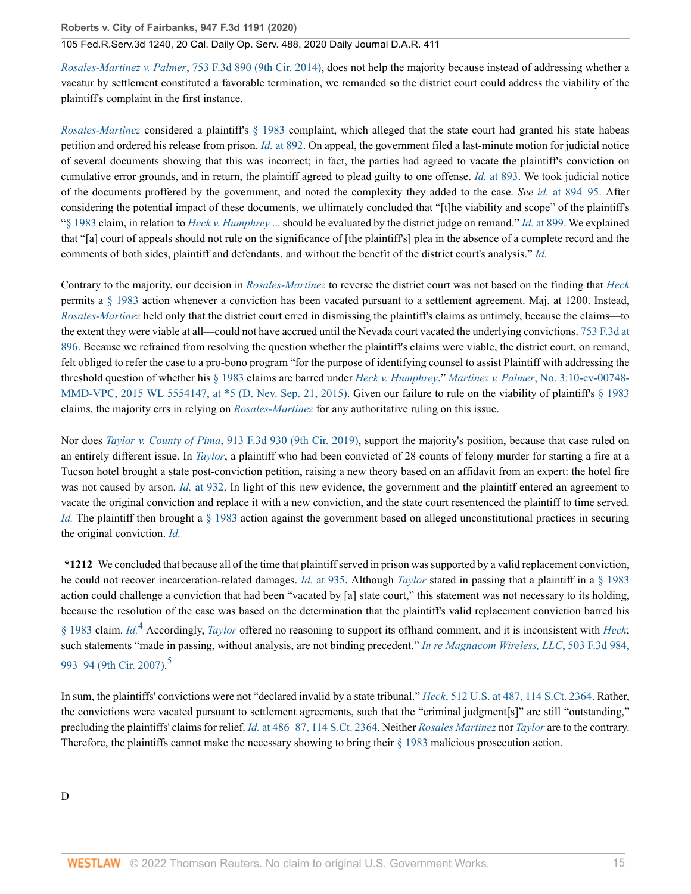### 105 Fed.R.Serv.3d 1240, 20 Cal. Daily Op. Serv. 488, 2020 Daily Journal D.A.R. 411

*Rosales-Martinez v. Palmer*[, 753 F.3d 890 \(9th Cir. 2014\),](http://www.westlaw.com/Link/Document/FullText?findType=Y&serNum=2033506915&pubNum=0000506&originatingDoc=I85271cc03d5c11eaa49a848616f1a2d2&refType=RP&originationContext=document&vr=3.0&rs=cblt1.0&transitionType=DocumentItem&contextData=(sc.Search)) does not help the majority because instead of addressing whether a vacatur by settlement constituted a favorable termination, we remanded so the district court could address the viability of the plaintiff's complaint in the first instance.

*[Rosales-Martinez](http://www.westlaw.com/Link/Document/FullText?findType=Y&serNum=2033506915&pubNum=0000506&originatingDoc=I85271cc03d5c11eaa49a848616f1a2d2&refType=RP&originationContext=document&vr=3.0&rs=cblt1.0&transitionType=DocumentItem&contextData=(sc.Search))* considered a plaintiff's [§ 1983](http://www.westlaw.com/Link/Document/FullText?findType=L&pubNum=1000546&cite=42USCAS1983&originatingDoc=I85271cc03d5c11eaa49a848616f1a2d2&refType=LQ&originationContext=document&vr=3.0&rs=cblt1.0&transitionType=DocumentItem&contextData=(sc.Search)) complaint, which alleged that the state court had granted his state habeas petition and ordered his release from prison. *Id.* [at 892.](http://www.westlaw.com/Link/Document/FullText?findType=Y&serNum=2033506915&pubNum=0000506&originatingDoc=I85271cc03d5c11eaa49a848616f1a2d2&refType=RP&fi=co_pp_sp_506_892&originationContext=document&vr=3.0&rs=cblt1.0&transitionType=DocumentItem&contextData=(sc.Search)#co_pp_sp_506_892) On appeal, the government filed a last-minute motion for judicial notice of several documents showing that this was incorrect; in fact, the parties had agreed to vacate the plaintiff's conviction on cumulative error grounds, and in return, the plaintiff agreed to plead guilty to one offense. *Id.* [at 893](http://www.westlaw.com/Link/Document/FullText?findType=Y&serNum=2033506915&pubNum=0000506&originatingDoc=I85271cc03d5c11eaa49a848616f1a2d2&refType=RP&fi=co_pp_sp_506_893&originationContext=document&vr=3.0&rs=cblt1.0&transitionType=DocumentItem&contextData=(sc.Search)#co_pp_sp_506_893). We took judicial notice of the documents proffered by the government, and noted the complexity they added to the case. *See id.* [at 894–95.](http://www.westlaw.com/Link/Document/FullText?findType=Y&serNum=2033506915&pubNum=0000506&originatingDoc=I85271cc03d5c11eaa49a848616f1a2d2&refType=RP&fi=co_pp_sp_506_894&originationContext=document&vr=3.0&rs=cblt1.0&transitionType=DocumentItem&contextData=(sc.Search)#co_pp_sp_506_894) After considering the potential impact of these documents, we ultimately concluded that "[t]he viability and scope" of the plaintiff's ["§ 1983](http://www.westlaw.com/Link/Document/FullText?findType=L&pubNum=1000546&cite=42USCAS1983&originatingDoc=I85271cc03d5c11eaa49a848616f1a2d2&refType=LQ&originationContext=document&vr=3.0&rs=cblt1.0&transitionType=DocumentItem&contextData=(sc.Search)) claim, in relation to *[Heck v. Humphrey](http://www.westlaw.com/Link/Document/FullText?findType=Y&serNum=1994135537&pubNum=0000780&originatingDoc=I85271cc03d5c11eaa49a848616f1a2d2&refType=RP&originationContext=document&vr=3.0&rs=cblt1.0&transitionType=DocumentItem&contextData=(sc.Search))* ... should be evaluated by the district judge on remand." *Id.* [at 899.](http://www.westlaw.com/Link/Document/FullText?findType=Y&serNum=2033506915&pubNum=0000506&originatingDoc=I85271cc03d5c11eaa49a848616f1a2d2&refType=RP&fi=co_pp_sp_506_899&originationContext=document&vr=3.0&rs=cblt1.0&transitionType=DocumentItem&contextData=(sc.Search)#co_pp_sp_506_899) We explained that "[a] court of appeals should not rule on the significance of [the plaintiff's] plea in the absence of a complete record and the comments of both sides, plaintiff and defendants, and without the benefit of the district court's analysis." *[Id.](http://www.westlaw.com/Link/Document/FullText?findType=Y&serNum=2033506915&pubNum=0000506&originatingDoc=I85271cc03d5c11eaa49a848616f1a2d2&refType=RP&originationContext=document&vr=3.0&rs=cblt1.0&transitionType=DocumentItem&contextData=(sc.Search))*

Contrary to the majority, our decision in *[Rosales-Martinez](http://www.westlaw.com/Link/Document/FullText?findType=Y&serNum=2033506915&pubNum=0000506&originatingDoc=I85271cc03d5c11eaa49a848616f1a2d2&refType=RP&originationContext=document&vr=3.0&rs=cblt1.0&transitionType=DocumentItem&contextData=(sc.Search))* to reverse the district court was not based on the finding that *[Heck](http://www.westlaw.com/Link/Document/FullText?findType=Y&serNum=1994135537&pubNum=0000780&originatingDoc=I85271cc03d5c11eaa49a848616f1a2d2&refType=RP&originationContext=document&vr=3.0&rs=cblt1.0&transitionType=DocumentItem&contextData=(sc.Search))* permits a [§ 1983](http://www.westlaw.com/Link/Document/FullText?findType=L&pubNum=1000546&cite=42USCAS1983&originatingDoc=I85271cc03d5c11eaa49a848616f1a2d2&refType=LQ&originationContext=document&vr=3.0&rs=cblt1.0&transitionType=DocumentItem&contextData=(sc.Search)) action whenever a conviction has been vacated pursuant to a settlement agreement. Maj. at 1200. Instead, *[Rosales-Martinez](http://www.westlaw.com/Link/Document/FullText?findType=Y&serNum=2033506915&pubNum=0000506&originatingDoc=I85271cc03d5c11eaa49a848616f1a2d2&refType=RP&originationContext=document&vr=3.0&rs=cblt1.0&transitionType=DocumentItem&contextData=(sc.Search))* held only that the district court erred in dismissing the plaintiff's claims as untimely, because the claims—to the extent they were viable at all—could not have accrued until the Nevada court vacated the underlying convictions. [753 F.3d at](http://www.westlaw.com/Link/Document/FullText?findType=Y&serNum=2033506915&pubNum=0000506&originatingDoc=I85271cc03d5c11eaa49a848616f1a2d2&refType=RP&fi=co_pp_sp_506_896&originationContext=document&vr=3.0&rs=cblt1.0&transitionType=DocumentItem&contextData=(sc.Search)#co_pp_sp_506_896) [896](http://www.westlaw.com/Link/Document/FullText?findType=Y&serNum=2033506915&pubNum=0000506&originatingDoc=I85271cc03d5c11eaa49a848616f1a2d2&refType=RP&fi=co_pp_sp_506_896&originationContext=document&vr=3.0&rs=cblt1.0&transitionType=DocumentItem&contextData=(sc.Search)#co_pp_sp_506_896). Because we refrained from resolving the question whether the plaintiff's claims were viable, the district court, on remand, felt obliged to refer the case to a pro-bono program "for the purpose of identifying counsel to assist Plaintiff with addressing the threshold question of whether his [§ 1983](http://www.westlaw.com/Link/Document/FullText?findType=L&pubNum=1000546&cite=42USCAS1983&originatingDoc=I85271cc03d5c11eaa49a848616f1a2d2&refType=LQ&originationContext=document&vr=3.0&rs=cblt1.0&transitionType=DocumentItem&contextData=(sc.Search)) claims are barred under *[Heck v. Humphrey](http://www.westlaw.com/Link/Document/FullText?findType=Y&serNum=1994135537&pubNum=0000780&originatingDoc=I85271cc03d5c11eaa49a848616f1a2d2&refType=RP&originationContext=document&vr=3.0&rs=cblt1.0&transitionType=DocumentItem&contextData=(sc.Search))*." *Martinez v. Palmer*[, No. 3:10-cv-00748-](http://www.westlaw.com/Link/Document/FullText?findType=Y&serNum=2037218930&pubNum=0000999&originatingDoc=I85271cc03d5c11eaa49a848616f1a2d2&refType=RP&originationContext=document&vr=3.0&rs=cblt1.0&transitionType=DocumentItem&contextData=(sc.Search)) MMD-VPC, 2015 WL 5554147, at  $*5$  (D. Nev. Sep. 21, 2015). Given our failure to rule on the viability of plaintiff's  $\S$  1983 claims, the majority errs in relying on *[Rosales-Martinez](http://www.westlaw.com/Link/Document/FullText?findType=Y&serNum=2033506915&pubNum=0000506&originatingDoc=I85271cc03d5c11eaa49a848616f1a2d2&refType=RP&originationContext=document&vr=3.0&rs=cblt1.0&transitionType=DocumentItem&contextData=(sc.Search))* for any authoritative ruling on this issue.

Nor does *Taylor v. County of Pima*[, 913 F.3d 930 \(9th Cir. 2019\),](http://www.westlaw.com/Link/Document/FullText?findType=Y&serNum=2047347514&pubNum=0000506&originatingDoc=I85271cc03d5c11eaa49a848616f1a2d2&refType=RP&originationContext=document&vr=3.0&rs=cblt1.0&transitionType=DocumentItem&contextData=(sc.Search)) support the majority's position, because that case ruled on an entirely different issue. In *[Taylor](http://www.westlaw.com/Link/Document/FullText?findType=Y&serNum=2047347514&pubNum=0000506&originatingDoc=I85271cc03d5c11eaa49a848616f1a2d2&refType=RP&originationContext=document&vr=3.0&rs=cblt1.0&transitionType=DocumentItem&contextData=(sc.Search))*, a plaintiff who had been convicted of 28 counts of felony murder for starting a fire at a Tucson hotel brought a state post-conviction petition, raising a new theory based on an affidavit from an expert: the hotel fire was not caused by arson. *Id.* [at 932](http://www.westlaw.com/Link/Document/FullText?findType=Y&serNum=2047347514&pubNum=0000506&originatingDoc=I85271cc03d5c11eaa49a848616f1a2d2&refType=RP&fi=co_pp_sp_506_932&originationContext=document&vr=3.0&rs=cblt1.0&transitionType=DocumentItem&contextData=(sc.Search)#co_pp_sp_506_932). In light of this new evidence, the government and the plaintiff entered an agreement to vacate the original conviction and replace it with a new conviction, and the state court resentenced the plaintiff to time served. *[Id.](http://www.westlaw.com/Link/Document/FullText?findType=Y&serNum=2047347514&pubNum=0000506&originatingDoc=I85271cc03d5c11eaa49a848616f1a2d2&refType=RP&originationContext=document&vr=3.0&rs=cblt1.0&transitionType=DocumentItem&contextData=(sc.Search))* The plaintiff then brought a [§ 1983](http://www.westlaw.com/Link/Document/FullText?findType=L&pubNum=1000546&cite=42USCAS1983&originatingDoc=I85271cc03d5c11eaa49a848616f1a2d2&refType=LQ&originationContext=document&vr=3.0&rs=cblt1.0&transitionType=DocumentItem&contextData=(sc.Search)) action against the government based on alleged unconstitutional practices in securing the original conviction. *[Id.](http://www.westlaw.com/Link/Document/FullText?findType=Y&serNum=2047347514&pubNum=0000506&originatingDoc=I85271cc03d5c11eaa49a848616f1a2d2&refType=RP&originationContext=document&vr=3.0&rs=cblt1.0&transitionType=DocumentItem&contextData=(sc.Search))*

<span id="page-14-0"></span>**\*1212** We concluded that because all of the time that plaintiff served in prison was supported by a valid replacement conviction, he could not recover incarceration-related damages. *Id.* [at 935.](http://www.westlaw.com/Link/Document/FullText?findType=Y&serNum=2047347514&pubNum=0000506&originatingDoc=I85271cc03d5c11eaa49a848616f1a2d2&refType=RP&fi=co_pp_sp_506_935&originationContext=document&vr=3.0&rs=cblt1.0&transitionType=DocumentItem&contextData=(sc.Search)#co_pp_sp_506_935) Although *[Taylor](http://www.westlaw.com/Link/Document/FullText?findType=Y&serNum=2047347514&pubNum=0000506&originatingDoc=I85271cc03d5c11eaa49a848616f1a2d2&refType=RP&originationContext=document&vr=3.0&rs=cblt1.0&transitionType=DocumentItem&contextData=(sc.Search))* stated in passing that a plaintiff in a [§ 1983](http://www.westlaw.com/Link/Document/FullText?findType=L&pubNum=1000546&cite=42USCAS1983&originatingDoc=I85271cc03d5c11eaa49a848616f1a2d2&refType=LQ&originationContext=document&vr=3.0&rs=cblt1.0&transitionType=DocumentItem&contextData=(sc.Search)) action could challenge a conviction that had been "vacated by [a] state court," this statement was not necessary to its holding, because the resolution of the case was based on the determination that the plaintiff's valid replacement conviction barred his [§ 1983](http://www.westlaw.com/Link/Document/FullText?findType=L&pubNum=1000546&cite=42USCAS1983&originatingDoc=I85271cc03d5c11eaa49a848616f1a2d2&refType=LQ&originationContext=document&vr=3.0&rs=cblt1.0&transitionType=DocumentItem&contextData=(sc.Search)) claim. *[Id.](http://www.westlaw.com/Link/Document/FullText?findType=Y&serNum=2047347514&pubNum=0000506&originatingDoc=I85271cc03d5c11eaa49a848616f1a2d2&refType=RP&originationContext=document&vr=3.0&rs=cblt1.0&transitionType=DocumentItem&contextData=(sc.Search))*<sup>[4](#page-18-3)</sup> Accordingly, *[Taylor](http://www.westlaw.com/Link/Document/FullText?findType=Y&serNum=2047347514&pubNum=0000506&originatingDoc=I85271cc03d5c11eaa49a848616f1a2d2&refType=RP&originationContext=document&vr=3.0&rs=cblt1.0&transitionType=DocumentItem&contextData=(sc.Search))* offered no reasoning to support its offhand comment, and it is inconsistent with *[Heck](http://www.westlaw.com/Link/Document/FullText?findType=Y&serNum=1994135537&pubNum=0000780&originatingDoc=I85271cc03d5c11eaa49a848616f1a2d2&refType=RP&originationContext=document&vr=3.0&rs=cblt1.0&transitionType=DocumentItem&contextData=(sc.Search))*; such statements "made in passing, without analysis, are not binding precedent." *[In re Magnacom Wireless, LLC](http://www.westlaw.com/Link/Document/FullText?findType=Y&serNum=2013188930&pubNum=0000506&originatingDoc=I85271cc03d5c11eaa49a848616f1a2d2&refType=RP&fi=co_pp_sp_506_993&originationContext=document&vr=3.0&rs=cblt1.0&transitionType=DocumentItem&contextData=(sc.Search)#co_pp_sp_506_993)*, 503 F.3d 984, [993–94 \(9th Cir. 2007\).](http://www.westlaw.com/Link/Document/FullText?findType=Y&serNum=2013188930&pubNum=0000506&originatingDoc=I85271cc03d5c11eaa49a848616f1a2d2&refType=RP&fi=co_pp_sp_506_993&originationContext=document&vr=3.0&rs=cblt1.0&transitionType=DocumentItem&contextData=(sc.Search)#co_pp_sp_506_993)<sup>[5](#page-18-4)</sup>

<span id="page-14-1"></span>In sum, the plaintiffs' convictions were not "declared invalid by a state tribunal." *Heck*[, 512 U.S. at 487, 114 S.Ct. 2364.](http://www.westlaw.com/Link/Document/FullText?findType=Y&serNum=1994135537&pubNum=0000780&originatingDoc=I85271cc03d5c11eaa49a848616f1a2d2&refType=RP&fi=co_pp_sp_780_487&originationContext=document&vr=3.0&rs=cblt1.0&transitionType=DocumentItem&contextData=(sc.Search)#co_pp_sp_780_487) Rather, the convictions were vacated pursuant to settlement agreements, such that the "criminal judgment[s]" are still "outstanding," precluding the plaintiffs' claims for relief. *Id.* [at 486–87, 114 S.Ct. 2364](http://www.westlaw.com/Link/Document/FullText?findType=Y&serNum=1994135537&pubNum=0000708&originatingDoc=I85271cc03d5c11eaa49a848616f1a2d2&refType=RP&originationContext=document&vr=3.0&rs=cblt1.0&transitionType=DocumentItem&contextData=(sc.Search)). Neither *[Rosales Martinez](http://www.westlaw.com/Link/Document/FullText?findType=Y&serNum=2033506915&pubNum=0000506&originatingDoc=I85271cc03d5c11eaa49a848616f1a2d2&refType=RP&originationContext=document&vr=3.0&rs=cblt1.0&transitionType=DocumentItem&contextData=(sc.Search))* nor *[Taylor](http://www.westlaw.com/Link/Document/FullText?findType=Y&serNum=2047347514&pubNum=0000506&originatingDoc=I85271cc03d5c11eaa49a848616f1a2d2&refType=RP&originationContext=document&vr=3.0&rs=cblt1.0&transitionType=DocumentItem&contextData=(sc.Search))* are to the contrary. Therefore, the plaintiffs cannot make the necessary showing to bring their [§ 1983](http://www.westlaw.com/Link/Document/FullText?findType=L&pubNum=1000546&cite=42USCAS1983&originatingDoc=I85271cc03d5c11eaa49a848616f1a2d2&refType=LQ&originationContext=document&vr=3.0&rs=cblt1.0&transitionType=DocumentItem&contextData=(sc.Search)) malicious prosecution action.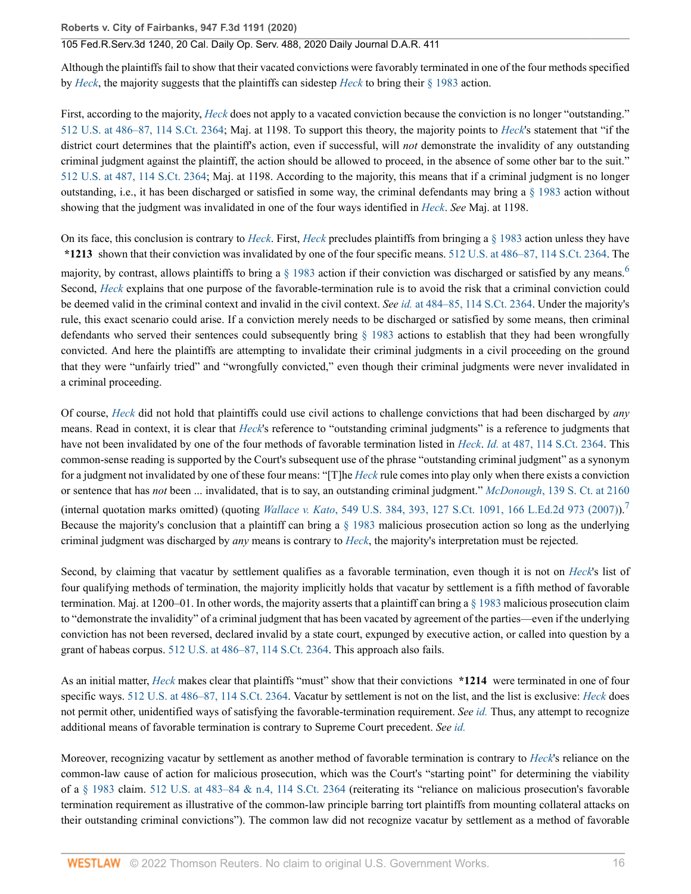Although the plaintiffs fail to show that their vacated convictions were favorably terminated in one of the four methods specified by *[Heck](http://www.westlaw.com/Link/Document/FullText?findType=Y&serNum=1994135537&pubNum=0000780&originatingDoc=I85271cc03d5c11eaa49a848616f1a2d2&refType=RP&originationContext=document&vr=3.0&rs=cblt1.0&transitionType=DocumentItem&contextData=(sc.Search))*, the majority suggests that the plaintiffs can sidestep *[Heck](http://www.westlaw.com/Link/Document/FullText?findType=Y&serNum=1994135537&pubNum=0000780&originatingDoc=I85271cc03d5c11eaa49a848616f1a2d2&refType=RP&originationContext=document&vr=3.0&rs=cblt1.0&transitionType=DocumentItem&contextData=(sc.Search))* to bring their [§ 1983](http://www.westlaw.com/Link/Document/FullText?findType=L&pubNum=1000546&cite=42USCAS1983&originatingDoc=I85271cc03d5c11eaa49a848616f1a2d2&refType=LQ&originationContext=document&vr=3.0&rs=cblt1.0&transitionType=DocumentItem&contextData=(sc.Search)) action.

First, according to the majority, *[Heck](http://www.westlaw.com/Link/Document/FullText?findType=Y&serNum=1994135537&pubNum=0000780&originatingDoc=I85271cc03d5c11eaa49a848616f1a2d2&refType=RP&originationContext=document&vr=3.0&rs=cblt1.0&transitionType=DocumentItem&contextData=(sc.Search))* does not apply to a vacated conviction because the conviction is no longer "outstanding." [512 U.S. at 486–87, 114 S.Ct. 2364](http://www.westlaw.com/Link/Document/FullText?findType=Y&serNum=1994135537&pubNum=0000780&originatingDoc=I85271cc03d5c11eaa49a848616f1a2d2&refType=RP&fi=co_pp_sp_780_486&originationContext=document&vr=3.0&rs=cblt1.0&transitionType=DocumentItem&contextData=(sc.Search)#co_pp_sp_780_486); Maj. at 1198. To support this theory, the majority points to *[Heck](http://www.westlaw.com/Link/Document/FullText?findType=Y&serNum=1994135537&pubNum=0000780&originatingDoc=I85271cc03d5c11eaa49a848616f1a2d2&refType=RP&originationContext=document&vr=3.0&rs=cblt1.0&transitionType=DocumentItem&contextData=(sc.Search))*'s statement that "if the district court determines that the plaintiff's action, even if successful, will *not* demonstrate the invalidity of any outstanding criminal judgment against the plaintiff, the action should be allowed to proceed, in the absence of some other bar to the suit." [512 U.S. at 487, 114 S.Ct. 2364;](http://www.westlaw.com/Link/Document/FullText?findType=Y&serNum=1994135537&pubNum=0000780&originatingDoc=I85271cc03d5c11eaa49a848616f1a2d2&refType=RP&fi=co_pp_sp_780_487&originationContext=document&vr=3.0&rs=cblt1.0&transitionType=DocumentItem&contextData=(sc.Search)#co_pp_sp_780_487) Maj. at 1198. According to the majority, this means that if a criminal judgment is no longer outstanding, i.e., it has been discharged or satisfied in some way, the criminal defendants may bring a  $\S$  1983 action without showing that the judgment was invalidated in one of the four ways identified in *[Heck](http://www.westlaw.com/Link/Document/FullText?findType=Y&serNum=1994135537&pubNum=0000780&originatingDoc=I85271cc03d5c11eaa49a848616f1a2d2&refType=RP&originationContext=document&vr=3.0&rs=cblt1.0&transitionType=DocumentItem&contextData=(sc.Search))*. *See* Maj. at 1198.

On its face, this conclusion is contrary to *[Heck](http://www.westlaw.com/Link/Document/FullText?findType=Y&serNum=1994135537&pubNum=0000780&originatingDoc=I85271cc03d5c11eaa49a848616f1a2d2&refType=RP&originationContext=document&vr=3.0&rs=cblt1.0&transitionType=DocumentItem&contextData=(sc.Search))*. First, *[Heck](http://www.westlaw.com/Link/Document/FullText?findType=Y&serNum=1994135537&pubNum=0000780&originatingDoc=I85271cc03d5c11eaa49a848616f1a2d2&refType=RP&originationContext=document&vr=3.0&rs=cblt1.0&transitionType=DocumentItem&contextData=(sc.Search))* precludes plaintiffs from bringing a [§ 1983](http://www.westlaw.com/Link/Document/FullText?findType=L&pubNum=1000546&cite=42USCAS1983&originatingDoc=I85271cc03d5c11eaa49a848616f1a2d2&refType=LQ&originationContext=document&vr=3.0&rs=cblt1.0&transitionType=DocumentItem&contextData=(sc.Search)) action unless they have **\*1213** shown that their conviction was invalidated by one of the four specific means. [512 U.S. at 486–87, 114 S.Ct. 2364.](http://www.westlaw.com/Link/Document/FullText?findType=Y&serNum=1994135537&pubNum=0000780&originatingDoc=I85271cc03d5c11eaa49a848616f1a2d2&refType=RP&fi=co_pp_sp_780_486&originationContext=document&vr=3.0&rs=cblt1.0&transitionType=DocumentItem&contextData=(sc.Search)#co_pp_sp_780_486) The

<span id="page-15-0"></span>majority, by contrast, allows plaintiffs to bring a  $\S$  1983 action if their conviction was discharged or satisfied by any means.<sup>[6](#page-18-5)</sup> Second, *[Heck](http://www.westlaw.com/Link/Document/FullText?findType=Y&serNum=1994135537&pubNum=0000780&originatingDoc=I85271cc03d5c11eaa49a848616f1a2d2&refType=RP&originationContext=document&vr=3.0&rs=cblt1.0&transitionType=DocumentItem&contextData=(sc.Search))* explains that one purpose of the favorable-termination rule is to avoid the risk that a criminal conviction could be deemed valid in the criminal context and invalid in the civil context. *See id.* [at 484–85, 114 S.Ct. 2364.](http://www.westlaw.com/Link/Document/FullText?findType=Y&serNum=1994135537&pubNum=0000708&originatingDoc=I85271cc03d5c11eaa49a848616f1a2d2&refType=RP&originationContext=document&vr=3.0&rs=cblt1.0&transitionType=DocumentItem&contextData=(sc.Search)) Under the majority's rule, this exact scenario could arise. If a conviction merely needs to be discharged or satisfied by some means, then criminal defendants who served their sentences could subsequently bring [§ 1983](http://www.westlaw.com/Link/Document/FullText?findType=L&pubNum=1000546&cite=42USCAS1983&originatingDoc=I85271cc03d5c11eaa49a848616f1a2d2&refType=LQ&originationContext=document&vr=3.0&rs=cblt1.0&transitionType=DocumentItem&contextData=(sc.Search)) actions to establish that they had been wrongfully convicted. And here the plaintiffs are attempting to invalidate their criminal judgments in a civil proceeding on the ground that they were "unfairly tried" and "wrongfully convicted," even though their criminal judgments were never invalidated in a criminal proceeding.

Of course, *[Heck](http://www.westlaw.com/Link/Document/FullText?findType=Y&serNum=1994135537&pubNum=0000780&originatingDoc=I85271cc03d5c11eaa49a848616f1a2d2&refType=RP&originationContext=document&vr=3.0&rs=cblt1.0&transitionType=DocumentItem&contextData=(sc.Search))* did not hold that plaintiffs could use civil actions to challenge convictions that had been discharged by *any* means. Read in context, it is clear that *[Heck](http://www.westlaw.com/Link/Document/FullText?findType=Y&serNum=1994135537&originatingDoc=I85271cc03d5c11eaa49a848616f1a2d2&refType=RP&originationContext=document&vr=3.0&rs=cblt1.0&transitionType=DocumentItem&contextData=(sc.Search))*'s reference to "outstanding criminal judgments" is a reference to judgments that have not been invalidated by one of the four methods of favorable termination listed in *[Heck](http://www.westlaw.com/Link/Document/FullText?findType=Y&serNum=1994135537&pubNum=0000780&originatingDoc=I85271cc03d5c11eaa49a848616f1a2d2&refType=RP&originationContext=document&vr=3.0&rs=cblt1.0&transitionType=DocumentItem&contextData=(sc.Search))*. *Id.* [at 487, 114 S.Ct. 2364](http://www.westlaw.com/Link/Document/FullText?findType=Y&serNum=1994135537&pubNum=0000708&originatingDoc=I85271cc03d5c11eaa49a848616f1a2d2&refType=RP&fi=co_pp_sp_708_487&originationContext=document&vr=3.0&rs=cblt1.0&transitionType=DocumentItem&contextData=(sc.Search)#co_pp_sp_708_487). This common-sense reading is supported by the Court's subsequent use of the phrase "outstanding criminal judgment" as a synonym for a judgment not invalidated by one of these four means: "[T]he *[Heck](http://www.westlaw.com/Link/Document/FullText?findType=Y&serNum=1994135537&pubNum=0000780&originatingDoc=I85271cc03d5c11eaa49a848616f1a2d2&refType=RP&originationContext=document&vr=3.0&rs=cblt1.0&transitionType=DocumentItem&contextData=(sc.Search))* rule comes into play only when there exists a conviction or sentence that has *not* been ... invalidated, that is to say, an outstanding criminal judgment." *McDonough*[, 139 S. Ct. at 2160](http://www.westlaw.com/Link/Document/FullText?findType=Y&serNum=2048519607&pubNum=0000708&originatingDoc=I85271cc03d5c11eaa49a848616f1a2d2&refType=RP&fi=co_pp_sp_708_2160&originationContext=document&vr=3.0&rs=cblt1.0&transitionType=DocumentItem&contextData=(sc.Search)#co_pp_sp_708_2160) (internal quotation marks omitted) (quoting *Wallace v. Kato*[, 549 U.S. 384, 393, 127 S.Ct. 1091, 166 L.Ed.2d 973 \(2007\)](http://www.westlaw.com/Link/Document/FullText?findType=Y&serNum=2011495384&pubNum=0000780&originatingDoc=I85271cc03d5c11eaa49a848616f1a2d2&refType=RP&fi=co_pp_sp_780_393&originationContext=document&vr=3.0&rs=cblt1.0&transitionType=DocumentItem&contextData=(sc.Search)#co_pp_sp_780_393)).[7](#page-18-6) Because the majority's conclusion that a plaintiff can bring a  $\S$  1983 malicious prosecution action so long as the underlying criminal judgment was discharged by *any* means is contrary to *[Heck](http://www.westlaw.com/Link/Document/FullText?findType=Y&serNum=1994135537&pubNum=0000780&originatingDoc=I85271cc03d5c11eaa49a848616f1a2d2&refType=RP&originationContext=document&vr=3.0&rs=cblt1.0&transitionType=DocumentItem&contextData=(sc.Search))*, the majority's interpretation must be rejected.

<span id="page-15-1"></span>Second, by claiming that vacatur by settlement qualifies as a favorable termination, even though it is not on *[Heck](http://www.westlaw.com/Link/Document/FullText?findType=Y&serNum=1994135537&pubNum=0000780&originatingDoc=I85271cc03d5c11eaa49a848616f1a2d2&refType=RP&originationContext=document&vr=3.0&rs=cblt1.0&transitionType=DocumentItem&contextData=(sc.Search))*'s list of four qualifying methods of termination, the majority implicitly holds that vacatur by settlement is a fifth method of favorable termination. Maj. at 1200–01. In other words, the majority asserts that a plaintiff can bring a  $\S$  1983 malicious prosecution claim to "demonstrate the invalidity" of a criminal judgment that has been vacated by agreement of the parties—even if the underlying conviction has not been reversed, declared invalid by a state court, expunged by executive action, or called into question by a grant of habeas corpus. [512 U.S. at 486–87, 114 S.Ct. 2364](http://www.westlaw.com/Link/Document/FullText?findType=Y&serNum=1994135537&pubNum=0000780&originatingDoc=I85271cc03d5c11eaa49a848616f1a2d2&refType=RP&fi=co_pp_sp_780_486&originationContext=document&vr=3.0&rs=cblt1.0&transitionType=DocumentItem&contextData=(sc.Search)#co_pp_sp_780_486). This approach also fails.

As an initial matter, *[Heck](http://www.westlaw.com/Link/Document/FullText?findType=Y&serNum=1994135537&pubNum=0000780&originatingDoc=I85271cc03d5c11eaa49a848616f1a2d2&refType=RP&originationContext=document&vr=3.0&rs=cblt1.0&transitionType=DocumentItem&contextData=(sc.Search))* makes clear that plaintiffs "must" show that their convictions **\*1214** were terminated in one of four specific ways. [512 U.S. at 486–87, 114 S.Ct. 2364](http://www.westlaw.com/Link/Document/FullText?findType=Y&serNum=1994135537&pubNum=0000780&originatingDoc=I85271cc03d5c11eaa49a848616f1a2d2&refType=RP&fi=co_pp_sp_780_486&originationContext=document&vr=3.0&rs=cblt1.0&transitionType=DocumentItem&contextData=(sc.Search)#co_pp_sp_780_486). Vacatur by settlement is not on the list, and the list is exclusive: *[Heck](http://www.westlaw.com/Link/Document/FullText?findType=Y&serNum=1994135537&pubNum=0000780&originatingDoc=I85271cc03d5c11eaa49a848616f1a2d2&refType=RP&originationContext=document&vr=3.0&rs=cblt1.0&transitionType=DocumentItem&contextData=(sc.Search))* does not permit other, unidentified ways of satisfying the favorable-termination requirement. *See [id.](http://www.westlaw.com/Link/Document/FullText?findType=Y&serNum=1994135537&pubNum=0000780&originatingDoc=I85271cc03d5c11eaa49a848616f1a2d2&refType=RP&originationContext=document&vr=3.0&rs=cblt1.0&transitionType=DocumentItem&contextData=(sc.Search))* Thus, any attempt to recognize additional means of favorable termination is contrary to Supreme Court precedent. *See [id.](http://www.westlaw.com/Link/Document/FullText?findType=Y&serNum=1994135537&pubNum=0000780&originatingDoc=I85271cc03d5c11eaa49a848616f1a2d2&refType=RP&originationContext=document&vr=3.0&rs=cblt1.0&transitionType=DocumentItem&contextData=(sc.Search))*

Moreover, recognizing vacatur by settlement as another method of favorable termination is contrary to *[Heck](http://www.westlaw.com/Link/Document/FullText?findType=Y&serNum=1994135537&pubNum=0000780&originatingDoc=I85271cc03d5c11eaa49a848616f1a2d2&refType=RP&originationContext=document&vr=3.0&rs=cblt1.0&transitionType=DocumentItem&contextData=(sc.Search))*'s reliance on the common-law cause of action for malicious prosecution, which was the Court's "starting point" for determining the viability of a  $\S$  1983 claim. [512 U.S. at 483–84 & n.4, 114 S.Ct. 2364](http://www.westlaw.com/Link/Document/FullText?findType=Y&serNum=1994135537&pubNum=0000780&originatingDoc=I85271cc03d5c11eaa49a848616f1a2d2&refType=RP&fi=co_pp_sp_780_483&originationContext=document&vr=3.0&rs=cblt1.0&transitionType=DocumentItem&contextData=(sc.Search)#co_pp_sp_780_483) (reiterating its "reliance on malicious prosecution's favorable termination requirement as illustrative of the common-law principle barring tort plaintiffs from mounting collateral attacks on their outstanding criminal convictions"). The common law did not recognize vacatur by settlement as a method of favorable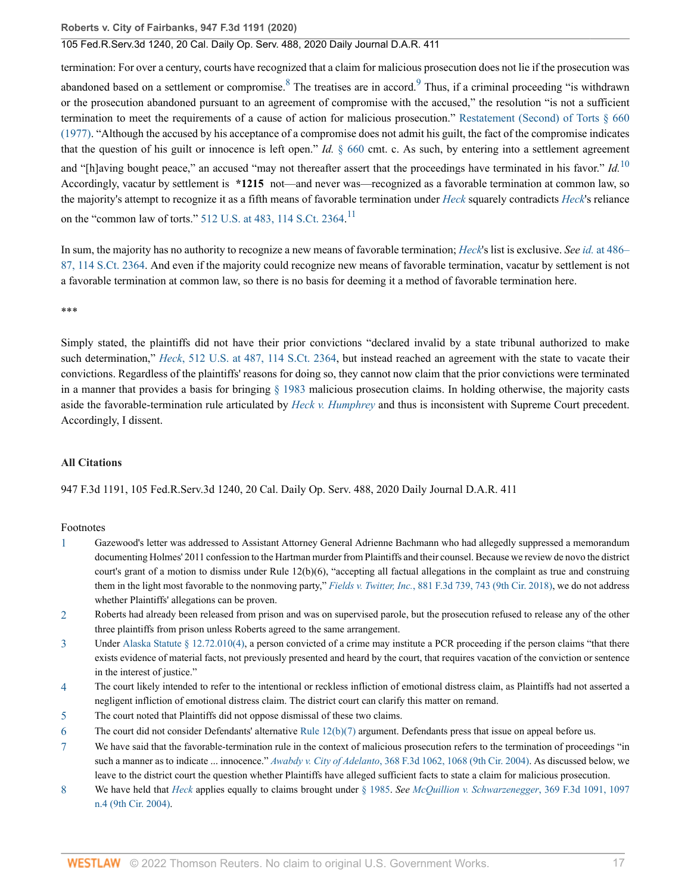### 105 Fed.R.Serv.3d 1240, 20 Cal. Daily Op. Serv. 488, 2020 Daily Journal D.A.R. 411

<span id="page-16-9"></span><span id="page-16-8"></span>termination: For over a century, courts have recognized that a claim for malicious prosecution does not lie if the prosecution was abandoned based on a settlement or compromise.  $8$  The treatises are in accord.  $9$  Thus, if a criminal proceeding "is withdrawn or the prosecution abandoned pursuant to an agreement of compromise with the accused," the resolution "is not a sufficient termination to meet the requirements of a cause of action for malicious prosecution." [Restatement \(Second\) of Torts § 660](http://www.westlaw.com/Link/Document/FullText?findType=Y&serNum=0290694588&pubNum=0101577&originatingDoc=I85271cc03d5c11eaa49a848616f1a2d2&refType=TS&originationContext=document&vr=3.0&rs=cblt1.0&transitionType=DocumentItem&contextData=(sc.Search)) [\(1977\).](http://www.westlaw.com/Link/Document/FullText?findType=Y&serNum=0290694588&pubNum=0101577&originatingDoc=I85271cc03d5c11eaa49a848616f1a2d2&refType=TS&originationContext=document&vr=3.0&rs=cblt1.0&transitionType=DocumentItem&contextData=(sc.Search)) "Although the accused by his acceptance of a compromise does not admit his guilt, the fact of the compromise indicates that the question of his guilt or innocence is left open." *Id.* [§ 660](http://www.westlaw.com/Link/Document/FullText?findType=Y&serNum=0290694588&pubNum=0101577&originatingDoc=I85271cc03d5c11eaa49a848616f1a2d2&refType=TS&originationContext=document&vr=3.0&rs=cblt1.0&transitionType=DocumentItem&contextData=(sc.Search)) cmt. c. As such, by entering into a settlement agreement and "[h]aving bought peace," an accused "may not thereafter assert that the proceedings have terminated in his favor." *Id.*[10](#page-19-1) Accordingly, vacatur by settlement is **\*1215** not—and never was—recognized as a favorable termination at common law, so the majority's attempt to recognize it as a fifth means of favorable termination under *[Heck](http://www.westlaw.com/Link/Document/FullText?findType=Y&serNum=1994135537&pubNum=0000780&originatingDoc=I85271cc03d5c11eaa49a848616f1a2d2&refType=RP&originationContext=document&vr=3.0&rs=cblt1.0&transitionType=DocumentItem&contextData=(sc.Search))* squarely contradicts *[Heck](http://www.westlaw.com/Link/Document/FullText?findType=Y&serNum=1994135537&pubNum=0000780&originatingDoc=I85271cc03d5c11eaa49a848616f1a2d2&refType=RP&originationContext=document&vr=3.0&rs=cblt1.0&transitionType=DocumentItem&contextData=(sc.Search))*'s reliance on the "common law of torts."  $512$  U.S. at 483, [11](#page-19-2)4 S.Ct. 2364.<sup>11</sup>

<span id="page-16-11"></span><span id="page-16-10"></span>In sum, the majority has no authority to recognize a new means of favorable termination; *[Heck](http://www.westlaw.com/Link/Document/FullText?findType=Y&serNum=1994135537&originatingDoc=I85271cc03d5c11eaa49a848616f1a2d2&refType=RP&originationContext=document&vr=3.0&rs=cblt1.0&transitionType=DocumentItem&contextData=(sc.Search))*'s list is exclusive. *See id.* [at 486–](http://www.westlaw.com/Link/Document/FullText?findType=Y&serNum=1994135537&pubNum=0000708&originatingDoc=I85271cc03d5c11eaa49a848616f1a2d2&refType=RP&fi=co_pp_sp_708_486&originationContext=document&vr=3.0&rs=cblt1.0&transitionType=DocumentItem&contextData=(sc.Search)#co_pp_sp_708_486) [87, 114 S.Ct. 2364](http://www.westlaw.com/Link/Document/FullText?findType=Y&serNum=1994135537&pubNum=0000708&originatingDoc=I85271cc03d5c11eaa49a848616f1a2d2&refType=RP&fi=co_pp_sp_708_486&originationContext=document&vr=3.0&rs=cblt1.0&transitionType=DocumentItem&contextData=(sc.Search)#co_pp_sp_708_486). And even if the majority could recognize new means of favorable termination, vacatur by settlement is not a favorable termination at common law, so there is no basis for deeming it a method of favorable termination here.

\*\*\*

Simply stated, the plaintiffs did not have their prior convictions "declared invalid by a state tribunal authorized to make such determination," *Heck*[, 512 U.S. at 487, 114 S.Ct. 2364](http://www.westlaw.com/Link/Document/FullText?findType=Y&serNum=1994135537&pubNum=0000780&originatingDoc=I85271cc03d5c11eaa49a848616f1a2d2&refType=RP&fi=co_pp_sp_780_487&originationContext=document&vr=3.0&rs=cblt1.0&transitionType=DocumentItem&contextData=(sc.Search)#co_pp_sp_780_487), but instead reached an agreement with the state to vacate their convictions. Regardless of the plaintiffs' reasons for doing so, they cannot now claim that the prior convictions were terminated in a manner that provides a basis for bringing [§ 1983](http://www.westlaw.com/Link/Document/FullText?findType=L&pubNum=1000546&cite=42USCAS1983&originatingDoc=I85271cc03d5c11eaa49a848616f1a2d2&refType=LQ&originationContext=document&vr=3.0&rs=cblt1.0&transitionType=DocumentItem&contextData=(sc.Search)) malicious prosecution claims. In holding otherwise, the majority casts aside the favorable-termination rule articulated by *[Heck v. Humphrey](http://www.westlaw.com/Link/Document/FullText?findType=Y&serNum=1994135537&pubNum=0000780&originatingDoc=I85271cc03d5c11eaa49a848616f1a2d2&refType=RP&originationContext=document&vr=3.0&rs=cblt1.0&transitionType=DocumentItem&contextData=(sc.Search))* and thus is inconsistent with Supreme Court precedent. Accordingly, I dissent.

#### **All Citations**

947 F.3d 1191, 105 Fed.R.Serv.3d 1240, 20 Cal. Daily Op. Serv. 488, 2020 Daily Journal D.A.R. 411

#### Footnotes

- <span id="page-16-0"></span>[1](#page-1-0) Gazewood's letter was addressed to Assistant Attorney General Adrienne Bachmann who had allegedly suppressed a memorandum documenting Holmes' 2011 confession to the Hartman murder from Plaintiffs and their counsel. Because we review de novo the district court's grant of a motion to dismiss under Rule 12(b)(6), "accepting all factual allegations in the complaint as true and construing them in the light most favorable to the nonmoving party," *Fields v. Twitter, Inc.*[, 881 F.3d 739, 743 \(9th Cir. 2018\),](http://www.westlaw.com/Link/Document/FullText?findType=Y&serNum=2043709487&pubNum=0000506&originatingDoc=I85271cc03d5c11eaa49a848616f1a2d2&refType=RP&fi=co_pp_sp_506_743&originationContext=document&vr=3.0&rs=cblt1.0&transitionType=DocumentItem&contextData=(sc.Search)#co_pp_sp_506_743) we do not address whether Plaintiffs' allegations can be proven.
- <span id="page-16-1"></span>[2](#page-2-0) Roberts had already been released from prison and was on supervised parole, but the prosecution refused to release any of the other three plaintiffs from prison unless Roberts agreed to the same arrangement.
- <span id="page-16-2"></span>[3](#page-2-1) Under [Alaska Statute § 12.72.010\(4\),](http://www.westlaw.com/Link/Document/FullText?findType=L&pubNum=1000003&cite=AKSTS12.72.010&originatingDoc=I85271cc03d5c11eaa49a848616f1a2d2&refType=SP&originationContext=document&vr=3.0&rs=cblt1.0&transitionType=DocumentItem&contextData=(sc.Search)#co_pp_0bd500007a412) a person convicted of a crime may institute a PCR proceeding if the person claims "that there exists evidence of material facts, not previously presented and heard by the court, that requires vacation of the conviction or sentence in the interest of justice."
- <span id="page-16-3"></span>[4](#page-3-0) The court likely intended to refer to the intentional or reckless infliction of emotional distress claim, as Plaintiffs had not asserted a negligent infliction of emotional distress claim. The district court can clarify this matter on remand.
- <span id="page-16-4"></span>[5](#page-3-1) The court noted that Plaintiffs did not oppose dismissal of these two claims.
- <span id="page-16-5"></span>[6](#page-3-2) The court did not consider Defendants' alternative Rule  $12(b)(7)$  argument. Defendants press that issue on appeal before us.
- <span id="page-16-6"></span>[7](#page-4-0) We have said that the favorable-termination rule in the context of malicious prosecution refers to the termination of proceedings "in such a manner as to indicate ... innocence." *Awabdy v. City of Adelanto*[, 368 F.3d 1062, 1068 \(9th Cir. 2004\)](http://www.westlaw.com/Link/Document/FullText?findType=Y&serNum=2004493586&pubNum=0000506&originatingDoc=I85271cc03d5c11eaa49a848616f1a2d2&refType=RP&fi=co_pp_sp_506_1068&originationContext=document&vr=3.0&rs=cblt1.0&transitionType=DocumentItem&contextData=(sc.Search)#co_pp_sp_506_1068). As discussed below, we leave to the district court the question whether Plaintiffs have alleged sufficient facts to state a claim for malicious prosecution.
- <span id="page-16-7"></span>[8](#page-5-0) We have held that *[Heck](http://www.westlaw.com/Link/Document/FullText?findType=Y&serNum=1994135537&pubNum=0000780&originatingDoc=I85271cc03d5c11eaa49a848616f1a2d2&refType=RP&originationContext=document&vr=3.0&rs=cblt1.0&transitionType=DocumentItem&contextData=(sc.Search))* applies equally to claims brought under [§ 1985.](http://www.westlaw.com/Link/Document/FullText?findType=L&pubNum=1000546&cite=42USCAS1985&originatingDoc=I85271cc03d5c11eaa49a848616f1a2d2&refType=LQ&originationContext=document&vr=3.0&rs=cblt1.0&transitionType=DocumentItem&contextData=(sc.Search)) *See [McQuillion v. Schwarzenegger](http://www.westlaw.com/Link/Document/FullText?findType=Y&serNum=2004489869&pubNum=0000506&originatingDoc=I85271cc03d5c11eaa49a848616f1a2d2&refType=RP&fi=co_pp_sp_506_1097&originationContext=document&vr=3.0&rs=cblt1.0&transitionType=DocumentItem&contextData=(sc.Search)#co_pp_sp_506_1097)*, 369 F.3d 1091, 1097 [n.4 \(9th Cir. 2004\).](http://www.westlaw.com/Link/Document/FullText?findType=Y&serNum=2004489869&pubNum=0000506&originatingDoc=I85271cc03d5c11eaa49a848616f1a2d2&refType=RP&fi=co_pp_sp_506_1097&originationContext=document&vr=3.0&rs=cblt1.0&transitionType=DocumentItem&contextData=(sc.Search)#co_pp_sp_506_1097)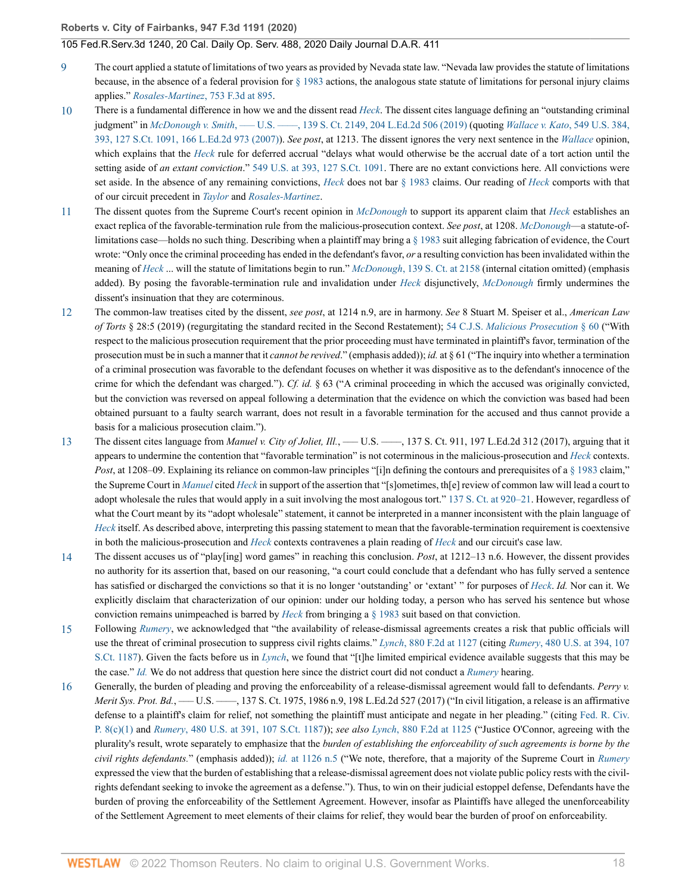- <span id="page-17-0"></span>[9](#page-6-0) The court applied a statute of limitations of two years as provided by Nevada state law. "Nevada law provides the statute of limitations because, in the absence of a federal provision for [§ 1983](http://www.westlaw.com/Link/Document/FullText?findType=L&pubNum=1000546&cite=42USCAS1983&originatingDoc=I85271cc03d5c11eaa49a848616f1a2d2&refType=LQ&originationContext=document&vr=3.0&rs=cblt1.0&transitionType=DocumentItem&contextData=(sc.Search)) actions, the analogous state statute of limitations for personal injury claims applies." *[Rosales-Martinez](http://www.westlaw.com/Link/Document/FullText?findType=Y&serNum=2033506915&pubNum=0000506&originatingDoc=I85271cc03d5c11eaa49a848616f1a2d2&refType=RP&fi=co_pp_sp_506_895&originationContext=document&vr=3.0&rs=cblt1.0&transitionType=DocumentItem&contextData=(sc.Search)#co_pp_sp_506_895)*, 753 F.3d at 895.
- <span id="page-17-1"></span>[10](#page-7-0) There is a fundamental difference in how we and the dissent read *[Heck](http://www.westlaw.com/Link/Document/FullText?findType=Y&serNum=1994135537&pubNum=0000780&originatingDoc=I85271cc03d5c11eaa49a848616f1a2d2&refType=RP&originationContext=document&vr=3.0&rs=cblt1.0&transitionType=DocumentItem&contextData=(sc.Search))*. The dissent cites language defining an "outstanding criminal judgment" in *McDonough v. Smith*[, ––– U.S. ––––, 139 S. Ct. 2149, 204 L.Ed.2d 506 \(2019\)](http://www.westlaw.com/Link/Document/FullText?findType=Y&serNum=2048519607&pubNum=0000708&originatingDoc=I85271cc03d5c11eaa49a848616f1a2d2&refType=RP&originationContext=document&vr=3.0&rs=cblt1.0&transitionType=DocumentItem&contextData=(sc.Search)) (quoting *[Wallace v. Kato](http://www.westlaw.com/Link/Document/FullText?findType=Y&serNum=2011495384&pubNum=0000780&originatingDoc=I85271cc03d5c11eaa49a848616f1a2d2&refType=RP&fi=co_pp_sp_780_393&originationContext=document&vr=3.0&rs=cblt1.0&transitionType=DocumentItem&contextData=(sc.Search)#co_pp_sp_780_393)*, 549 U.S. 384, [393, 127 S.Ct. 1091, 166 L.Ed.2d 973 \(2007\)](http://www.westlaw.com/Link/Document/FullText?findType=Y&serNum=2011495384&pubNum=0000780&originatingDoc=I85271cc03d5c11eaa49a848616f1a2d2&refType=RP&fi=co_pp_sp_780_393&originationContext=document&vr=3.0&rs=cblt1.0&transitionType=DocumentItem&contextData=(sc.Search)#co_pp_sp_780_393)). *See post*, at 1213. The dissent ignores the very next sentence in the *[Wallace](http://www.westlaw.com/Link/Document/FullText?findType=Y&serNum=2011495384&pubNum=0000780&originatingDoc=I85271cc03d5c11eaa49a848616f1a2d2&refType=RP&originationContext=document&vr=3.0&rs=cblt1.0&transitionType=DocumentItem&contextData=(sc.Search))* opinion, which explains that the *[Heck](http://www.westlaw.com/Link/Document/FullText?findType=Y&serNum=1994135537&pubNum=0000780&originatingDoc=I85271cc03d5c11eaa49a848616f1a2d2&refType=RP&originationContext=document&vr=3.0&rs=cblt1.0&transitionType=DocumentItem&contextData=(sc.Search))* rule for deferred accrual "delays what would otherwise be the accrual date of a tort action until the setting aside of *an extant conviction*." [549 U.S. at 393, 127 S.Ct. 1091](http://www.westlaw.com/Link/Document/FullText?findType=Y&serNum=2011495384&pubNum=0000780&originatingDoc=I85271cc03d5c11eaa49a848616f1a2d2&refType=RP&fi=co_pp_sp_780_393&originationContext=document&vr=3.0&rs=cblt1.0&transitionType=DocumentItem&contextData=(sc.Search)#co_pp_sp_780_393). There are no extant convictions here. All convictions were set aside. In the absence of any remaining convictions, *[Heck](http://www.westlaw.com/Link/Document/FullText?findType=Y&serNum=1994135537&pubNum=0000780&originatingDoc=I85271cc03d5c11eaa49a848616f1a2d2&refType=RP&originationContext=document&vr=3.0&rs=cblt1.0&transitionType=DocumentItem&contextData=(sc.Search))* does not bar [§ 1983](http://www.westlaw.com/Link/Document/FullText?findType=L&pubNum=1000546&cite=42USCAS1983&originatingDoc=I85271cc03d5c11eaa49a848616f1a2d2&refType=LQ&originationContext=document&vr=3.0&rs=cblt1.0&transitionType=DocumentItem&contextData=(sc.Search)) claims. Our reading of *[Heck](http://www.westlaw.com/Link/Document/FullText?findType=Y&serNum=1994135537&pubNum=0000780&originatingDoc=I85271cc03d5c11eaa49a848616f1a2d2&refType=RP&originationContext=document&vr=3.0&rs=cblt1.0&transitionType=DocumentItem&contextData=(sc.Search))* comports with that of our circuit precedent in *[Taylor](http://www.westlaw.com/Link/Document/FullText?findType=Y&serNum=2047347514&pubNum=0000506&originatingDoc=I85271cc03d5c11eaa49a848616f1a2d2&refType=RP&originationContext=document&vr=3.0&rs=cblt1.0&transitionType=DocumentItem&contextData=(sc.Search))* and *[Rosales-Martinez](http://www.westlaw.com/Link/Document/FullText?findType=Y&serNum=2033506915&pubNum=0000506&originatingDoc=I85271cc03d5c11eaa49a848616f1a2d2&refType=RP&originationContext=document&vr=3.0&rs=cblt1.0&transitionType=DocumentItem&contextData=(sc.Search))*.
- <span id="page-17-2"></span>[11](#page-7-1) The dissent quotes from the Supreme Court's recent opinion in *[McDonough](http://www.westlaw.com/Link/Document/FullText?findType=Y&serNum=2048519607&pubNum=0000708&originatingDoc=I85271cc03d5c11eaa49a848616f1a2d2&refType=RP&originationContext=document&vr=3.0&rs=cblt1.0&transitionType=DocumentItem&contextData=(sc.Search))* to support its apparent claim that *[Heck](http://www.westlaw.com/Link/Document/FullText?findType=Y&serNum=1994135537&pubNum=0000780&originatingDoc=I85271cc03d5c11eaa49a848616f1a2d2&refType=RP&originationContext=document&vr=3.0&rs=cblt1.0&transitionType=DocumentItem&contextData=(sc.Search))* establishes an exact replica of the favorable-termination rule from the malicious-prosecution context. *See post*, at 1208. *[McDonough](http://www.westlaw.com/Link/Document/FullText?findType=Y&serNum=2048519607&originatingDoc=I85271cc03d5c11eaa49a848616f1a2d2&refType=RP&originationContext=document&vr=3.0&rs=cblt1.0&transitionType=DocumentItem&contextData=(sc.Search))*—a statute-oflimitations case—holds no such thing. Describing when a plaintiff may bring a [§ 1983](http://www.westlaw.com/Link/Document/FullText?findType=L&pubNum=1000546&cite=42USCAS1983&originatingDoc=I85271cc03d5c11eaa49a848616f1a2d2&refType=LQ&originationContext=document&vr=3.0&rs=cblt1.0&transitionType=DocumentItem&contextData=(sc.Search)) suit alleging fabrication of evidence, the Court wrote: "Only once the criminal proceeding has ended in the defendant's favor, *or* a resulting conviction has been invalidated within the meaning of *[Heck](http://www.westlaw.com/Link/Document/FullText?findType=Y&serNum=1994135537&pubNum=0000780&originatingDoc=I85271cc03d5c11eaa49a848616f1a2d2&refType=RP&originationContext=document&vr=3.0&rs=cblt1.0&transitionType=DocumentItem&contextData=(sc.Search))* ... will the statute of limitations begin to run." *McDonough*[, 139 S. Ct. at 2158](http://www.westlaw.com/Link/Document/FullText?findType=Y&serNum=2048519607&pubNum=0000708&originatingDoc=I85271cc03d5c11eaa49a848616f1a2d2&refType=RP&fi=co_pp_sp_708_2158&originationContext=document&vr=3.0&rs=cblt1.0&transitionType=DocumentItem&contextData=(sc.Search)#co_pp_sp_708_2158) (internal citation omitted) (emphasis added). By posing the favorable-termination rule and invalidation under *[Heck](http://www.westlaw.com/Link/Document/FullText?findType=Y&serNum=1994135537&pubNum=0000780&originatingDoc=I85271cc03d5c11eaa49a848616f1a2d2&refType=RP&originationContext=document&vr=3.0&rs=cblt1.0&transitionType=DocumentItem&contextData=(sc.Search))* disjunctively, *[McDonough](http://www.westlaw.com/Link/Document/FullText?findType=Y&serNum=2048519607&pubNum=0000708&originatingDoc=I85271cc03d5c11eaa49a848616f1a2d2&refType=RP&originationContext=document&vr=3.0&rs=cblt1.0&transitionType=DocumentItem&contextData=(sc.Search))* firmly undermines the dissent's insinuation that they are coterminous.
- <span id="page-17-3"></span>[12](#page-8-0) The common-law treatises cited by the dissent, *see post*, at 1214 n.9, are in harmony. *See* 8 Stuart M. Speiser et al., *American Law of Torts* § 28:5 (2019) (regurgitating the standard recited in the Second Restatement); 54 C.J.S. *[Malicious Prosecution](http://www.westlaw.com/Link/Document/FullText?findType=Y&serNum=0289617097&pubNum=0157402&originatingDoc=I85271cc03d5c11eaa49a848616f1a2d2&refType=TS&originationContext=document&vr=3.0&rs=cblt1.0&transitionType=DocumentItem&contextData=(sc.Search))* § 60 ("With respect to the malicious prosecution requirement that the prior proceeding must have terminated in plaintiff's favor, termination of the prosecution must be in such a manner that it *cannot be revived*." (emphasis added)); *id.* at § 61 ("The inquiry into whether a termination of a criminal prosecution was favorable to the defendant focuses on whether it was dispositive as to the defendant's innocence of the crime for which the defendant was charged."). *Cf. id.* § 63 ("A criminal proceeding in which the accused was originally convicted, but the conviction was reversed on appeal following a determination that the evidence on which the conviction was based had been obtained pursuant to a faulty search warrant, does not result in a favorable termination for the accused and thus cannot provide a basis for a malicious prosecution claim.").
- <span id="page-17-4"></span>[13](#page-8-1) The dissent cites language from *Manuel v. City of Joliet, Ill.*, —— U.S. ——, 137 S. Ct. 911, 197 L.Ed.2d 312 (2017), arguing that it appears to undermine the contention that "favorable termination" is not coterminous in the malicious-prosecution and *[Heck](http://www.westlaw.com/Link/Document/FullText?findType=Y&serNum=1994135537&pubNum=0000780&originatingDoc=I85271cc03d5c11eaa49a848616f1a2d2&refType=RP&originationContext=document&vr=3.0&rs=cblt1.0&transitionType=DocumentItem&contextData=(sc.Search))* contexts. *Post*, at 1208–09. Explaining its reliance on common-law principles "[i]n defining the contours and prerequisites of a [§ 1983](http://www.westlaw.com/Link/Document/FullText?findType=L&pubNum=1000546&cite=42USCAS1983&originatingDoc=I85271cc03d5c11eaa49a848616f1a2d2&refType=LQ&originationContext=document&vr=3.0&rs=cblt1.0&transitionType=DocumentItem&contextData=(sc.Search)) claim," the Supreme Court in *[Manuel](http://www.westlaw.com/Link/Document/FullText?findType=Y&serNum=2041261862&pubNum=0000708&originatingDoc=I85271cc03d5c11eaa49a848616f1a2d2&refType=RP&originationContext=document&vr=3.0&rs=cblt1.0&transitionType=DocumentItem&contextData=(sc.Search))* cited *[Heck](http://www.westlaw.com/Link/Document/FullText?findType=Y&serNum=1994135537&pubNum=0000780&originatingDoc=I85271cc03d5c11eaa49a848616f1a2d2&refType=RP&originationContext=document&vr=3.0&rs=cblt1.0&transitionType=DocumentItem&contextData=(sc.Search))* in support of the assertion that "[s]ometimes, th[e] review of common law will lead a court to adopt wholesale the rules that would apply in a suit involving the most analogous tort." [137 S. Ct. at 920–21.](http://www.westlaw.com/Link/Document/FullText?findType=Y&serNum=2041261862&pubNum=0000708&originatingDoc=I85271cc03d5c11eaa49a848616f1a2d2&refType=RP&fi=co_pp_sp_708_920&originationContext=document&vr=3.0&rs=cblt1.0&transitionType=DocumentItem&contextData=(sc.Search)#co_pp_sp_708_920) However, regardless of what the Court meant by its "adopt wholesale" statement, it cannot be interpreted in a manner inconsistent with the plain language of *[Heck](http://www.westlaw.com/Link/Document/FullText?findType=Y&serNum=1994135537&pubNum=0000780&originatingDoc=I85271cc03d5c11eaa49a848616f1a2d2&refType=RP&originationContext=document&vr=3.0&rs=cblt1.0&transitionType=DocumentItem&contextData=(sc.Search))* itself. As described above, interpreting this passing statement to mean that the favorable-termination requirement is coextensive in both the malicious-prosecution and *[Heck](http://www.westlaw.com/Link/Document/FullText?findType=Y&serNum=1994135537&pubNum=0000780&originatingDoc=I85271cc03d5c11eaa49a848616f1a2d2&refType=RP&originationContext=document&vr=3.0&rs=cblt1.0&transitionType=DocumentItem&contextData=(sc.Search))* contexts contravenes a plain reading of *[Heck](http://www.westlaw.com/Link/Document/FullText?findType=Y&serNum=1994135537&pubNum=0000780&originatingDoc=I85271cc03d5c11eaa49a848616f1a2d2&refType=RP&originationContext=document&vr=3.0&rs=cblt1.0&transitionType=DocumentItem&contextData=(sc.Search))* and our circuit's case law.
- <span id="page-17-5"></span>[14](#page-8-2) The dissent accuses us of "play[ing] word games" in reaching this conclusion. *Post*, at 1212–13 n.6. However, the dissent provides no authority for its assertion that, based on our reasoning, "a court could conclude that a defendant who has fully served a sentence has satisfied or discharged the convictions so that it is no longer 'outstanding' or 'extant' " for purposes of *[Heck](http://www.westlaw.com/Link/Document/FullText?findType=Y&serNum=1994135537&pubNum=0000780&originatingDoc=I85271cc03d5c11eaa49a848616f1a2d2&refType=RP&originationContext=document&vr=3.0&rs=cblt1.0&transitionType=DocumentItem&contextData=(sc.Search))*. *Id.* Nor can it. We explicitly disclaim that characterization of our opinion: under our holding today, a person who has served his sentence but whose conviction remains unimpeached is barred by *[Heck](http://www.westlaw.com/Link/Document/FullText?findType=Y&serNum=1994135537&pubNum=0000780&originatingDoc=I85271cc03d5c11eaa49a848616f1a2d2&refType=RP&originationContext=document&vr=3.0&rs=cblt1.0&transitionType=DocumentItem&contextData=(sc.Search))* from bringing a [§ 1983](http://www.westlaw.com/Link/Document/FullText?findType=L&pubNum=1000546&cite=42USCAS1983&originatingDoc=I85271cc03d5c11eaa49a848616f1a2d2&refType=LQ&originationContext=document&vr=3.0&rs=cblt1.0&transitionType=DocumentItem&contextData=(sc.Search)) suit based on that conviction.
- <span id="page-17-6"></span>[15](#page-10-0) Following *[Rumery](http://www.westlaw.com/Link/Document/FullText?findType=Y&serNum=1987029485&pubNum=0000780&originatingDoc=I85271cc03d5c11eaa49a848616f1a2d2&refType=RP&originationContext=document&vr=3.0&rs=cblt1.0&transitionType=DocumentItem&contextData=(sc.Search))*, we acknowledged that "the availability of release-dismissal agreements creates a risk that public officials will use the threat of criminal prosecution to suppress civil rights claims." *Lynch*[, 880 F.2d at 1127](http://www.westlaw.com/Link/Document/FullText?findType=Y&serNum=1989111861&pubNum=0000350&originatingDoc=I85271cc03d5c11eaa49a848616f1a2d2&refType=RP&fi=co_pp_sp_350_1127&originationContext=document&vr=3.0&rs=cblt1.0&transitionType=DocumentItem&contextData=(sc.Search)#co_pp_sp_350_1127) (citing *Rumery*[, 480 U.S. at 394, 107](http://www.westlaw.com/Link/Document/FullText?findType=Y&serNum=1987029485&pubNum=0000780&originatingDoc=I85271cc03d5c11eaa49a848616f1a2d2&refType=RP&fi=co_pp_sp_780_394&originationContext=document&vr=3.0&rs=cblt1.0&transitionType=DocumentItem&contextData=(sc.Search)#co_pp_sp_780_394) [S.Ct. 1187](http://www.westlaw.com/Link/Document/FullText?findType=Y&serNum=1987029485&pubNum=0000780&originatingDoc=I85271cc03d5c11eaa49a848616f1a2d2&refType=RP&fi=co_pp_sp_780_394&originationContext=document&vr=3.0&rs=cblt1.0&transitionType=DocumentItem&contextData=(sc.Search)#co_pp_sp_780_394)). Given the facts before us in *[Lynch](http://www.westlaw.com/Link/Document/FullText?findType=Y&serNum=1989111861&pubNum=0000350&originatingDoc=I85271cc03d5c11eaa49a848616f1a2d2&refType=RP&originationContext=document&vr=3.0&rs=cblt1.0&transitionType=DocumentItem&contextData=(sc.Search))*, we found that "[t]he limited empirical evidence available suggests that this may be the case." *[Id.](http://www.westlaw.com/Link/Document/FullText?findType=Y&serNum=1989111861&pubNum=0000350&originatingDoc=I85271cc03d5c11eaa49a848616f1a2d2&refType=RP&originationContext=document&vr=3.0&rs=cblt1.0&transitionType=DocumentItem&contextData=(sc.Search))* We do not address that question here since the district court did not conduct a *[Rumery](http://www.westlaw.com/Link/Document/FullText?findType=Y&serNum=1987029485&pubNum=0000780&originatingDoc=I85271cc03d5c11eaa49a848616f1a2d2&refType=RP&originationContext=document&vr=3.0&rs=cblt1.0&transitionType=DocumentItem&contextData=(sc.Search))* hearing.
- <span id="page-17-7"></span>[16](#page-10-1) Generally, the burden of pleading and proving the enforceability of a release-dismissal agreement would fall to defendants. *Perry v. Merit Sys. Prot. Bd.*, —— U.S. ——, 137 S. Ct. 1975, 1986 n.9, 198 L.Ed.2d 527 (2017) ("In civil litigation, a release is an affirmative defense to a plaintiff's claim for relief, not something the plaintiff must anticipate and negate in her pleading." (citing [Fed. R. Civ.](http://www.westlaw.com/Link/Document/FullText?findType=L&pubNum=1000600&cite=USFRCPR8&originatingDoc=I85271cc03d5c11eaa49a848616f1a2d2&refType=LQ&originationContext=document&vr=3.0&rs=cblt1.0&transitionType=DocumentItem&contextData=(sc.Search)) [P. 8\(c\)\(1\)](http://www.westlaw.com/Link/Document/FullText?findType=L&pubNum=1000600&cite=USFRCPR8&originatingDoc=I85271cc03d5c11eaa49a848616f1a2d2&refType=LQ&originationContext=document&vr=3.0&rs=cblt1.0&transitionType=DocumentItem&contextData=(sc.Search)) and *Rumery*[, 480 U.S. at 391, 107 S.Ct. 1187\)](http://www.westlaw.com/Link/Document/FullText?findType=Y&serNum=1987029485&pubNum=0000780&originatingDoc=I85271cc03d5c11eaa49a848616f1a2d2&refType=RP&fi=co_pp_sp_780_391&originationContext=document&vr=3.0&rs=cblt1.0&transitionType=DocumentItem&contextData=(sc.Search)#co_pp_sp_780_391)); *see also Lynch*[, 880 F.2d at 1125](http://www.westlaw.com/Link/Document/FullText?findType=Y&serNum=1989111861&pubNum=0000350&originatingDoc=I85271cc03d5c11eaa49a848616f1a2d2&refType=RP&fi=co_pp_sp_350_1125&originationContext=document&vr=3.0&rs=cblt1.0&transitionType=DocumentItem&contextData=(sc.Search)#co_pp_sp_350_1125) ("Justice O'Connor, agreeing with the plurality's result, wrote separately to emphasize that the *burden of establishing the enforceability of such agreements is borne by the civil rights defendants.*" (emphasis added)); *id.* [at 1126 n.5](http://www.westlaw.com/Link/Document/FullText?findType=Y&serNum=1989111861&pubNum=0000350&originatingDoc=I85271cc03d5c11eaa49a848616f1a2d2&refType=RP&fi=co_pp_sp_350_1126&originationContext=document&vr=3.0&rs=cblt1.0&transitionType=DocumentItem&contextData=(sc.Search)#co_pp_sp_350_1126) ("We note, therefore, that a majority of the Supreme Court in *[Rumery](http://www.westlaw.com/Link/Document/FullText?findType=Y&serNum=1987029485&pubNum=0000780&originatingDoc=I85271cc03d5c11eaa49a848616f1a2d2&refType=RP&originationContext=document&vr=3.0&rs=cblt1.0&transitionType=DocumentItem&contextData=(sc.Search))* expressed the view that the burden of establishing that a release-dismissal agreement does not violate public policy rests with the civilrights defendant seeking to invoke the agreement as a defense."). Thus, to win on their judicial estoppel defense, Defendants have the burden of proving the enforceability of the Settlement Agreement. However, insofar as Plaintiffs have alleged the unenforceability of the Settlement Agreement to meet elements of their claims for relief, they would bear the burden of proof on enforceability.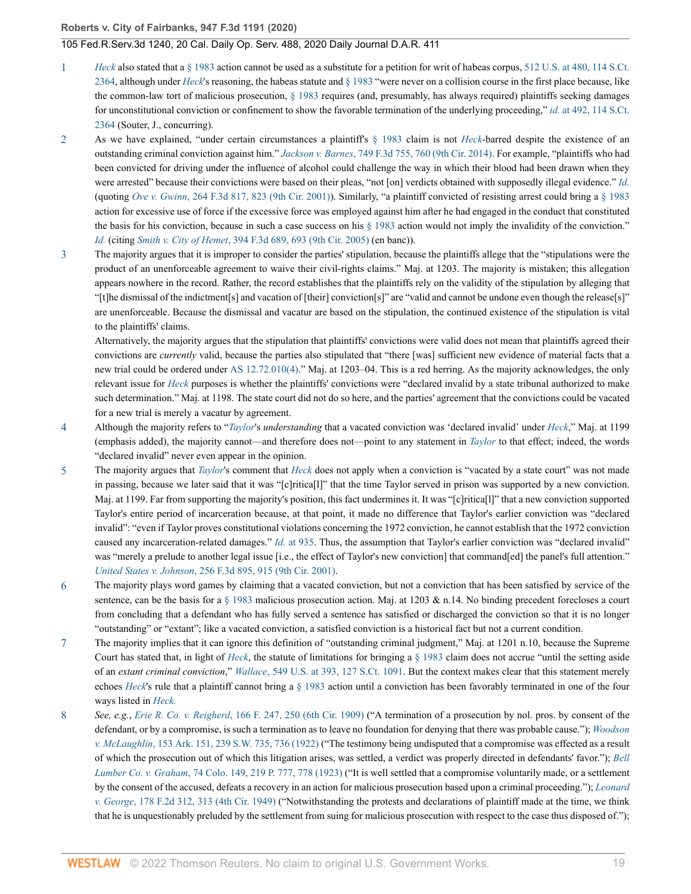- <span id="page-18-0"></span>*[Heck](http://www.westlaw.com/Link/Document/FullText?findType=Y&serNum=1994135537&pubNum=0000780&originatingDoc=I85271cc03d5c11eaa49a848616f1a2d2&refType=RP&originationContext=document&vr=3.0&rs=cblt1.0&transitionType=DocumentItem&contextData=(sc.Search))* also stated that a § [1](#page-12-0)983 action cannot be used as a substitute for a petition for writ of habeas corpus, [512 U.S. at 480, 114 S.Ct.](http://www.westlaw.com/Link/Document/FullText?findType=Y&serNum=1994135537&pubNum=0000780&originatingDoc=I85271cc03d5c11eaa49a848616f1a2d2&refType=RP&fi=co_pp_sp_780_480&originationContext=document&vr=3.0&rs=cblt1.0&transitionType=DocumentItem&contextData=(sc.Search)#co_pp_sp_780_480) [2364](http://www.westlaw.com/Link/Document/FullText?findType=Y&serNum=1994135537&pubNum=0000780&originatingDoc=I85271cc03d5c11eaa49a848616f1a2d2&refType=RP&fi=co_pp_sp_780_480&originationContext=document&vr=3.0&rs=cblt1.0&transitionType=DocumentItem&contextData=(sc.Search)#co_pp_sp_780_480), although under *[Heck](http://www.westlaw.com/Link/Document/FullText?findType=Y&serNum=1994135537&pubNum=0000780&originatingDoc=I85271cc03d5c11eaa49a848616f1a2d2&refType=RP&originationContext=document&vr=3.0&rs=cblt1.0&transitionType=DocumentItem&contextData=(sc.Search))*'s reasoning, the habeas statute and [§ 1983](http://www.westlaw.com/Link/Document/FullText?findType=L&pubNum=1000546&cite=42USCAS1983&originatingDoc=I85271cc03d5c11eaa49a848616f1a2d2&refType=LQ&originationContext=document&vr=3.0&rs=cblt1.0&transitionType=DocumentItem&contextData=(sc.Search)) "were never on a collision course in the first place because, like the common-law tort of malicious prosecution, [§ 1983](http://www.westlaw.com/Link/Document/FullText?findType=L&pubNum=1000546&cite=42USCAS1983&originatingDoc=I85271cc03d5c11eaa49a848616f1a2d2&refType=LQ&originationContext=document&vr=3.0&rs=cblt1.0&transitionType=DocumentItem&contextData=(sc.Search)) requires (and, presumably, has always required) plaintiffs seeking damages for unconstitutional conviction or confinement to show the favorable termination of the underlying proceeding," *id.* [at 492, 114 S.Ct.](http://www.westlaw.com/Link/Document/FullText?findType=Y&serNum=1994135537&pubNum=0000708&originatingDoc=I85271cc03d5c11eaa49a848616f1a2d2&refType=RP&originationContext=document&vr=3.0&rs=cblt1.0&transitionType=DocumentItem&contextData=(sc.Search)) [2364](http://www.westlaw.com/Link/Document/FullText?findType=Y&serNum=1994135537&pubNum=0000708&originatingDoc=I85271cc03d5c11eaa49a848616f1a2d2&refType=RP&originationContext=document&vr=3.0&rs=cblt1.0&transitionType=DocumentItem&contextData=(sc.Search)) (Souter, J., concurring).
- <span id="page-18-1"></span>[2](#page-13-0) As we have explained, "under certain circumstances a plaintiff's [§ 1983](http://www.westlaw.com/Link/Document/FullText?findType=L&pubNum=1000546&cite=42USCAS1983&originatingDoc=I85271cc03d5c11eaa49a848616f1a2d2&refType=LQ&originationContext=document&vr=3.0&rs=cblt1.0&transitionType=DocumentItem&contextData=(sc.Search)) claim is not *[Heck](http://www.westlaw.com/Link/Document/FullText?findType=Y&serNum=1994135537&originatingDoc=I85271cc03d5c11eaa49a848616f1a2d2&refType=RP&originationContext=document&vr=3.0&rs=cblt1.0&transitionType=DocumentItem&contextData=(sc.Search))*-barred despite the existence of an outstanding criminal conviction against him." *Jackson v. Barnes*[, 749 F.3d 755, 760 \(9th Cir. 2014\)](http://www.westlaw.com/Link/Document/FullText?findType=Y&serNum=2033161835&pubNum=0000506&originatingDoc=I85271cc03d5c11eaa49a848616f1a2d2&refType=RP&fi=co_pp_sp_506_760&originationContext=document&vr=3.0&rs=cblt1.0&transitionType=DocumentItem&contextData=(sc.Search)#co_pp_sp_506_760). For example, "plaintiffs who had been convicted for driving under the influence of alcohol could challenge the way in which their blood had been drawn when they were arrested" because their convictions were based on their pleas, "not [on] verdicts obtained with supposedly illegal evidence." *[Id.](http://www.westlaw.com/Link/Document/FullText?findType=Y&serNum=2033161835&pubNum=0000506&originatingDoc=I85271cc03d5c11eaa49a848616f1a2d2&refType=RP&originationContext=document&vr=3.0&rs=cblt1.0&transitionType=DocumentItem&contextData=(sc.Search))* (quoting *Ove v. Gwinn*[, 264 F.3d 817, 823 \(9th Cir. 2001\)\)](http://www.westlaw.com/Link/Document/FullText?findType=Y&serNum=2001751077&pubNum=0000506&originatingDoc=I85271cc03d5c11eaa49a848616f1a2d2&refType=RP&fi=co_pp_sp_506_823&originationContext=document&vr=3.0&rs=cblt1.0&transitionType=DocumentItem&contextData=(sc.Search)#co_pp_sp_506_823). Similarly, "a plaintiff convicted of resisting arrest could bring a [§ 1983](http://www.westlaw.com/Link/Document/FullText?findType=L&pubNum=1000546&cite=42USCAS1983&originatingDoc=I85271cc03d5c11eaa49a848616f1a2d2&refType=LQ&originationContext=document&vr=3.0&rs=cblt1.0&transitionType=DocumentItem&contextData=(sc.Search)) action for excessive use of force if the excessive force was employed against him after he had engaged in the conduct that constituted the basis for his conviction, because in such a case success on his  $\S$  1983 action would not imply the invalidity of the conviction." *[Id.](http://www.westlaw.com/Link/Document/FullText?findType=Y&serNum=2033161835&pubNum=0000506&originatingDoc=I85271cc03d5c11eaa49a848616f1a2d2&refType=RP&originationContext=document&vr=3.0&rs=cblt1.0&transitionType=DocumentItem&contextData=(sc.Search))* (citing *Smith v. City of Hemet*[, 394 F.3d 689, 693 \(9th Cir. 2005\)](http://www.westlaw.com/Link/Document/FullText?findType=Y&serNum=2005936376&pubNum=0000506&originatingDoc=I85271cc03d5c11eaa49a848616f1a2d2&refType=RP&fi=co_pp_sp_506_693&originationContext=document&vr=3.0&rs=cblt1.0&transitionType=DocumentItem&contextData=(sc.Search)#co_pp_sp_506_693) (en banc)).
- <span id="page-18-2"></span>[3](#page-13-1) The majority argues that it is improper to consider the parties' stipulation, because the plaintiffs allege that the "stipulations were the product of an unenforceable agreement to waive their civil-rights claims." Maj. at 1203. The majority is mistaken; this allegation appears nowhere in the record. Rather, the record establishes that the plaintiffs rely on the validity of the stipulation by alleging that "[t]he dismissal of the indictment[s] and vacation of [their] conviction[s]" are "valid and cannot be undone even though the release[s]" are unenforceable. Because the dismissal and vacatur are based on the stipulation, the continued existence of the stipulation is vital to the plaintiffs' claims.

Alternatively, the majority argues that the stipulation that plaintiffs' convictions were valid does not mean that plaintiffs agreed their convictions are *currently* valid, because the parties also stipulated that "there [was] sufficient new evidence of material facts that a new trial could be ordered under [AS 12.72.010\(4\)](http://www.westlaw.com/Link/Document/FullText?findType=L&pubNum=1000003&cite=AKSTS12.72.010&originatingDoc=I85271cc03d5c11eaa49a848616f1a2d2&refType=SP&originationContext=document&vr=3.0&rs=cblt1.0&transitionType=DocumentItem&contextData=(sc.Search)#co_pp_0bd500007a412)." Maj. at 1203–04. This is a red herring. As the majority acknowledges, the only relevant issue for *[Heck](http://www.westlaw.com/Link/Document/FullText?findType=Y&serNum=1994135537&pubNum=0000780&originatingDoc=I85271cc03d5c11eaa49a848616f1a2d2&refType=RP&originationContext=document&vr=3.0&rs=cblt1.0&transitionType=DocumentItem&contextData=(sc.Search))* purposes is whether the plaintiffs' convictions were "declared invalid by a state tribunal authorized to make such determination." Maj. at 1198. The state court did not do so here, and the parties' agreement that the convictions could be vacated for a new trial is merely a vacatur by agreement.

- <span id="page-18-3"></span>[4](#page-14-0) Although the majority refers to "*[Taylor](http://www.westlaw.com/Link/Document/FullText?findType=Y&serNum=2047347514&originatingDoc=I85271cc03d5c11eaa49a848616f1a2d2&refType=RP&originationContext=document&vr=3.0&rs=cblt1.0&transitionType=DocumentItem&contextData=(sc.Search))*'s *understanding* that a vacated conviction was 'declared invalid' under *[Heck](http://www.westlaw.com/Link/Document/FullText?findType=Y&serNum=1994135537&pubNum=0000780&originatingDoc=I85271cc03d5c11eaa49a848616f1a2d2&refType=RP&originationContext=document&vr=3.0&rs=cblt1.0&transitionType=DocumentItem&contextData=(sc.Search))*," Maj. at 1199 (emphasis added), the majority cannot—and therefore does not—point to any statement in *[Taylor](http://www.westlaw.com/Link/Document/FullText?findType=Y&serNum=2047347514&pubNum=0000506&originatingDoc=I85271cc03d5c11eaa49a848616f1a2d2&refType=RP&originationContext=document&vr=3.0&rs=cblt1.0&transitionType=DocumentItem&contextData=(sc.Search))* to that effect; indeed, the words "declared invalid" never even appear in the opinion.
- <span id="page-18-4"></span>[5](#page-14-1) The majority argues that *[Taylor](http://www.westlaw.com/Link/Document/FullText?findType=Y&serNum=2047347514&originatingDoc=I85271cc03d5c11eaa49a848616f1a2d2&refType=RP&originationContext=document&vr=3.0&rs=cblt1.0&transitionType=DocumentItem&contextData=(sc.Search))*'s comment that *[Heck](http://www.westlaw.com/Link/Document/FullText?findType=Y&serNum=1994135537&pubNum=0000780&originatingDoc=I85271cc03d5c11eaa49a848616f1a2d2&refType=RP&originationContext=document&vr=3.0&rs=cblt1.0&transitionType=DocumentItem&contextData=(sc.Search))* does not apply when a conviction is "vacated by a state court" was not made in passing, because we later said that it was "[c]ritica[l]" that the time Taylor served in prison was supported by a new conviction. Maj. at 1199. Far from supporting the majority's position, this fact undermines it. It was "[c]ritica[l]" that a new conviction supported Taylor's entire period of incarceration because, at that point, it made no difference that Taylor's earlier conviction was "declared invalid": "even if Taylor proves constitutional violations concerning the 1972 conviction, he cannot establish that the 1972 conviction caused any incarceration-related damages." *Id.* [at 935](http://www.westlaw.com/Link/Document/FullText?findType=Y&serNum=2047347514&pubNum=0000506&originatingDoc=I85271cc03d5c11eaa49a848616f1a2d2&refType=RP&fi=co_pp_sp_506_935&originationContext=document&vr=3.0&rs=cblt1.0&transitionType=DocumentItem&contextData=(sc.Search)#co_pp_sp_506_935). Thus, the assumption that Taylor's earlier conviction was "declared invalid" was "merely a prelude to another legal issue [i.e., the effect of Taylor's new conviction] that command[ed] the panel's full attention." *United States v. Johnson*[, 256 F.3d 895, 915 \(9th Cir. 2001\)](http://www.westlaw.com/Link/Document/FullText?findType=Y&serNum=2001617306&pubNum=0000506&originatingDoc=I85271cc03d5c11eaa49a848616f1a2d2&refType=RP&fi=co_pp_sp_506_915&originationContext=document&vr=3.0&rs=cblt1.0&transitionType=DocumentItem&contextData=(sc.Search)#co_pp_sp_506_915).
- <span id="page-18-5"></span>[6](#page-15-0) The majority plays word games by claiming that a vacated conviction, but not a conviction that has been satisfied by service of the sentence, can be the basis for a  $\S$  1983 malicious prosecution action. Maj. at 1203 & n.14. No binding precedent forecloses a court from concluding that a defendant who has fully served a sentence has satisfied or discharged the conviction so that it is no longer "outstanding" or "extant"; like a vacated conviction, a satisfied conviction is a historical fact but not a current condition.
- <span id="page-18-6"></span>[7](#page-15-1) The majority implies that it can ignore this definition of "outstanding criminal judgment," Maj. at 1201 n.10, because the Supreme Court has stated that, in light of *[Heck](http://www.westlaw.com/Link/Document/FullText?findType=Y&serNum=1994135537&pubNum=0000780&originatingDoc=I85271cc03d5c11eaa49a848616f1a2d2&refType=RP&originationContext=document&vr=3.0&rs=cblt1.0&transitionType=DocumentItem&contextData=(sc.Search))*, the statute of limitations for bringing a [§ 1983](http://www.westlaw.com/Link/Document/FullText?findType=L&pubNum=1000546&cite=42USCAS1983&originatingDoc=I85271cc03d5c11eaa49a848616f1a2d2&refType=LQ&originationContext=document&vr=3.0&rs=cblt1.0&transitionType=DocumentItem&contextData=(sc.Search)) claim does not accrue "until the setting aside of an *extant criminal conviction*," *Wallace*[, 549 U.S. at 393, 127 S.Ct. 1091](http://www.westlaw.com/Link/Document/FullText?findType=Y&serNum=2011495384&pubNum=0000780&originatingDoc=I85271cc03d5c11eaa49a848616f1a2d2&refType=RP&fi=co_pp_sp_780_393&originationContext=document&vr=3.0&rs=cblt1.0&transitionType=DocumentItem&contextData=(sc.Search)#co_pp_sp_780_393). But the context makes clear that this statement merely echoes *[Heck](http://www.westlaw.com/Link/Document/FullText?findType=Y&serNum=1994135537&originatingDoc=I85271cc03d5c11eaa49a848616f1a2d2&refType=RP&originationContext=document&vr=3.0&rs=cblt1.0&transitionType=DocumentItem&contextData=(sc.Search))*'s rule that a plaintiff cannot bring a [§ 1983](http://www.westlaw.com/Link/Document/FullText?findType=L&pubNum=1000546&cite=42USCAS1983&originatingDoc=I85271cc03d5c11eaa49a848616f1a2d2&refType=LQ&originationContext=document&vr=3.0&rs=cblt1.0&transitionType=DocumentItem&contextData=(sc.Search)) action until a conviction has been favorably terminated in one of the four ways listed in *[Heck.](http://www.westlaw.com/Link/Document/FullText?findType=Y&serNum=1994135537&pubNum=0000780&originatingDoc=I85271cc03d5c11eaa49a848616f1a2d2&refType=RP&originationContext=document&vr=3.0&rs=cblt1.0&transitionType=DocumentItem&contextData=(sc.Search))*
- <span id="page-18-7"></span>[8](#page-16-8) *See, e.g.*, *Erie R. Co. v. Reigherd*[, 166 F. 247, 250 \(6th Cir. 1909\)](http://www.westlaw.com/Link/Document/FullText?findType=Y&serNum=1909100158&pubNum=0000348&originatingDoc=I85271cc03d5c11eaa49a848616f1a2d2&refType=RP&fi=co_pp_sp_348_250&originationContext=document&vr=3.0&rs=cblt1.0&transitionType=DocumentItem&contextData=(sc.Search)#co_pp_sp_348_250) ("A termination of a prosecution by nol. pros. by consent of the defendant, or by a compromise, is such a termination as to leave no foundation for denying that there was probable cause."); *[Woodson](http://www.westlaw.com/Link/Document/FullText?findType=Y&serNum=1922114780&pubNum=0000712&originatingDoc=I85271cc03d5c11eaa49a848616f1a2d2&refType=RP&fi=co_pp_sp_712_736&originationContext=document&vr=3.0&rs=cblt1.0&transitionType=DocumentItem&contextData=(sc.Search)#co_pp_sp_712_736) v. McLaughlin*[, 153 Ark. 151, 239 S.W. 735, 736 \(1922\)](http://www.westlaw.com/Link/Document/FullText?findType=Y&serNum=1922114780&pubNum=0000712&originatingDoc=I85271cc03d5c11eaa49a848616f1a2d2&refType=RP&fi=co_pp_sp_712_736&originationContext=document&vr=3.0&rs=cblt1.0&transitionType=DocumentItem&contextData=(sc.Search)#co_pp_sp_712_736) ("The testimony being undisputed that a compromise was effected as a result of which the prosecution out of which this litigation arises, was settled, a verdict was properly directed in defendants' favor."); *[Bell](http://www.westlaw.com/Link/Document/FullText?findType=Y&serNum=1923115514&pubNum=0000660&originatingDoc=I85271cc03d5c11eaa49a848616f1a2d2&refType=RP&fi=co_pp_sp_660_778&originationContext=document&vr=3.0&rs=cblt1.0&transitionType=DocumentItem&contextData=(sc.Search)#co_pp_sp_660_778) Lumber Co. v. Graham*[, 74 Colo. 149, 219 P. 777, 778 \(1923\)](http://www.westlaw.com/Link/Document/FullText?findType=Y&serNum=1923115514&pubNum=0000660&originatingDoc=I85271cc03d5c11eaa49a848616f1a2d2&refType=RP&fi=co_pp_sp_660_778&originationContext=document&vr=3.0&rs=cblt1.0&transitionType=DocumentItem&contextData=(sc.Search)#co_pp_sp_660_778) ("It is well settled that a compromise voluntarily made, or a settlement by the consent of the accused, defeats a recovery in an action for malicious prosecution based upon a criminal proceeding."); *[Leonard](http://www.westlaw.com/Link/Document/FullText?findType=Y&serNum=1950117941&pubNum=0000350&originatingDoc=I85271cc03d5c11eaa49a848616f1a2d2&refType=RP&fi=co_pp_sp_350_313&originationContext=document&vr=3.0&rs=cblt1.0&transitionType=DocumentItem&contextData=(sc.Search)#co_pp_sp_350_313) v. George*[, 178 F.2d 312, 313 \(4th Cir. 1949\)](http://www.westlaw.com/Link/Document/FullText?findType=Y&serNum=1950117941&pubNum=0000350&originatingDoc=I85271cc03d5c11eaa49a848616f1a2d2&refType=RP&fi=co_pp_sp_350_313&originationContext=document&vr=3.0&rs=cblt1.0&transitionType=DocumentItem&contextData=(sc.Search)#co_pp_sp_350_313) ("Notwithstanding the protests and declarations of plaintiff made at the time, we think that he is unquestionably preluded by the settlement from suing for malicious prosecution with respect to the case thus disposed of.");